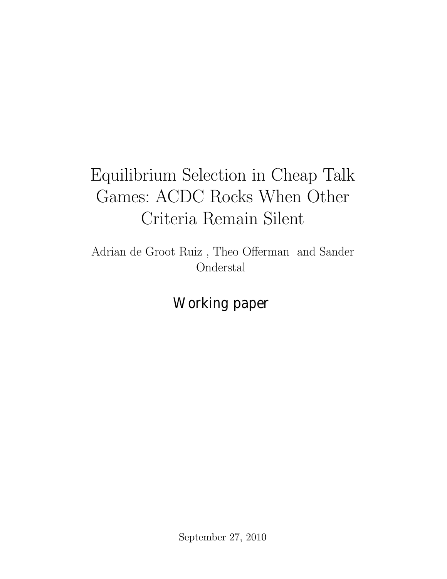# Equilibrium Selection in Cheap Talk Games: ACDC Rocks When Other Criteria Remain Silent

Adrian de Groot Ruiz, Theo Offerman and Sander Onderstal

Working paper

September 27, 2010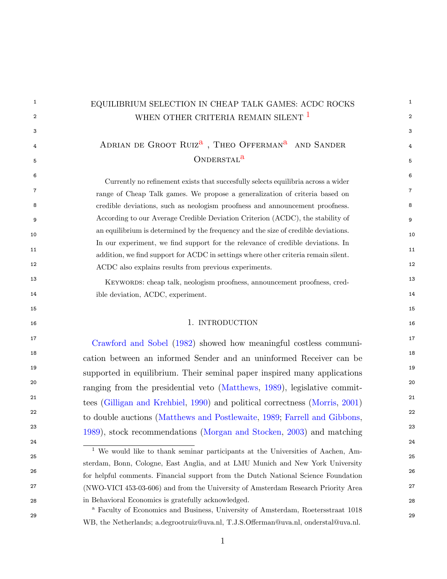<span id="page-1-1"></span><span id="page-1-0"></span> $^{\rm 1}$   $\,$   $\rm -$  EQUILIBRIUM SELECTION IN CHEAP TALK GAMES: ACDC ROCKS  $^{\rm 1}$ 2 2 WHEN OTHER CRITERIA REMAIN SILENT [1](#page-1-0)  $3$ 4 ADRIAN DE GROOT RUIZ<sup>[a](#page-1-1)</sup>, THEO OFFERMAN<sup>a</sup> AND SANDER  $5<sup>5</sup>$ 6 and  $\sim$  6 and  $\sim$  6 and  $\sim$  6 and  $\sim$  6 and  $\sim$  6 and  $\sim$  6 and  $\sim$  6 and  $\sim$  6 and  $\sim$  6 and  $\sim$  6 and  $\sim$  6 and  $\sim$  6 and  $\sim$  6 and  $\sim$  6 and  $\sim$  6 and  $\sim$  6 and  $\sim$  6 and  $\sim$  6 and  $\sim$  6 and  $\sim$  6 7 7 range of Cheap Talk games. We propose a generalization of criteria based on 8 8 credible deviations, such as neologism proofness and announcement proofness. 9 9 According to our Average Credible Deviation Criterion (ACDC), the stability of an equilibrium is determined by the frequency and the size of credible deviations. <sup>11</sup> 11 addition, we find support for ACDC in settings where other criteria remain silent. 12 12 ACDC also explains results from previous experiments. 13 13 Keywords: cheap talk, neologism proofness, announcement proofness, cred-14 14 ible deviation, ACDC, experiment.  $15$  15 16 16 1. INTRODUCTION 17 17 [Crawford and Sobel](#page--1-0) [\(1982\)](#page--1-0) showed how meaningful costless communi-18 18 cation between an informed Sender and an uninformed Receiver can be <sup>19</sup> supported in equilibrium. Their seminal paper inspired many applications <sup>20</sup> ranging from the presidential veto [\(Matthews,](#page--1-1) [1989\)](#page--1-1), legislative commit-<sup>21</sup> tees [\(Gilligan and Krehbiel,](#page--1-2) [1990\)](#page--1-2) and political correctness [\(Morris,](#page--1-3) [2001\)](#page--1-3)<sup>21</sup> <sup>22</sup> to double auctions [\(Matthews and Postlewaite,](#page--1-4) [1989;](#page--1-4) [Farrell and Gibbons,](#page--1-5) <sup>22</sup> <sup>23</sup> <sup>23</sup> [1989\)](#page--1-5), stock recommendations [\(Morgan and Stocken,](#page--1-6) [2003\)](#page--1-6) and matching<sup>23</sup> 24 24  $25$  25 26 26 for helpful comments. Financial support from the Dutch National Science Foundation <sup>27</sup> (NWO-VICI 453-03-606) and from the University of Amsterdam Research Priority Area <sup>27</sup> 28 28 in Behavioral Economics is gratefully acknowledged. 29 29 Currently no refinement exists that succesfully selects equilibria across a wider In our experiment, we find support for the relevance of credible deviations. In <sup>1</sup> We would like to thank seminar participants at the Universities of Aachen, Amsterdam, Bonn, Cologne, East Anglia, and at LMU Munich and New York University <sup>a</sup> Faculty of Economics and Business, University of Amsterdam, Roetersstraat 1018 WB, the Netherlands; a.degrootruiz@uva.nl, T.J.S.Offerman@uva.nl, onderstal@uva.nl.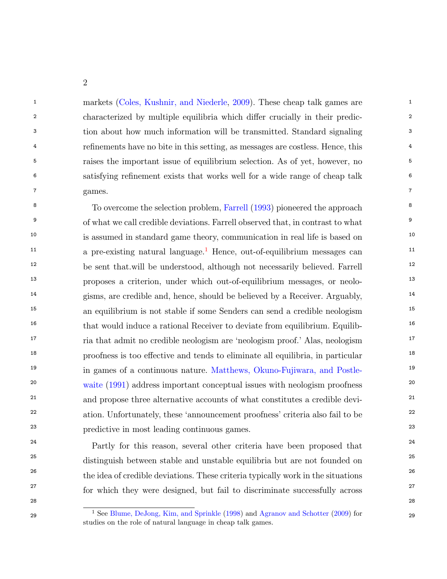<sup>1</sup> 1 markets [\(Coles, Kushnir, and Niederle,](#page-43-0) [2009\)](#page-43-0). These cheap talk games are <sup>1</sup> <sup>2</sup> 2 characterized by multiple equilibria which differ crucially in their predic-3 3 tion about how much information will be transmitted. Standard signaling <sup>4</sup> <sup>4</sup> refinements have no bite in this setting, as messages are costless. Hence, this 5 5 raises the important issue of equilibrium selection. As of yet, however, no 6 6 satisfying renement exists that works well for a wide range of cheap talk  $\sigma$  ames. The same state  $\sigma$  and  $\sigma$  and  $\sigma$  and  $\sigma$  and  $\sigma$  and  $\sigma$  and  $\sigma$  and  $\sigma$  and  $\sigma$  and  $\sigma$  and  $\sigma$  and  $\sigma$  and  $\sigma$  and  $\sigma$  and  $\sigma$  and  $\sigma$  and  $\sigma$  and  $\sigma$  and  $\sigma$  and  $\sigma$  and  $\sigma$  and  $\sigma$  a games.

<sup>8</sup> To overcome the selection problem, [Farrell](#page-44-0) [\(1993\)](#page-44-0) pioneered the approach <sup>8</sup> <sup>9</sup> of what we call credible deviations. Farrell observed that, in contrast to what <sup>9</sup> <sup>10</sup> is assumed in standard game theory, communication in real life is based on <sup>10</sup> <sup>[1](#page-2-0)1</sup> a pre-existing natural language.<sup>1</sup> Hence, out-of-equilibrium messages can <sup>12</sup> be sent that will be understood, although not necessarily believed. Farrell <sup>12</sup> 13 13 proposes a criterion, under which out-of-equilibrium messages, or neolo-<sup>14</sup> gisms, are credible and, hence, should be believed by a Receiver. Arguably, <sup>14</sup> <sup>15</sup> 15 an equilibrium is not stable if some Senders can send a credible neologism<sup>15</sup> <sup>16</sup> that would induce a rational Receiver to deviate from equilibrium. Equilib-<sup>17</sup> 17 17 17 17 17 17 18 that admit no credible neologism are 'neologism proof.' Alas, neologism <sup>17</sup> <sup>18</sup> 18 proofness is too effective and tends to eliminate all equilibria, in particular <sup>19</sup> in games of a continuous nature. Matthews, Okuno-Fujiwara, and Postle-<sup>19</sup> <sup>20</sup> <sup>20</sup> [waite](#page-44-1) [\(1991\)](#page-44-1) address important conceptual issues with neologism proofness<sup>20</sup> <sup>21</sup> and propose three alternative accounts of what constitutes a credible devi-<sup>22</sup> ation. Unfortunately, these 'announcement proofness' criteria also fail to be <sup>22</sup> 23 23 predictive in most leading continuous games.

<sup>24</sup> Partly for this reason, several other criteria have been proposed that <sup>25</sup> distinguish between stable and unstable equilibria but are not founded on <sup>25</sup> <sup>26</sup> the idea of credible deviations. These criteria typically work in the situations<sup>26</sup> <sup>27</sup> <sup>27</sup> for which they were designed, but fail to discriminate successfully across<sup>27</sup>

<span id="page-2-0"></span><sup>&</sup>lt;sup>1</sup> See [Blume, DeJong, Kim, and Sprinkle](#page-42-0) [\(1998\)](#page-42-0) and [Agranov and Schotter](#page-42-1) [\(2009\)](#page-42-1) for <sup>29</sup> studies on the role of natural language in cheap talk games.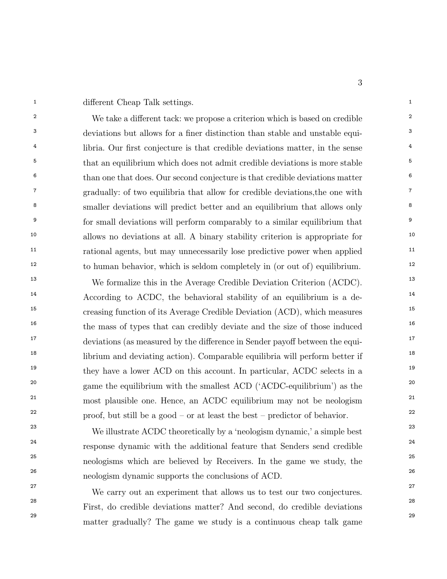<sup>1</sup> 1 different Cheap Talk settings.

<sup>2</sup> We take a different tack: we propose a criterion which is based on credible <sup>2</sup> <sup>3</sup> deviations but allows for a finer distinction than stable and unstable equi-<sup>4</sup> libria. Our first conjecture is that credible deviations matter, in the sense <sup>4</sup> <sup>5</sup> that an equilibrium which does not admit credible deviations is more stable <sup>5</sup> <sup>6</sup> than one that does. Our second conjecture is that credible deviations matter <sup>6</sup> <sup>7</sup> gradually: of two equilibria that allow for credible deviations, the one with <sup>7</sup> <sup>8</sup> smaller deviations will predict better and an equilibrium that allows only <sup>8</sup> <sup>9</sup> for small deviations will perform comparably to a similar equilibrium that <sup>9</sup> <sup>10</sup> allows no deviations at all. A binary stability criterion is appropriate for <sup>10</sup> <sup>11</sup> 11 rational agents, but may unnecessarily lose predictive power when applied<sup>11</sup> <sup>12</sup> to human behavior, which is seldom completely in (or out of) equilibrium.<sup>12</sup>

<sup>13</sup> We formalize this in the Average Credible Deviation Criterion (ACDC).<sup>13</sup> <sup>14</sup> According to ACDC, the behavioral stability of an equilibrium is a de-<sup>15</sup> 15 creasing function of its Average Credible Deviation (ACD), which measures<sup>15</sup> <sup>16</sup> the mass of types that can credibly deviate and the size of those induced<sup>16</sup>  $17$  deviations (as measured by the difference in Sender payoff between the equi-<sup>18</sup> 18 librium and deviating action). Comparable equilibria will perform better if <sup>19</sup> they have a lower ACD on this account. In particular, ACDC selects in a <sup>19</sup> <sup>20</sup> game the equilibrium with the smallest ACD ('ACDC-equilibrium') as the <sup>20</sup> <sup>21</sup> most plausible one. Hence, an ACDC equilibrium may not be neologism<sup>21</sup>  $22$  proof, but still be a good – or at least the best – predictor of behavior.

<sup>23</sup> 23 We illustrate ACDC theoretically by a 'neologism dynamic,' a simple best<sup>23</sup> 24 response dynamic with the additional feature that Senders send credible 25 neologisms which are believed by Receivers. In the game we study, the 26 neologism dynamic supports the conclusions of ACD.

27 27 We carry out an experiment that allows us to test our two conjectures. 28 28 First, do credible deviations matter? And second, do credible deviations 29 29 matter gradually? The game we study is a continuous cheap talk game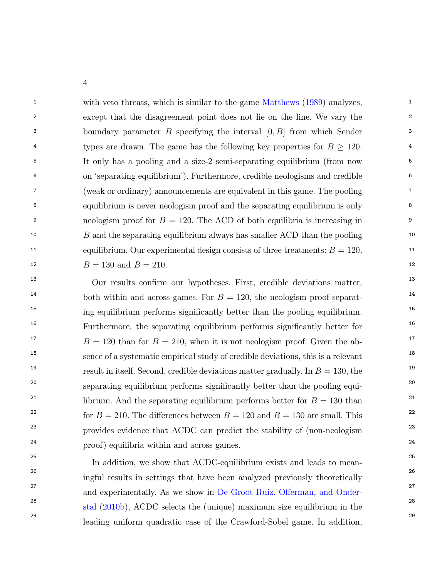<sup>1</sup> 1 with veto threats, which is similar to the game [Matthews](#page-44-2) [\(1989\)](#page-44-2) analyzes, 2 2 except that the disagreement point does not lie on the line. We vary the <sup>3</sup> 3 boundary parameter *B* specifying the interval [0, *B*] from which Sender<sup>3</sup> <sup>4</sup> types are drawn. The game has the following key properties for  $B \ge 120$ . 5 5 It only has a pooling and a size-2 semi-separating equilibrium (from now 6 6 on `separating equilibrium'). Furthermore, credible neologisms and credible 7 7 (weak or ordinary) announcements are equivalent in this game. The pooling 8 8 equilibrium is never neologism proof and the separating equilibrium is only 9 9 neologism proof for B = 120. The ACD of both equilibria is increasing in <sup>10</sup> 10 B and the separating equilibrium always has smaller ACD than the pooling <sup>10</sup> <sup>11</sup> 11 equilibrium. Our experimental design consists of three treatments:  $B = 120$ , 12  $B = 130$  and  $B = 210$ .

<sup>13</sup> Our results confirm our hypotheses. First, credible deviations matter, <sup>13</sup> <sup>14</sup> both within and across games. For  $B = 120$ , the neologism proof separat-<sup>15</sup> 15 ing equilibrium performs significantly better than the pooling equilibrium. <sup>16</sup> Furthermore, the separating equilibrium performs significantly better for <sup>16</sup> <sup>17</sup>  $B = 120$  than for  $B = 210$ , when it is not neologism proof. Given the ab-<sup>18</sup> sence of a systematic empirical study of credible deviations, this is a relevant 19 19 result in itself. Second, credible deviations matter gradually. In B = 130, the <sup>20</sup> separating equilibrium performs significantly better than the pooling equi-<sup>21</sup> librium. And the separating equilibrium performs better for  $B = 130$  than <sup>22</sup> for  $B = 210$ . The differences between  $B = 120$  and  $B = 130$  are small. This <sup>23</sup> provides evidence that ACDC can predict the stability of (non-neologism<sup>23</sup> <sup>24</sup> proof) equilibria within and across games.

<sup>25</sup><br>In addition, we show that ACDC-equilibrium exists and leads to mean-26 26 ingful results in settings that have been analyzed previously theoretically <sup>27</sup> 27 and experimentally. As we show in De Groot Ruiz, Offerman, and Onder<sup>28</sup> 28 <sub>28</sub> 100 [stal](#page-43-1) [\(2010b\)](#page-43-1), ACDC selects the (unique) maximum size equilibrium in the 29 29 leading uniform quadratic case of the Crawford-Sobel game. In addition,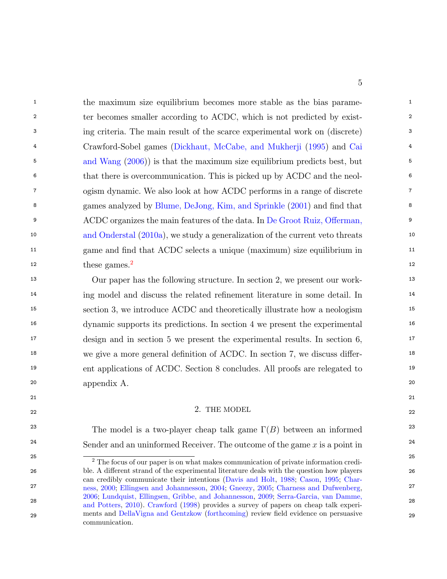<sup>1</sup> 1 the maximum size equilibrium becomes more stable as the bias parame-2 2 ter becomes smaller according to ACDC, which is not predicted by exist-3 3 ing criteria. The main result of the scarce experimental work on (discrete) 4 4 Crawford-Sobel games [\(Dickhaut, McCabe, and Mukherji](#page-43-2) [\(1995\)](#page-43-2) and [Cai](#page-43-3) <sup>5</sup> [and Wang](#page-43-3) [\(2006\)](#page-43-3)) is that the maximum size equilibrium predicts best, but 6 6 that there is overcommunication. This is picked up by ACDC and the neol-7 7 ogism dynamic. We also look at how ACDC performs in a range of discrete <sup>8</sup> games analyzed by [Blume, DeJong, Kim, and Sprinkle](#page-43-4) [\(2001\)](#page-43-4) and find that <sup>8</sup> <sup>9</sup> ACDC organizes the main features of the data. In De Groot Ruiz, Offerman, <sup>10</sup> 10 10 [and Onderstal](#page-43-5) [\(2010a\)](#page-43-5), we study a generalization of the current veto threats <sup>11</sup> game and find that ACDC selects a unique (maximum) size equilibrium in  $12$  $12$  these games.<sup>2</sup> 12

 13 Our paper has the following structure. In section 2, we present our work-<sup>14</sup> ing model and discuss the related refinement literature in some detail. In <sup>14</sup> 15 section 3, we introduce ACDC and theoretically illustrate how a neologism 16 dynamic supports its predictions. In section 4 we present the experimental 17 design and in section 5 we present the experimental results. In section 6, <sup>18</sup> we give a more general definition of ACDC. In section 7, we discuss differ- 19 ent applications of ACDC. Section 8 concludes. All proofs are relegated to 20 appendix A.

#### 22  $\angle$  and  $\angle$  22  $\angle$  22  $\angle$  22  $\angle$  22  $\angle$  22  $\angle$  22  $\angle$  22  $\angle$  22  $\angle$  22  $\angle$  22  $\angle$  22  $\angle$  22  $\angle$  22  $\angle$  22  $\angle$  22  $\angle$  22  $\angle$  22  $\angle$  22  $\angle$  22  $\angle$  22  $\angle$  22  $\angle$  22  $\angle$  22  $\angle$  22  $\angle$  22  $\angle$  22 2. THE MODEL

21 21

<sup>23</sup> The model is a two-player cheap talk game  $\Gamma(B)$  between an informed<sup>23</sup> <sup>24</sup> 24 Sender and an uninformed Receiver. The outcome of the game x is a point in

<span id="page-5-0"></span><sup>&</sup>lt;sup>25</sup> <sup>2</sup> The focus of our paper is on what makes communication of private information credi-26 ble. A different strand of the experimental literature deals with the question how players 26 27 27 [ness,](#page-43-8) [2000;](#page-43-8) [Ellingsen and Johannesson,](#page-43-9) [2004;](#page-43-9) [Gneezy,](#page-44-3) [2005;](#page-44-3) [Charness and Dufwenberg,](#page-43-10) 28 28 [and Potters,](#page-44-5) [2010\)](#page-44-5). [Crawford](#page-43-11) [\(1998\)](#page-43-11) provides a survey of papers on cheap talk experi-29 ments and [DellaVigna and Gentzkow](#page-43-12) [\(forthcoming\)](#page-43-12) review field evidence on persuasive 29 can credibly communicate their intentions [\(Davis and Holt,](#page-43-6) [1988;](#page-43-6) [Cason,](#page-43-7) [1995;](#page-43-7) [Char-](#page-43-8)[2006;](#page-43-10) [Lundquist, Ellingsen, Gribbe, and Johannesson,](#page-44-4) [2009;](#page-44-4) [Serra-Garcia, van Damme,](#page-44-5) communication.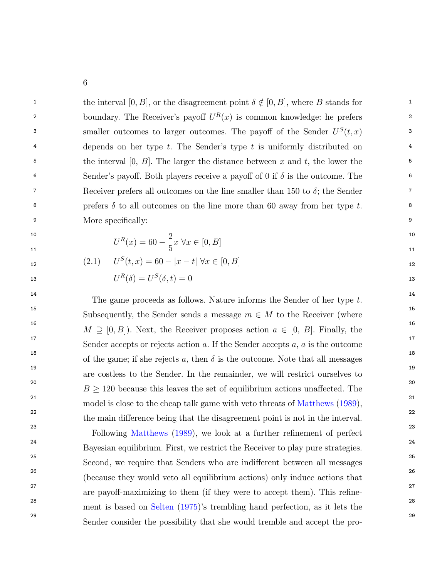the interval  $[0, B]$ , or the disagreement point  $\delta \notin [0, B]$ , where B stands for 2 boundary. The Receiver's payoff  $U^R(x)$  is common knowledge: he prefers 2 3 smaller outcomes to larger outcomes. The payoff of the Sender  $U^S(t,x)$  3 <sup>4</sup> depends on her type t. The Sender's type t is uniformly distributed on <sup>4</sup> <sup>5</sup> <sup>the</sup> interval [0, B]. The larger the distance between x and t, the lower the <sup>5</sup> <sup>6</sup> Sender's payoff. Both players receive a payoff of 0 if  $\delta$  is the outcome. The Propose Receiver prefers all outcomes on the line smaller than 150 to  $\delta$ ; the Sender <sup>8</sup> b prefers  $\delta$  to all outcomes on the line more than 60 away from her type t. e 9 More specifically:

<span id="page-6-0"></span> $11$  11

$$
U^{R}(x) = 60 - \frac{2}{5}x \,\forall x \in [0, B]
$$

$$
U^{S}(t,x) = 60 - |x - t| \,\forall x \in [0, B]
$$

 $U^R(\delta)=U^S(\delta,t)=0$ 

14 14 <sup>15</sup> 15 Subsequently, the Sender sends a message  $m \in M$  to the Receiver (where <sup>16</sup>  $M \supseteq [0, B]$ ). Next, the Receiver proposes action  $a \in [0, B]$ . Finally, the 17 17 <sup>18</sup> 18 of the game; if she rejects a, then  $\delta$  is the outcome. Note that all messages 19 19 are costless to the Sender. In the remainder, we will restrict ourselves to <sup>20</sup>  $B \ge 120$  because this leaves the set of equilibrium actions unaffected. The  $\begin{equation} \begin{array}{c} \text{21} \ \text{221} \ \text{233} \ \text{243} \ \text{253} \ \text{263} \ \text{27} \ \text{289} \ \text{283} \end{array} \end{equation}$ 22 and  $\alpha$  22 and  $\alpha$  22 and  $\alpha$  22 and  $\alpha$  22 and  $\alpha$  22 and  $\alpha$  22 and  $\alpha$  22 The game proceeds as follows. Nature informs the Sender of her type t. Sender accepts or rejects action a. If the Sender accepts  $a, a$  is the outcome the main difference being that the disagreement point is not in the interval.

<sup>23</sup><br>Following [Matthews](#page-44-2) [\(1989\)](#page-44-2), we look at a further refinement of perfect<sup>23</sup> <sup>24</sup> Bayesian equilibrium. First, we restrict the Receiver to play pure strategies. <sup>25</sup> 25 25 Second, we require that Senders who are indifferent between all messages 26 26 (because they would veto all equilibrium actions) only induce actions that  $27$  are payoff-maximizing to them (if they were to accept them). This refine-28 28 ment is based on [Selten](#page-44-6) [\(1975\)](#page-44-6)'s trembling hand perfection, as it lets the 29 29 Sender consider the possibility that she would tremble and accept the pro-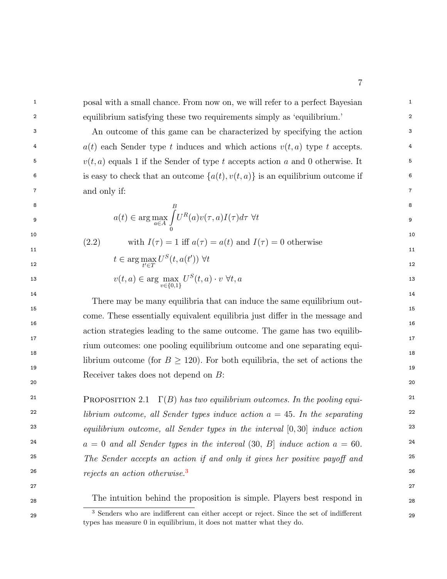<sup>1</sup> 1 posal with a small chance. From now on, we will refer to a perfect Bayesian <sup>1</sup> 2 2 equilibrium satisfying these two requirements simply as `equilibrium.'

3 3 An outcome of this game can be characterized by specifying the action <sup>4</sup>  $a(t)$  each Sender type t induces and which actions  $v(t, a)$  type t accepts.  $v(t, a)$  equals 1 if the Sender of type t accepts action a and 0 otherwise. It <sup>6</sup> is easy to check that an outcome  $\{a(t), v(t, a)\}\)$  is an equilibrium outcome if  $\qquad \qquad$ 7 7 and only if:

$$
a(t) \in \arg\max_{a \in A} \int_{0}^{B} U^{R}(a)v(\tau, a)I(\tau)d\tau \,\,\forall t
$$

 $10$  $11$  11 (2.2) with  $I(\tau) = 1$  iff  $a(\tau) = a(t)$  and  $I(\tau) = 0$  otherwise  $U^S(t,a(t'))$   $\forall t$ 

12  
\n
$$
t \in \arg\max_{t' \in T} U^S(t, a(t')) \ \forall t
$$
\n12  
\n13  
\n
$$
v(t, a) \in \arg\max_{v \in \{0, 1\}} U^S(t, a) \cdot v \ \forall t, a
$$
\n13

14 14  $15$  15  $16$  $17$  and  $17$  and  $17$  and  $17$  and  $17$  and  $17$  and  $17$  and  $17$  and  $17$  and  $17$  and  $17$  and  $17$  and  $17$  and  $17$  and  $17$  and  $17$  and  $17$  and  $17$  and  $17$  and  $17$  and  $17$  and  $17$  and  $17$  and  $17$  and  $17$  <sup>18</sup><br>librium outcome (for  $B \ge 120$ ). For both equilibria, the set of actions the  $19$ There may be many equilibria that can induce the same equilibrium outcome. These essentially equivalent equilibria just differ in the message and action strategies leading to the same outcome. The game has two equilibrium outcomes: one pooling equilibrium outcome and one separating equi-Receiver takes does not depend on B:

 $20$ 

<sup>21</sup> PROPOSITION 2.1  $\Gamma(B)$  has two equilibrium outcomes. In the pooling equi- $22$  librium outcome, all Sender types induce action  $a = 45$ . In the separating  $22$  $equilibrium\ outcome,\ all\ Sender\ types\ in\ the\ interval\ [0,30]\ induce\ action$   $2^3$ <sup>24</sup>  $a = 0$  and all Sender types in the interval  $(30, B]$  induce action  $a = 60$ .  $25$  25 The Sender accepts an action if and only it gives her positive payoff and  $25$ 26 26 rejects an action otherwise.[3](#page-7-0)

27 27

28 28 The intuition behind the proposition is simple. Players best respond in

<span id="page-7-0"></span><sup>&</sup>lt;sup>3</sup> Senders who are indifferent can either accept or reject. Since the set of indifferent 29 types has measure 0 in equilibrium, it does not matter what they do.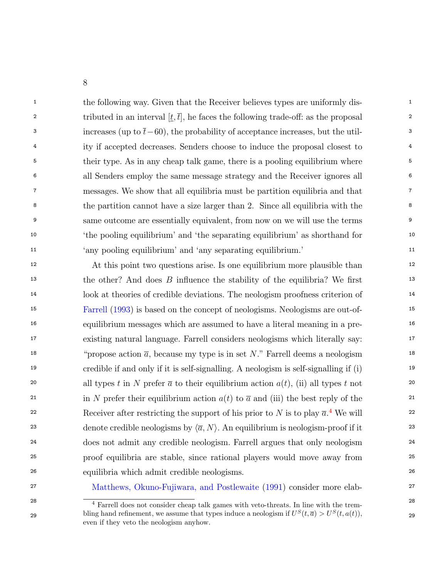<sup>1</sup> the following way. Given that the Receiver believes types are uniformly dis-2 2 tributed in an interval [t;t], he faces the following trade-o: as the proposal 3 increases (up to  $\bar{t}$  – 60), the probability of acceptance increases, but the util-<sup>4</sup> ity if accepted decreases. Senders choose to induce the proposal closest to <sup>4</sup> <sup>5</sup> <sup>5</sup> their type. As in any cheap talk game, there is a pooling equilibrium where <sup>5</sup> 6 6 all Senders employ the same message strategy and the Receiver ignores all 7 7 messages. We show that all equilibria must be partition equilibria and that 8 8 the partition cannot have a size larger than 2. Since all equilibria with the 9 9 same outcome are essentially equivalent, from now on we will use the terms <sup>10</sup> <sup>the</sup> pooling equilibrium' and 'the separating equilibrium' as shorthand for <sup>10</sup> 11 11 `any pooling equilibrium' and `any separating equilibrium.'

<sup>12</sup> 12 At this point two questions arise. Is one equilibrium more plausible than  $\mu$ <sup>13</sup> the other? And does *B* influence the stability of the equilibria? We first <sup>13</sup> 14 14 look at theories of credible deviations. The neologism proofness criterion of 15 15 [Farrell](#page-44-0) [\(1993\)](#page-44-0) is based on the concept of neologisms. Neologisms are out-of-16 16 equilibrium messages which are assumed to have a literal meaning in a pre-17 17 existing natural language. Farrell considers neologisms which literally say: <sup>18</sup> "propose action  $\overline{a}$ , because my type is in set N." Farrell deems a neologism<sup>18</sup> 19 19 credible if and only if it is self-signalling. A neologism is self-signalling if (i) <sup>20</sup> all types t in N prefer  $\bar{a}$  to their equilibrium action  $a(t)$ , (ii) all types t not <sup>21</sup> in N prefer their equilibrium action  $a(t)$  to  $\overline{a}$  and (iii) the best reply of the <sup>21</sup> 22 Receiver after restricting the support of his prior to N is to play  $\overline{a}$ .<sup>[4](#page-8-0)</sup> We will 22 23 denote credible neologisms by  $\langle \overline{a}, N \rangle$ . An equilibrium is neologism-proof if it 23 24 24 does not admit any credible neologism. Farrell argues that only neologism 25 25 proof equilibria are stable, since rational players would move away from 26 26 equilibria which admit credible neologisms.

<span id="page-8-0"></span>

27 27 [Matthews, Okuno-Fujiwara, and Postlewaite](#page-44-1) [\(1991\)](#page-44-1) consider more elab-

<sup>&</sup>lt;sup>28</sup> <sup>4</sup> Farrell does not consider cheap talk games with veto-threats. In line with the trembling hand refinement, we assume that types induce a neologism if  $U^S(t, \bar{a}) > U^S(t, a(t))$ , 29 even if they veto the neologism anyhow.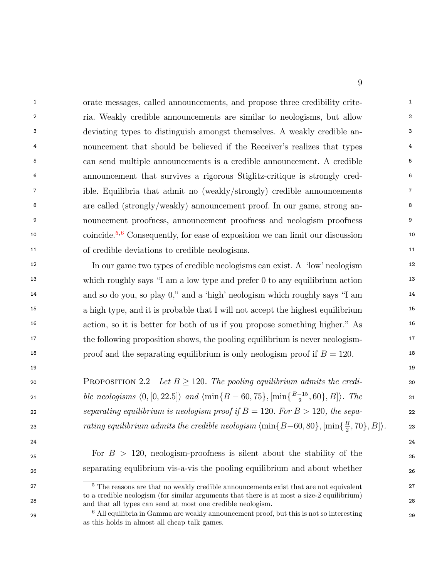<sup>1</sup> 1 orate messages, called announcements, and propose three credibility crite-<sup>1</sup> 2 2 ria. Weakly credible announcements are similar to neologisms, but allow 3 3 deviating types to distinguish amongst themselves. A weakly credible an-<sup>4</sup> 1 nouncement that should be believed if the Receiver's realizes that types 5 5 can send multiple announcements is a credible announcement. A credible 6 6 announcement that survives a rigorous Stiglitz-critique is strongly cred-<sup>7</sup> ible. Equilibria that admit no (weakly/strongly) credible announcements <sup>7</sup> <sup>8</sup> are called (strongly/weakly) announcement proof. In our game, strong an-<sup>8</sup> 9 9 nouncement proofness, announcement proofness and neologism proofness <sup>10</sup> 10 coincide.<sup>[5](#page-9-0),[6](#page-9-1)</sup> Consequently, for ease of exposition we can limit our discussion 11 of credible deviations to credible neologisms.

12 12 In our game two types of credible neologisms can exist. A `low' neologism <sup>13</sup> which roughly says "I am a low type and prefer 0 to any equilibrium action<sup>13</sup> <sup>14</sup> and so do you, so play 0," and a 'high' neologism which roughly says "I am <sup>14</sup> <sup>15</sup> 15 15 a high type, and it is probable that I will not accept the highest equilibrium 16 16 action, so it is better for both of us if you propose something higher." As <sup>17</sup> the following proposition shows, the pooling equilibrium is never neologism-<sup>18</sup> 18 proof and the separating equilibrium is only neologism proof if  $B = 120$ .

| 20 | <b>PROPOSITION</b> 2.2 Let $B \ge 120$ . The pooling equilibrium admits the credi-                     | 20 |
|----|--------------------------------------------------------------------------------------------------------|----|
| 21 | ble neologisms $(0, [0, 22.5])$ and $\{\min\{B - 60, 75\}, [\min\{\frac{B - 15}{2}, 60\}, B]\}$ . The  | 21 |
| 22 | separating equilibrium is neologism proof if $B = 120$ . For $B > 120$ , the sepa-                     | 22 |
| 23 | rating equilibrium admits the credible neologism $\{\min\{B-60, 80\}, [\min\{\frac{B}{2}, 70\}, B]\}.$ | 23 |

 $19$ 

 $F_{25}$  For  $B > 120$ , neologism-proofness is silent about the stability of the  $_{25}$ 26 26 separating equlibrium vis-a-vis the pooling equilibrium and about whether

<span id="page-9-0"></span><sup>&</sup>lt;sup>5</sup> The reasons are that no weakly credible announcements exist that are not equivalent <sup>5</sup> 28 28 and that all types can send at most one credible neologism. to a credible neologism (for similar arguments that there is at most a size-2 equilibrium)

<span id="page-9-1"></span><sup>29</sup> 29 <sup>6</sup> All equilibria in Gamma are weakly announcement proof, but this is not so interesting as this holds in almost all cheap talk games.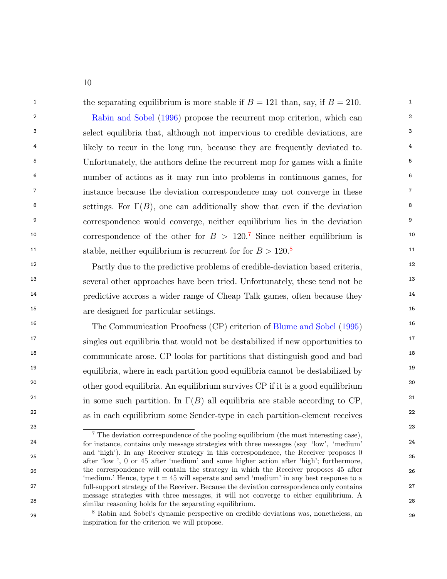<sup>1</sup> the separating equilibrium is more stable if  $B = 121$  than, say, if  $B = 210$ .

<sup>2</sup> 2 [Rabin and Sobel](#page-44-7) [\(1996\)](#page-44-7) propose the recurrent mop criterion, which can <sup>3</sup> select equilibria that, although not impervious to credible deviations, are <sup>3</sup> <sup>4</sup> likely to recur in the long run, because they are frequently deviated to. <sup>5</sup> 5 Unfortunately, the authors define the recurrent mop for games with a finite <sup>5</sup> 6 6 number of actions as it may run into problems in continuous games, for <sup>7</sup> instance because the deviation correspondence may not converge in these <sup>7</sup> <sup>8</sup> settings. For  $\Gamma(B)$ , one can additionally show that even if the deviation <sup>9</sup> correspondence would converge, neither equilibrium lies in the deviation <sup>9</sup> <sup>10</sup> correspondence of the other for  $B > 120$ .<sup>[7](#page-10-0)</sup> Since neither equilibrium is <sup>11</sup> stable, neither equilibrium is recurrent for  $B > 120$ .<sup>[8](#page-10-1)</sup>

<sup>12</sup> Partly due to the predictive problems of credible-deviation based criteria, <sup>12</sup> <sup>13</sup> several other approaches have been tried. Unfortunately, these tend not be <sup>13</sup> <sup>14</sup> 14 predictive accross a wider range of Cheap Talk games, often because they <sup>14</sup> 15 15 are designed for particular settings.

<sup>16</sup> The Communication Proofness (CP) criterion of [Blume and Sobel](#page-43-13) [\(1995\)](#page-43-13)<sup>16</sup> <sup>17</sup> singles out equilibria that would not be destabilized if new opportunities to <sup>17</sup> <sup>18</sup> communicate arose. CP looks for partitions that distinguish good and bad<sup>18</sup> <sup>19</sup> equilibria, where in each partition good equilibria cannot be destabilized by <sup>20</sup> <sup>20</sup> other good equilibria. An equilibrium survives CP if it is a good equilibrium <sup>20</sup> <sup>21</sup> in some such partition. In  $\Gamma(B)$  all equilibria are stable according to CP, <sup>21</sup> <sup>22</sup> as in each equilibrium some Sender-type in each partition-element receives<sup>22</sup>

<span id="page-10-0"></span><sup>23</sup> 23 <sup>24</sup> for instance, contains only message strategies with three messages (say 'low', 'medium'<sup>24</sup> 25 after 'low ', 0 or 45 after 'medium' and some higher action after 'high'; furthermore, 26 26 the correspondence will contain the strategy in which the Receiver proposes 45 after 27 27 full-support strategy of the Receiver. Because the deviation correspondence only contains 28 28 similar reasoning holds for the separating equilibrium. <sup>7</sup> The deviation correspondence of the pooling equilibrium (the most interesting case), and `high'). In any Receiver strategy in this correspondence, the Receiver proposes 0 'medium.' Hence, type  $t = 45$  will seperate and send 'medium' in any best response to a message strategies with three messages, it will not converge to either equilibrium. A

<span id="page-10-1"></span><sup>29</sup> 29 <sup>8</sup> Rabin and Sobel's dynamic perspective on credible deviations was, nonetheless, an inspiration for the criterion we will propose.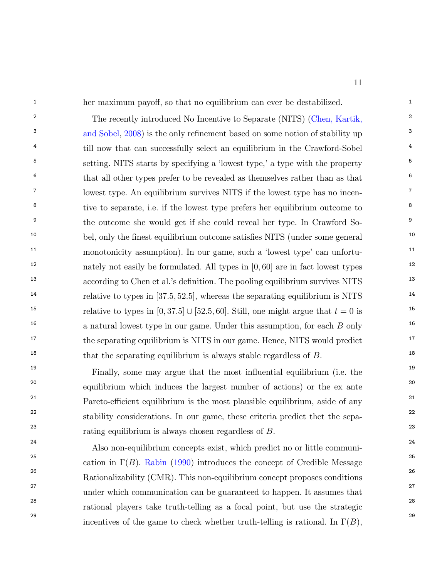<sup>1</sup> her maximum payoff, so that no equilibrium can ever be destabilized.

2 2 The recently introduced No Incentive to Separate (NITS) [\(Chen, Kartik,](#page-43-14) <sup>3</sup> [and Sobel,](#page-43-14) [2008\)](#page-43-14) is the only refinement based on some notion of stability up <sup>4</sup> <sup>4</sup> till now that can successfully select an equilibrium in the Crawford-Sobel<sup>4</sup> <sup>5</sup> setting. NITS starts by specifying a 'lowest type,' a type with the property <sup>5</sup>  $6 \text{ that all other types prefer to be revealed as themselves rather than as that } 6$ <sup>7</sup> lowest type. An equilibrium survives NITS if the lowest type has no incen-<sup>8</sup> tive to separate, i.e. if the lowest type prefers her equilibrium outcome to <sup>8</sup> <sup>9</sup> the outcome she would get if she could reveal her type. In Crawford So-<sup>10</sup> bel, only the finest equilibrium outcome satisfies NITS (under some general <sup>10</sup> <sup>11</sup> monotonicity assumption). In our game, such a 'lowest type' can unfortu-<sup>12</sup> 12 nately not easily be formulated. All types in [0,60] are in fact lowest types <sup>13</sup> 13 13 according to Chen et al.'s definition. The pooling equilibrium survives NITS 14 14 relative to types in [37:5; 52:5], whereas the separating equilibrium is NITS <sup>15</sup> 15 15 15 15 16 16 relative to types in [0, 37.5]  $\cup$  [52.5, 60]. Still, one might argue that  $t = 0$  is <sup>16</sup> 16 16 16 a natural lowest type in our game. Under this assumption, for each  $B$  only <sup>17</sup> the separating equilibrium is NITS in our game. Hence, NITS would predict <sup>17</sup>  $\mu$ <sup>18</sup> that the separating equilibrium is always stable regardless of B.

<sup>19</sup> 19 Finally, some may argue that the most influential equilibrium (i.e. the <sup>20</sup> equilibrium which induces the largest number of actions) or the ex ante <sup>20</sup>  $P$ areto-efficient equilibrium is the most plausible equilibrium, aside of any <sup>22</sup> stability considerations. In our game, these criteria predict thet the sepa- $23$  rating equilibrium is always chosen regardless of  $B$ .

 24 Also non-equilibrium concepts exist, which predict no or little communi-<sup>25</sup> cation in  $\Gamma(B)$ . [Rabin](#page-44-8) [\(1990\)](#page-44-8) introduces the concept of Credible Message <sup>25</sup> 26 Rationalizability (CMR). This non-equilibrium concept proposes conditions 27 under which communication can be guaranteed to happen. It assumes that 28 rational players take truth-telling as a focal point, but use the strategic 29 incentives of the game to check whether truth-telling is rational. In  $\Gamma(B)$ , 29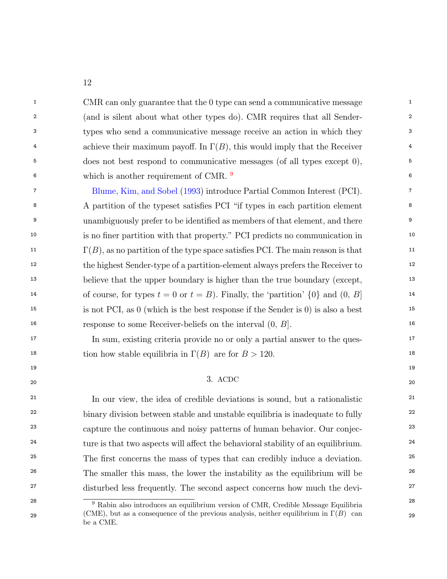<sup>1</sup> 1 CMR can only guarantee that the 0 type can send a communicative message <sup>1</sup> 2 2 (and is silent about what other types do). CMR requires that all Sender-3 3 types who send a communicative message receive an action in which they 4 achieve their maximum payoff. In  $\Gamma(B)$ , this would imply that the Receiver 5 5 does not best respond to communicative messages (of all types except 0), <sup>6</sup> which is another requirement of CMR. <sup>[9](#page-12-0)</sup>

<sup>7</sup> [Blume, Kim, and Sobel](#page-43-15) [\(1993\)](#page-43-15) introduce Partial Common Interest (PCI). <sup>8</sup> A partition of the typeset satisfies PCI "if types in each partition element <sup>8</sup> <sup>9</sup> unambiguously prefer to be identified as members of that element, and there <sup>9</sup> <sup>10</sup> is no finer partition with that property." PCI predicts no communication in  $\Gamma(B)$ , as no partition of the type space satisfies PCI. The main reason is that  $11$ 12 12 the highest Sender-type of a partition-element always prefers the Receiver to <sup>13</sup> 13 believe that the upper boundary is higher than the true boundary (except, <sup>13</sup> <sup>14</sup> of course, for types  $t = 0$  or  $t = B$ ). Finally, the 'partition'  $\{0\}$  and  $(0, B]$ <sup>14</sup> 15 15 is not PCI, as 0 (which is the best response if the Sender is 0) is also a best 16 16 response to some Receiver-beliefs on the interval (0; B].

<sup>17</sup> 17 In sum, existing criteria provide no or only a partial answer to the ques-<sup>18</sup> tion how stable equilibria in  $\Gamma(B)$  are for  $B > 120$ .

### $19$ 20 20 20 20  $\sqrt{3}$  20  $\sqrt{2}$  20  $\sqrt{2}$  20  $\sqrt{2}$  20  $\sqrt{2}$  20  $\sqrt{2}$  20  $\sqrt{2}$  20  $\sqrt{2}$  20  $\sqrt{2}$  20  $\sqrt{2}$  20  $\sqrt{2}$  20  $\sqrt{2}$  20  $\sqrt{2}$  20  $\sqrt{2}$  20  $\sqrt{2}$  20  $\sqrt{2}$  20  $\sqrt{2}$  20  $\sqrt{2}$  20  $\sqrt{2}$  20 3. ACDC

<sup>21</sup> In our view, the idea of credible deviations is sound, but a rationalistic <sup>21</sup> <sup>22</sup> binary division between stable and unstable equilibria is inadequate to fully <sup>22</sup> <sup>23</sup> capture the continuous and noisy patterns of human behavior. Our conjec-<sup>24</sup> ture is that two aspects will affect the behavioral stability of an equilibrium.<sup>24</sup> <sup>25</sup> 25 The first concerns the mass of types that can credibly induce a deviation.<sup>25</sup> <sup>26</sup> 26 The smaller this mass, the lower the instability as the equilibrium will be <sup>26</sup> <sup>27</sup> disturbed less frequently. The second aspect concerns how much the devi-

<span id="page-12-0"></span><sup>9</sup> Rabin also introduces an equilibrium version of CMR, Credible Message Equilibria<sup>28</sup> 29 (CME), but as a consequence of the previous analysis, neither equilibrium in  $\Gamma(B)$  can 29 be a CME.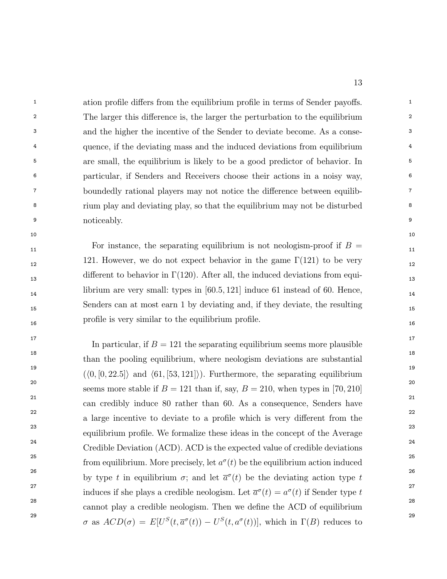<sup>1</sup> 1 ation profile differs from the equilibrium profile in terms of Sender payoffs. <sup>2</sup> 2 The larger this difference is, the larger the perturbation to the equilibrium <sup>2</sup> 3 3 and the higher the incentive of the Sender to deviate become. As a conse-<sup>4</sup> quence, if the deviating mass and the induced deviations from equilibrium <sup>4</sup> <sup>5</sup> are small, the equilibrium is likely to be a good predictor of behavior. In 6 6 particular, if Senders and Receivers choose their actions in a noisy way, <sup>7</sup> boundedly rational players may not notice the difference between equilib-8 8 rium play and deviating play, so that the equilibrium may not be disturbed 9 noticeably.

 $\frac{11}{11}$  For instance, the separating equilibrium is not neologism-proof if  $B =$ 121. However, we do not expect behavior in the game  $\Gamma(121)$  to be very 12 different to behavior in  $\Gamma(120)$ . After all, the induced deviations from equi-14 librium are very small: types in [60.5, 121] induce 61 instead of 60. Hence, 15 15 Senders can at most earn 1 by deviating and, if they deviate, the resulting 16 16 prole is very similar to the equilibrium prole.

 $10$ 

<sup>17</sup> 17 In particular, if  $B = 121$  the separating equilibrium seems more plausible <sup>18</sup> 18 than the pooling equilibrium, where neologism deviations are substantial <sup>19</sup>  $({\langle}0,[0,22.5])$  and  ${\langle}61,[53,121]\rangle)$ . Furthermore, the separating equilibrium <sup>20</sup> seems more stable if  $B = 121$  than if, say,  $B = 210$ , when types in [70, 210] <sup>21</sup> can credibly induce 80 rather than 60. As a consequence, Senders have <sup>21</sup> 22 and the contract of the contract of the contract of the contract of the contract of the contract of the contract of the contract of the contract of the contract of the contract of the contract of the contract of the co <sup>23</sup> equilibrium profile. We formalize these ideas in the concept of the Average <sup>23</sup> <sup>24</sup> <sup>24</sup> Credible Deviation (ACD). ACD is the expected value of credible deviations<sup>24</sup> <sup>25</sup> 25 from equilibrium. More precisely, let  $a^{\sigma}(t)$  be the equilibrium action induced <sup>26</sup> by type t in equilibrium  $\sigma$ ; and let  $\bar{a}^{\sigma}(t)$  be the deviating action type t <sup>27</sup> induces if she plays a credible neologism. Let  $\overline{a}^{\sigma}(t) = a^{\sigma}(t)$  if Sender type t<sup>27</sup> <sup>28</sup> cannot play a credible neologism. Then we define the ACD of equilibrium<sup>28</sup> <sup>29</sup>  $\sigma$  as  $ACD(\sigma) = E[U^S(t, \overline{a}^{\sigma}(t)) - U^S(t, a^{\sigma}(t))],$  which in  $\Gamma(B)$  reduces to a large incentive to deviate to a profile which is very different from the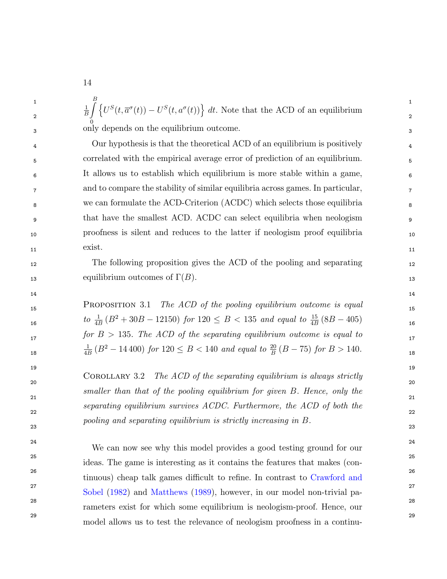1 and  $\begin{array}{cc} D & 1 \\ C & 1 \end{array}$ 2 by  $\left($   $\begin{array}{ccc} 2 & 2 \end{array}\right)$ 3 3 only depends on the equilibrium outcome. 1 B  $\int$ 0  $\left\{U^S(t, \overline{a}^{\sigma}(t)) - U^S(t, a^{\sigma}(t))\right\} dt$ . Note that the ACD of an equilibrium

 4 Our hypothesis is that the theoretical ACD of an equilibrium is positively 5 correlated with the empirical average error of prediction of an equilibrium. 6 It allows us to establish which equilibrium is more stable within a game, 7 and to compare the stability of similar equilibria across games. In particular, 8 we can formulate the ACD-Criterion (ACDC) which selects those equilibria 9 that have the smallest ACD. ACDC can select equilibria when neologism 10 proofness is silent and reduces to the latter if neologism proof equilibria  $\alpha$  11  $\alpha$  exist. 11 exist.

12 12 The following proposition gives the ACD of the pooling and separating 13 equilibrium outcomes of  $\Gamma(B)$ .

14 14

15 PROPOSITION 3.1 The ACD of the pooling equilibrium outcome is equal 15  $to \frac{1}{4B}(B^2+30B-12150)$  for  $120 \le B < 135$  and equal to  $\frac{15}{4B}(8B-405)$  16  $17$  for  $B > 135$ . The ACD of the separating equilibrium outcome is equal to 18  $\frac{4B}{C}$  11 100 for 120  $\leq D$  < 110 and equal to  $B$  ( $D$  10) for  $D > 110$ . 1  $\frac{1}{4B}$  ( $B^2 - 14\,400$ ) for  $120 \le B < 140$  and equal to  $\frac{20}{B}(B - 75)$  for  $B > 140$ .

 $\frac{1}{20}$  20 21 and  $\frac{1}{2}$  and  $\frac{1}{2}$  and  $\frac{1}{2}$  and  $\frac{1}{2}$  and  $\frac{1}{2}$  and  $\frac{1}{2}$  and  $\frac{1}{2}$  and  $\frac{1}{2}$  and  $\frac{1}{2}$  and  $\frac{1}{2}$  and  $\frac{1}{2}$  and  $\frac{1}{2}$  and  $\frac{1}{2}$  and  $\frac{1}{2}$  and  $\frac{1}{2}$  and  $\frac{$ 22 and  $\frac{1}{2}$  22 COROLLARY 3.2 The ACD of the separating equilibrium is always strictly smaller than that of the pooling equilibrium for given B. Hence, only the separating equilibrium survives ACDC. Furthermore, the ACD of both the pooling and separating equilibrium is strictly increasing in B.

23 23

 $19$ 

<sup>24</sup> <sup>24</sup> We can now see why this model provides a good testing ground for our <sup>24</sup> 25 25 ideas. The game is interesting as it contains the features that makes (con-<sup>26</sup> <sup>26</sup> tinuous) cheap talk games difficult to refine. In contrast to [Crawford and](#page-43-16) <sup>27</sup> 27 [Sobel](#page-43-16) [\(1982\)](#page-43-16) and [Matthews](#page-44-2) [\(1989\)](#page-44-2), however, in our model non-trivial pa-28 28 rameters exist for which some equilibrium is neologism-proof. Hence, our 29 29 model allows us to test the relevance of neologism proofness in a continu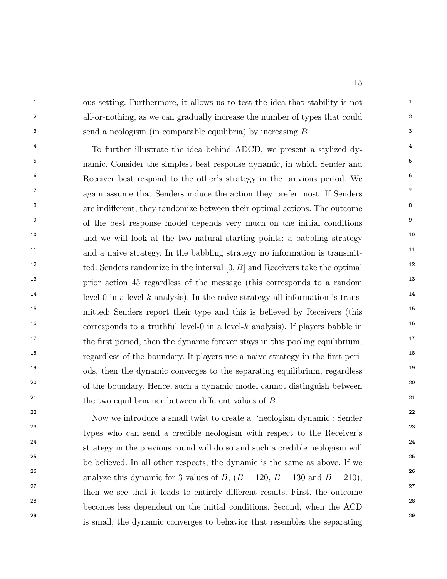<sup>1</sup> ous setting. Furthermore, it allows us to test the idea that stability is not 2 2 all-or-nothing, as we can gradually increase the number of types that could 3 3 send a neologism (in comparable equilibria) by increasing B.

<sup>4</sup> <sup>4</sup> To further illustrate the idea behind ADCD, we present a stylized dy-<sup>5</sup> namic. Consider the simplest best response dynamic, in which Sender and <sup>5</sup> <sup>6</sup> Receiver best respond to the other's strategy in the previous period. We <sup>6</sup>  $7\,$  again assume that Senders induce the action they prefer most. If Senders  $7\,$ <sup>8</sup> are indifferent, they randomize between their optimal actions. The outcome <sup>9</sup> of the best response model depends very much on the initial conditions<sup>9</sup> <sup>10</sup> 10 and we will look at the two natural starting points: a babbling strategy <sup>11</sup> and a naive strategy. In the babbling strategy no information is transmit-<sup>12</sup> ted: Senders randomize in the interval  $[0, B]$  and Receivers take the optimal <sup>13</sup> 13 prior action 45 regardless of the message (this corresponds to a random <sup>14</sup> level-0 in a level-k analysis). In the naive strategy all information is trans-<sup>15</sup> 15 mitted: Senders report their type and this is believed by Receivers (this <sup>16</sup> corresponds to a truthful level-0 in a level-k analysis). If players babble in <sup>17</sup> the first period, then the dynamic forever stays in this pooling equilibrium,  $18$  regardless of the boundary. If players use a naive strategy in the first peri-<sup>19</sup> ods, then the dynamic converges to the separating equilibrium, regardless <sup>19</sup> <sup>20</sup> of the boundary. Hence, such a dynamic model cannot distinguish between <sup>20</sup> <sup>21</sup> the two equilibria nor between different values of  $B$ .

<sup>22</sup> Now we introduce a small twist to create a 'neologism dynamic': Sender<sup>22</sup> 23 23 types who can send a credible neologism with respect to the Receiver's 24 24 strategy in the previous round will do so and such a credible neologism will 25 25 <sup>26</sup> analyze this dynamic for 3 values of B,  $(B = 120, B = 130 \text{ and } B = 210)$ , <sup>27</sup> then we see that it leads to entirely different results. First, the outcome <sup>28</sup> becomes less dependent on the initial conditions. Second, when the ACD<sup>28</sup> 29 29 is small, the dynamic converges to behavior that resembles the separatingbe believed. In all other respects, the dynamic is the same as above. If we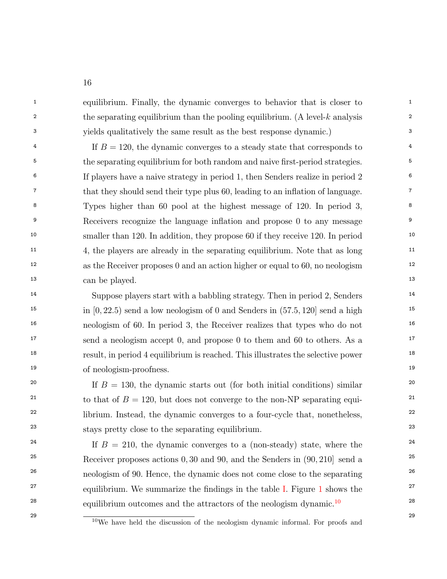<sup>1</sup> 1 equilibrium. Finally, the dynamic converges to behavior that is closer to <sup>1</sup> <sup>2</sup> the separating equilibrium than the pooling equilibrium. (A level-k analysis <sup>2</sup> 3 3 yields qualitatively the same result as the best response dynamic.)

 $\text{If } B = 120, \text{ the dynamic converges to a steady state that corresponds to }$ <sup>4</sup> <sup>5</sup> the separating equilibrium for both random and naive first-period strategies. <sup>5</sup> 6 6 If players have a naive strategy in period 1, then Senders realize in period 2 <sup>7</sup> that they should send their type plus 60, leading to an inflation of language.<sup>7</sup> 8 8 Types higher than 60 pool at the highest message of 120. In period 3, <sup>9</sup> Receivers recognize the language inflation and propose 0 to any message <sup>9</sup> <sup>10</sup> smaller than 120. In addition, they propose 60 if they receive 120. In period <sup>10</sup> <sup>11</sup> <sup>11</sup> <sup>4</sup>, the players are already in the separating equilibrium. Note that as long <sup>11</sup> 12 12 as the Receiver proposes 0 and an action higher or equal to 60, no neologism 13 13 can be played.

<sup>14</sup> Suppose players start with a babbling strategy. Then in period 2, Senders<sup>14</sup> <sup>15</sup> 15 15 in [0, 22.5) send a low neologism of 0 and Senders in  $(57.5, 120)$  send a high 16 16 neologism of 60. In period 3, the Receiver realizes that types who do not <sup>17</sup> 17 17 17 17 17 17 18 and a neologism accept 0, and propose 0 to them and 60 to others. As a <sup>18</sup> 18 result, in period 4 equilibrium is reached. This illustrates the selective power 19 19 of neologism-proofness.

<sup>20</sup> If  $B = 130$ , the dynamic starts out (for both initial conditions) similar <sup>20</sup> <sup>21</sup> to that of  $B = 120$ , but does not converge to the non-NP separating equi-<sup>22</sup> librium. Instead, the dynamic converges to a four-cycle that, nonetheless, <sup>22</sup> 23 23 stays pretty close to the separating equilibrium.

<sup>24</sup> If  $B = 210$ , the dynamic converges to a (non-steady) state, where the <sup>24</sup> <sup>25</sup> Receiver proposes actions 0, 30 and 90, and the Senders in  $(90, 210)$  send a<sup>25</sup> <sup>26</sup> 26 neologism of 90. Hence, the dynamic does not come close to the separating 26 <sup>27</sup> equilibrium. We summarize the findings in the table [I.](#page-18-0) Figure [1](#page-17-0) shows the  $^{27}$ <sup>28</sup> equilibrium outcomes and the attractors of the neologism dynamic.<sup>[10](#page-16-0)</sup> <sup>28</sup>

<span id="page-16-0"></span><sup>&</sup>lt;sup>29</sup> <sup>10</sup>We have held the discussion of the neologism dynamic informal. For proofs and <sup>29</sup>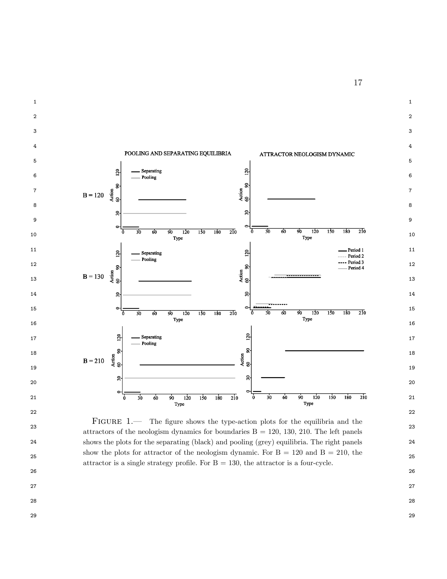

<span id="page-17-0"></span><sup>23</sup> attractors of the neologism dynamics for boundaries  $B = 120, 130, 210$ . The left panels 24 shows the plots for the separating (black) and pooling (grey) equilibria. The right panels 25 show the plots for attractor of the neologism dynamic. For  $B = 120$  and  $B = 210$ , the 25 FIGURE 1.— The figure shows the type-action plots for the equilibria and the attractor is a single strategy profile. For  $B = 130$ , the attractor is a four-cycle.

- 27
- 28
- 29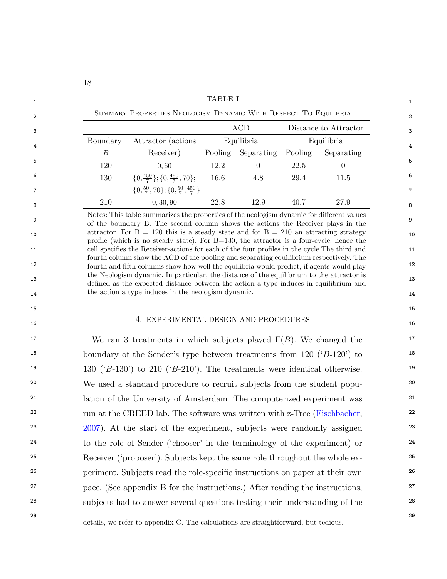<span id="page-18-0"></span>

|          |                                                          |         | <b>ACD</b> |         | Distance to Attractor |
|----------|----------------------------------------------------------|---------|------------|---------|-----------------------|
| Boundary | Attractor (actions)                                      |         | Equilibria |         | Equilibria            |
| В        | Receiver)                                                | Pooling | Separating | Pooling | Separating            |
| 120      | 0.60                                                     | 12.2    | $\theta$   | 22.5    | $\Omega$              |
| 130      | $\{0, \frac{450}{7}\}; \{0, \frac{450}{7}, 70\};$        | 16.6    | 4.8        | 29.4    | 11.5                  |
|          | $\{0,\frac{50}{7},70\};\{0,\frac{50}{7},\frac{450}{7}\}$ |         |            |         |                       |
| 210      | 0, 30, 90                                                | 22.8    | 12.9       | 40.7    | 27.9                  |

10<br>profile (which is no steady state). For B=130, the attractor is a four-cycle; hence the 11 **11** cell specifies the Receiver-actions for each of the four profiles in the cycle. The third and 11 <sup>12</sup> fourth and fifth columns show how well the equilibria would predict, if agents would play <sup>12</sup> 13 13 dened as the expected distance between the action a type induces in equilibrium and 14 14 the action a type induces in the neologism dynamic. fourth column show the ACD of the pooling and separating equilibrium respectively. The the Neologism dynamic. In particular, the distance of the equilibrium to the attractor is

#### 16 16 4. EXPERIMENTAL DESIGN AND PROCEDURES

<sup>17</sup> We ran 3 treatments in which subjects played  $\Gamma(B)$ . We changed the <sup>17</sup> <sup>18</sup> boundary of the Sender's type between treatments from 120 ('B-120') to <sup>18</sup> <sup>19</sup> 130 ( $B$ -130) to 210 ( $B$ -210). The treatments were identical otherwise. <sup>20</sup> We used a standard procedure to recruit subjects from the student popu-<sup>21</sup> lation of the University of Amsterdam. The computerized experiment was <sup>21</sup> <sup>22</sup> run at the CREED lab. The software was written with z-Tree [\(Fischbacher,](#page-44-9) <sup>22</sup> <sup>23</sup> [2007\)](#page-44-9). At the start of the experiment, subjects were randomly assigned<sup>23</sup> <sup>24</sup> to the role of Sender ('chooser' in the terminology of the experiment) or <sup>24</sup> <sup>25</sup> 25 Receiver ('proposer'). Subjects kept the same role throughout the whole ex-<sup>26</sup> 26 periment. Subjects read the role-specific instructions on paper at their own <sup>27</sup> pace. (See appendix B for the instructions.) After reading the instructions, <sup>27</sup> 28 28 subjects had to answer several questions testing their understanding of the

- 
- 
- $15$  15
	-

details, we refer to appendix C. The calculations are straightforward, but tedious.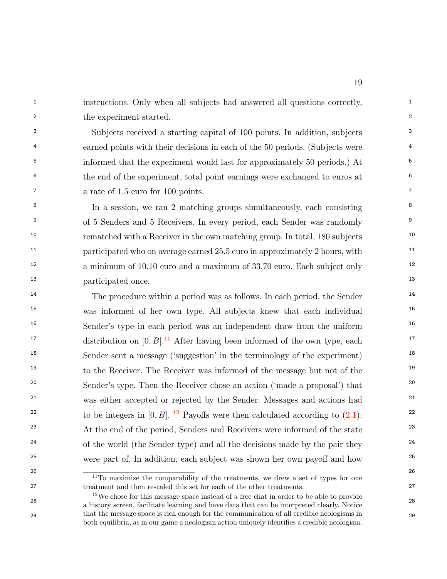<sup>1</sup> instructions. Only when all subjects had answered all questions correctly, 2 2 the experiment started.

3 3 Subjects received a starting capital of 100 points. In addition, subjects <sup>4</sup> earned points with their decisions in each of the 50 periods. (Subjects were <sup>4</sup> <sup>5</sup> 5 5 5 informed that the experiment would last for approximately 50 periods.) At <sup>6</sup> <sup>6</sup> the end of the experiment, total point earnings were exchanged to euros at <sup>6</sup> 7 7 a rate of 1.5 euro for 100 points.

<sup>8</sup> In a session, we ran 2 matching groups simultaneously, each consisting <sup>8</sup> <sup>9</sup> of 5 Senders and 5 Receivers. In every period, each Sender was randomly <sup>9</sup> <sup>10</sup> 10 rematched with a Receiver in the own matching group. In total, 180 subjects <sup>11</sup> 11 participated who on average earned 25.5 euro in approximately 2 hours, with <sup>11</sup> <sup>12</sup> a minimum of 10.10 euro and a maximum of 33.70 euro. Each subject only <sup>13</sup> 13 participated once.

<sup>14</sup> The procedure within a period was as follows. In each period, the Sender<sup>14</sup> <sup>15</sup> was informed of her own type. All subjects knew that each individual<sup>15</sup> <sup>16</sup> Sender's type in each period was an independent draw from the uniform <sup>16</sup> <sup>17</sup> distribution on  $[0, B]$ .<sup>[11](#page-19-0)</sup> After having been informed of the own type, each <sup>17</sup> <sup>18</sup> Sender sent a message ('suggestion' in the terminology of the experiment)<sup>18</sup> <sup>19</sup> to the Receiver. The Receiver was informed of the message but not of the <sup>19</sup> <sup>20</sup> 20 Sender's type. Then the Receiver chose an action ('made a proposal') that <sup>21</sup> was either accepted or rejected by the Sender. Messages and actions had <sup>21</sup> <sup>22</sup> to be integers in [0, B]. <sup>[12](#page-19-1)</sup> Payoffs were then calculated according to  $(2.1)$ . <sup>22</sup> <sup>23</sup> At the end of the period, Senders and Receivers were informed of the state <sup>23</sup>  $24$  of the world (the Sender type) and all the decisions made by the pair they  $24$ <sup>25</sup> were part of. In addition, each subject was shown her own payoff and how  $^{25}$ 

<span id="page-19-0"></span> $\frac{11}{10}$  maximize the comparability of the treatments, we drew a set of types for one 27 27 treatment and then rescaled this set for each of the other treatments.

<span id="page-19-1"></span><sup>28</sup> 28 a history screen, facilitate learning and have data that can be interpreted clearly. Notice 29 29 that the message space is rich enough for the communication of all credible neologisms in <sup>12</sup>We chose for this message space instead of a free chat in order to be able to provide both equilibria, as in our game a neologism action uniquely identies a credible neologism.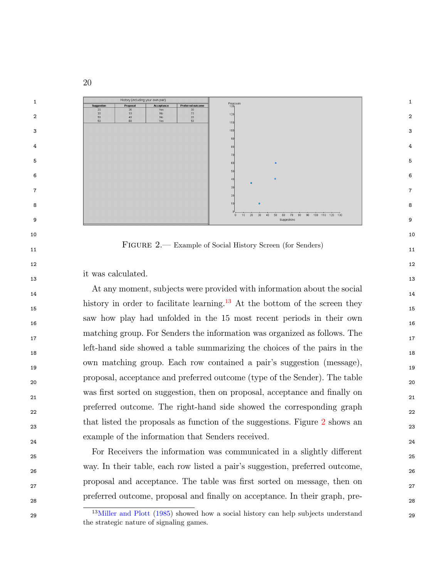

<span id="page-20-1"></span>11 FIGURE 2.— Example of Social History Screen (for Senders) 11

and  $12$ 

it was calculated.

<sup>14</sup> 14 14 history in order to facilitate learning.<sup>[13](#page-20-0)</sup> At the bottom of the screen they 15 16 saw how play had unfolded in the 15 most recent periods in their own 17 matching group. For Senders the information was organized as follows. The 18 left-hand side showed a table summarizing the choices of the pairs in the 19 own matching group. Each row contained a pair's suggestion (message), 20 proposal, acceptance and preferred outcome (type of the Sender). The table was first sorted on suggestion, then on proposal, acceptance and finally on  $_{21}$  22 preferred outcome. The right-hand side showed the corresponding graph <sup>[2](#page-20-1)3</sup> 23 that listed the proposals as function of the suggestions. Figure 2 shows an <sup>23</sup> 24 example of the information that Senders received.

<sup>25</sup> 25 For Receivers the information was communicated in a slightly different 26 way. In their table, each row listed a pair's suggestion, preferred outcome, proposal and acceptance. The table was first sorted on message, then on 28 preferred outcome, proposal and nally on acceptance. In their graph, pre-

<span id="page-20-0"></span><sup>&</sup>lt;sup>13</sup>[Miller and Plott](#page-44-10) [\(1985\)](#page-44-10) showed how a social history can help subjects understand <sup>29</sup> the strategic nature of signaling games.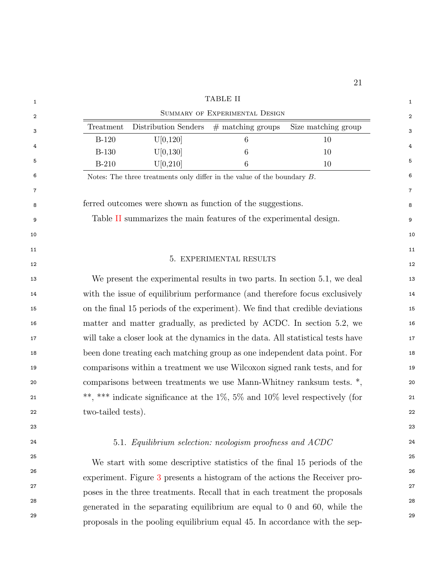<span id="page-21-0"></span>

|                    |                                                                                       | <b>TABLE II</b>                |                     |
|--------------------|---------------------------------------------------------------------------------------|--------------------------------|---------------------|
|                    |                                                                                       | SUMMARY OF EXPERIMENTAL DESIGN |                     |
| Treatment          | Distribution Senders $#$ matching groups                                              |                                | Size matching group |
| $B-120$            | U[0,120]                                                                              | 6                              | 10                  |
| <b>B-130</b>       | U[0,130]                                                                              | 6                              | 10                  |
| $B-210$            | U[0, 210]                                                                             | 6                              | 10                  |
|                    | Notes: The three treatments only differ in the value of the boundary $B$ .            |                                |                     |
|                    |                                                                                       |                                |                     |
|                    | ferred outcomes were shown as function of the suggestions.                            |                                |                     |
|                    | Table II summarizes the main features of the experimental design.                     |                                |                     |
|                    |                                                                                       |                                |                     |
|                    |                                                                                       |                                |                     |
|                    |                                                                                       | 5. EXPERIMENTAL RESULTS        |                     |
|                    | We present the experimental results in two parts. In section 5.1, we deal             |                                |                     |
|                    | with the issue of equilibrium performance (and therefore focus exclusively            |                                |                     |
|                    | on the final 15 periods of the experiment). We find that credible deviations          |                                |                     |
|                    | matter and matter gradually, as predicted by ACDC. In section 5.2, we                 |                                |                     |
|                    | will take a closer look at the dynamics in the data. All statistical tests have       |                                |                     |
|                    | been done treating each matching group as one independent data point. For             |                                |                     |
|                    | comparisons within a treatment we use Wilcoxon signed rank tests, and for             |                                |                     |
|                    | comparisons between treatments we use Mann-Whitney ranksum tests. *,                  |                                |                     |
|                    | **, *** indicate significance at the $1\%$ , $5\%$ and $10\%$ level respectively (for |                                |                     |
| two-tailed tests). |                                                                                       |                                |                     |
|                    |                                                                                       |                                |                     |
|                    | 5.1. Equilibrium selection: neologism proofness and ACDC                              |                                |                     |
|                    |                                                                                       |                                |                     |
|                    | We start with some descriptive statistics of the final 15 periods of the              |                                |                     |
|                    | experiment. Figure 3 presents a histogram of the actions the Receiver pro-            |                                |                     |
|                    | poses in the three treatments. Recall that in each treatment the proposals            |                                |                     |
|                    | generated in the separating equilibrium are equal to $0$ and $60$ , while the         |                                |                     |

29 29 proposals in the pooling equilibrium equal 45. In accordance with the sep-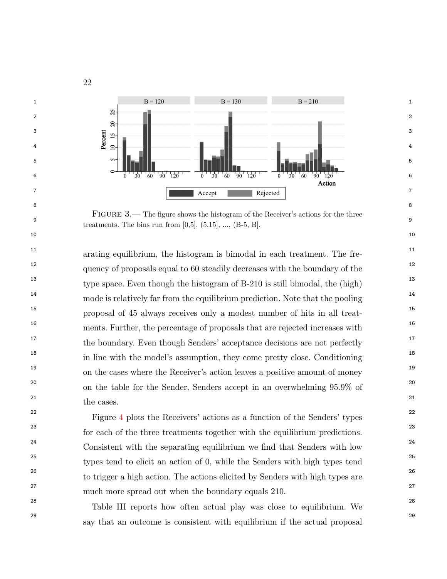

<span id="page-22-0"></span>9 treatments. The bins run from  $[0,5]$ ,  $(5,15]$ , ...,  $(B-5, B]$ . FIGURE 3.— The figure shows the histogram of the Receiver's actions for the three

<sup>11</sup> 11 arating equilibrium, the histogram is bimodal in each treatment. The fre-<sup>12</sup> quency of proposals equal to 60 steadily decreases with the boundary of the <sup>12</sup> <sup>13</sup> type space. Even though the histogram of B-210 is still bimodal, the (high)<sup>13</sup> <sup>14</sup> 14 mode is relatively far from the equilibrium prediction. Note that the pooling 15 15 proposal of 45 always receives only a modest number of hits in all treat-<sup>16</sup> 16 16 16 ments. Further, the percentage of proposals that are rejected increases with <sup>17</sup> the boundary. Even though Senders' acceptance decisions are not perfectly <sup>17</sup> <sup>18</sup> in line with the model's assumption, they come pretty close. Conditioning <sup>18</sup> <sup>19</sup> on the cases where the Receiver's action leaves a positive amount of money <sup>20</sup> on the table for the Sender, Senders accept in an overwhelming 95.9% of <sup>20</sup> 21 and the contract of the contract of  $21$ the cases.

<sup>22</sup> 22 Figure [4](#page-23-0) plots the Receivers' actions as a function of the Senders' types 23 23 for each of the three treatments together with the equilibrium predictions. <sup>24</sup> Consistent with the separating equilibrium we find that Senders with low <sup>24</sup> <sup>25</sup> types tend to elicit an action of 0, while the Senders with high types tend <sup>26</sup> to trigger a high action. The actions elicited by Senders with high types are <sup>26</sup> 27 27 much more spread out when the boundary equals 210.

<sup>28</sup> 28 Table III reports how often actual play was close to equilibrium. We 29 29 say that an outcome is consistent with equilibrium if the actual proposal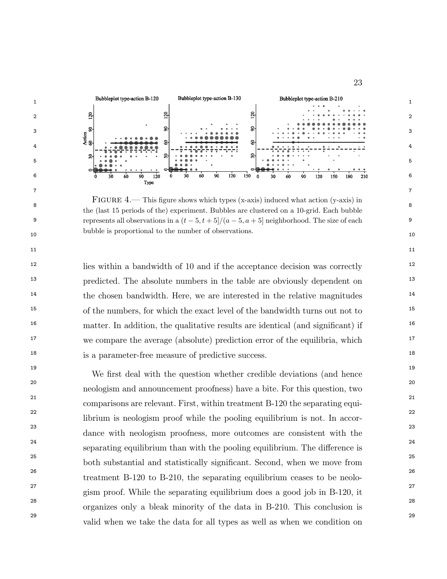

<span id="page-23-0"></span><sup>8</sup> the (last 15 periods of the) experiment. Bubbles are clustered on a 10-grid. Each bubble 9 represents all observations in a  $(t-5, t+5]/(a-5, a+5]$  neighborhood. The size of each 9 10 10 bubble is proportional to the number of observations. FIGURE 4.— This figure shows which types (x-axis) induced what action (y-axis) in

<sup>12</sup> 12 lies within a bandwidth of 10 and if the acceptance decision was correctly <sup>12</sup> <sup>13</sup> 13 predicted. The absolute numbers in the table are obviously dependent on <sup>13</sup> <sup>14</sup> the chosen bandwidth. Here, we are interested in the relative magnitudes <sup>14</sup> <sup>15</sup> 15 of the numbers, for which the exact level of the bandwidth turns out not to <sup>15</sup> <sup>16</sup> 16 matter. In addition, the qualitative results are identical (and significant) if <sup>17</sup> we compare the average (absolute) prediction error of the equilibria, which <sup>17</sup> 18 18 is a parameter-free measure of predictive success.

<sup>19</sup><br>We first deal with the question whether credible deviations (and hence 20 20 21 21 comparisons are relevant. First, within treatment B-120 the separating equi-<sup>22</sup> 22 librium is neologism proof while the pooling equilibrium is not. In accor-23 23 dance with neologism proofness, more outcomes are consistent with the  $24$  separating equilibrium than with the pooling equilibrium. The difference is  $24$ 25 25 both substantial and statistically signicant. Second, when we move from 26 26 treatment B-120 to B-210, the separating equilibrium ceases to be neolo-<sup>27</sup> gism proof. While the separating equilibrium does a good job in B-120, it 28 28 organizes only a bleak minority of the data in B-210. This conclusion is 29 29 valid when we take the data for all types as well as when we condition onneologism and announcement proofness) have a bite. For this question, two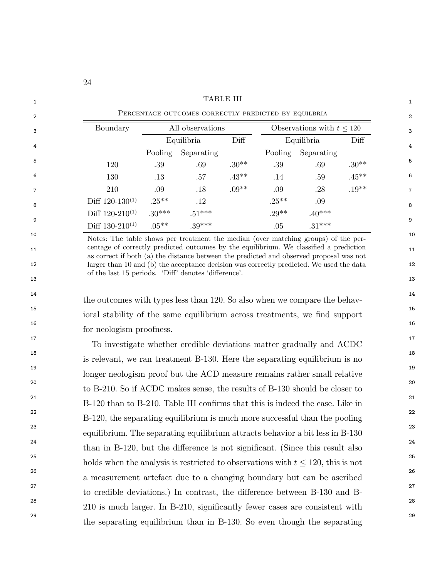|                      |          |                  |         | PERCENTAGE OUTCOMES CORRECTLY PREDICTED BY EQUILBRIA |                                |          |
|----------------------|----------|------------------|---------|------------------------------------------------------|--------------------------------|----------|
| Boundary             |          | All observations |         |                                                      | Observations with $t \leq 120$ |          |
|                      |          | Equilibria       | Diff    |                                                      | Equilibria                     | Diff     |
|                      | Pooling  | Separating       |         | Pooling                                              | Separating                     |          |
| 120                  | .39      | .69              | $.30**$ | .39                                                  | .69                            | $.30**$  |
| 130                  | $.13\,$  | .57              | $.43**$ | .14                                                  | .59                            | $.45***$ |
| 210                  | .09      | .18              | $.09**$ | .09                                                  | .28                            | $.19**$  |
| Diff $120-130^{(1)}$ | $.25***$ | $.12\,$          |         | $.25***$                                             | .09                            |          |
| Diff $120-210^{(1)}$ | $.30***$ | $.51***$         |         | $.29**$                                              | $.40***$                       |          |
| Diff $130-210^{(1)}$ | $.05***$ | $.39***$         |         | .05                                                  | $.31***$                       |          |

10 10 Notes: The table shows per treatment the median (over matching groups) of the per-11 centage of correctly predicted outcomes by the equilibrium. We classified a prediction 11 12 12 larger than 10 and (b) the acceptance decision was correctly predicted. We used the data  $13$   $13$ as correct if both (a) the distance between the predicted and observed proposal was not of the last 15 periods. 'Diff' denotes 'difference'.

<sup>14</sup> the outcomes with types less than 120. So also when we compare the behav-15 15 ioral stability of the same equilibrium across treatments, we nd support  $16$ for neologism proofness.

<sup>17</sup> 17 17 17 To investigate whether credible deviations matter gradually and ACDC <sup>18</sup> 18 is relevant, we ran treatment B-130. Here the separating equilibrium is no 19 19 longer neologism proof but the ACD measure remains rather small relative 20 20 to B-210. So if ACDC makes sense, the results of B-130 should be closer to <sup>21</sup> <sup>21</sup> B-120 than to B-210. Table III confirms that this is indeed the case. Like in <sup>22</sup> <sup>22</sup> B-120, the separating equilibrium is much more successful than the pooling 23 23 equilibrium. The separating equilibrium attracts behavior a bit less in B-130  $24$  than in B-120, but the difference is not significant. (Since this result also  $24$ <sup>25</sup> holds when the analysis is restricted to observations with  $t \le 120$ , this is not 26 26 a measurement artefact due to a changing boundary but can be ascribed <sup>27</sup> to credible deviations.) In contrast, the difference between B-130 and B- $^{27}$ <sup>28</sup> 210 is much larger. In B-210, significantly fewer cases are consistent with 29 29 the separating equilibrium than in B-130. So even though the separating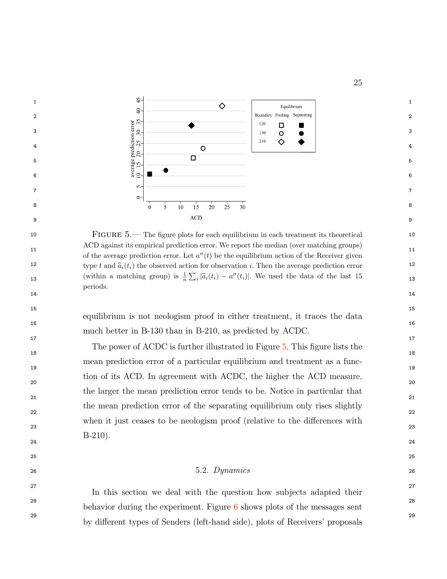

<span id="page-25-0"></span>10 FIGURE 5.— The figure plots for each equilibrium in each treatment its theoretical 10 11 11 of the average prediction error. Let a (t) be the equilibrium action of the Receiver given 12 type t and  $\hat{a}_i(t_i)$  the observed action for observation i. Then the average prediction error 12 13 (within a matching group) is  $\frac{1}{n} \sum_i |\hat{a}_i(t_i) - a^{\sigma}(t_i)|$ . We used the data of the last 15 ACD against its empirical prediction error. We report the median (over matching groups) periods.

 $16$ equilibrium is not neologism proof in either treatment, it traces the data much better in B-130 than in B-210, as predicted by ACDC.

 $17$  and  $17$  and  $17$  and  $17$  and  $17$  and  $17$  and  $17$  and  $17$  and  $17$  and  $17$  and  $17$  and  $17$  and  $17$  and  $17$  and  $17$  and  $17$  and  $17$  and  $17$  and  $17$  and  $17$  and  $17$  and  $17$  and  $17$  and  $17$  and  $17$ 

14 14

 $15$  15

 $18$  18 19  $\sim$  19  $20$ 21 and  $\overline{a}$  21 and  $\overline{a}$  21 and  $\overline{a}$  21 and  $\overline{a}$  21 and  $\overline{a}$  21 and  $\overline{a}$  21 22 and  $\frac{1}{2}$  and  $\frac{1}{2}$  and  $\frac{1}{2}$  and  $\frac{1}{2}$  and  $\frac{1}{2}$  and  $\frac{1}{2}$  and  $\frac{1}{2}$  and  $\frac{1}{2}$  and  $\frac{1}{2}$  and  $\frac{1}{2}$  and  $\frac{1}{2}$  and  $\frac{1}{2}$  and  $\frac{1}{2}$  and  $\frac{1}{2}$  and  $\frac{1}{2}$  and  $\frac{$  $23$  23 The power of ACDC is further illustrated in Figure [5.](#page-25-0) This figure lists the mean prediction error of a particular equilibrium and treatment as a function of its ACD. In agreement with ACDC, the higher the ACD measure, the larger the mean prediction error tends to be. Notice in particular that the mean prediction error of the separating equilibrium only rises slightly when it just ceases to be neologism proof (relative to the differences with B-210).

### $25$  $26$  26 26

 $24$  and  $24$ 

27 27 In this section we deal with the question how subjects adapted their <sup>28</sup> behavior during the experiment. Figure [6](#page-27-0) shows plots of the messages sent <sup>29</sup> by different types of Senders (left-hand side), plots of Receivers' proposals <sup>29</sup>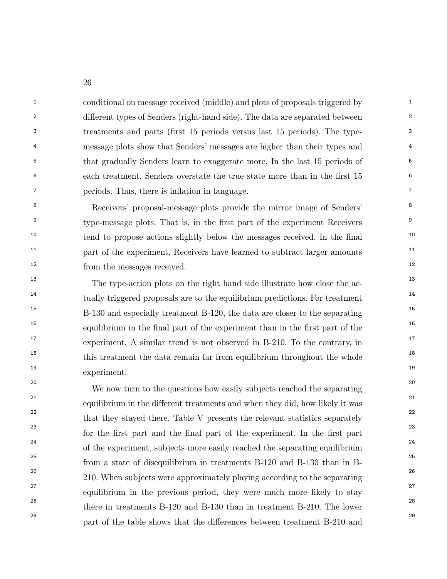<sup>1</sup> 1 conditional on message received (middle) and plots of proposals triggered by <sup>2</sup> different types of Senders (right-hand side). The data are separated between <sup>2</sup> <sup>3</sup> <sup>3</sup> treatments and parts (first 15 periods versus last 15 periods). The type-<sup>3</sup> <sup>4</sup> message plots show that Senders' messages are higher than their types and <sup>4</sup> <sup>5</sup> that gradually Senders learn to exaggerate more. In the last 15 periods of <sup>5</sup> 6 6 each treatment, Senders overstate the true state more than in the rst 15 <sup>7</sup> *periods.* Thus, there is inflation in language.

<sup>8</sup> Receivers' proposal-message plots provide the mirror image of Senders'<sup>8</sup> <sup>9</sup> type-message plots. That is, in the first part of the experiment Receivers<sup>9</sup> <sup>10</sup> tend to propose actions slightly below the messages received. In the final <sup>10</sup> <sup>11</sup> 11 part of the experiment, Receivers have learned to subtract larger amounts <sup>11</sup> 12 12 from the messages received.

<sup>13</sup> 13 The type-action plots on the right hand side illustrate how close the ac-<sup>14</sup> tually triggered proposals are to the equilibrium predictions. For treatment <sup>15</sup> 15 15 15 B-130 and especially treatment B-120, the data are closer to the separating <sup>16</sup> equilibrium in the final part of the experiment than in the first part of the <sup>16</sup> <sup>17</sup> experiment. A similar trend is not observed in B-210. To the contrary, in <sup>18</sup> this treatment the data remain far from equilibrium throughout the whole <sup>18</sup> 19  $\hspace{1.5cm}$  19 experiment.

<sup>20</sup><br>We now turn to the questions how easily subjects reached the separating <sup>20</sup> <sup>21</sup> equilibrium in the different treatments and when they did, how likely it was  $^{21}$ <sup>22</sup> that they stayed there. Table V presents the relevant statistics separately <sup>22</sup> <sup>23</sup> <sup>23</sup> for the first part and the final part of the experiment. In the first part <sup>23</sup> <sup>24</sup> of the experiment, subjects more easily reached the separating equilibrium<sup>24</sup> 25 25 from a state of disequilibrium in treatments B-120 and B-130 than in B-26 26 210. When subjects were approximately playing according to the separating <sup>27</sup> equilibrium in the previous period, they were much more likely to stay <sup>27</sup> <sup>28</sup> there in treatments B-120 and B-130 than in treatment B-210. The lower <sup>29</sup> 29 part of the table shows that the differences between treatment B-210 and <sup>29</sup>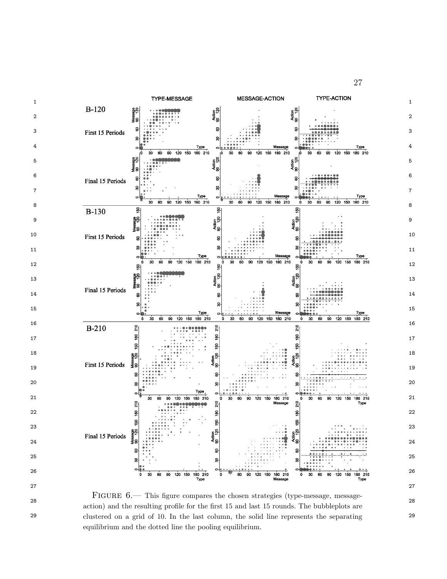

<span id="page-27-0"></span> $\frac{3}{28}$  action) and the resulting profile for the first 15 and last 15 rounds. The bubbleplots are 29 clustered on a grid of 10. In the last column, the solid line represents the separating FIGURE 6.— This figure compares the chosen strategies (type-message, messageequilibrium and the dotted line the pooling equilibrium.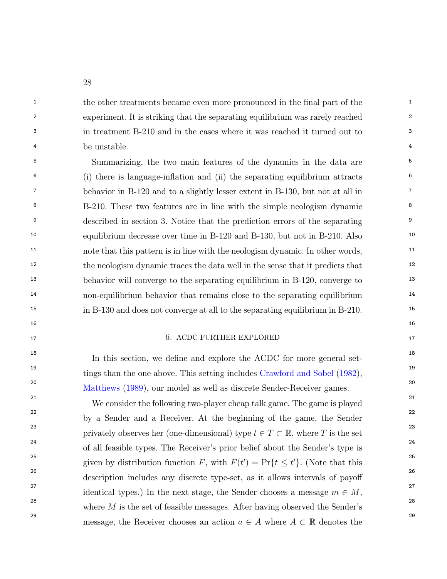<sup>1</sup> the other treatments became even more pronounced in the final part of the <sup>1</sup> 2 2 experiment. It is striking that the separating equilibrium was rarely reached 3 3 in treatment B-210 and in the cases where it was reached it turned out to <sup>4</sup> be unstable.

5 5 Summarizing, the two main features of the dynamics in the data are <sup>6</sup> (i) there is language-inflation and (ii) the separating equilibrium attracts <sup>6</sup> <sup>7</sup> behavior in B-120 and to a slightly lesser extent in B-130, but not at all in <sup>7</sup> <sup>8</sup> B-210. These two features are in line with the simple neologism dynamic <sup>8</sup> <sup>9</sup> described in section 3. Notice that the prediction errors of the separating <sup>9</sup> 10 10 equilibrium decrease over time in B-120 and B-130, but not in B-210. Also <sup>11</sup> 11 note that this pattern is in line with the neologism dynamic. In other words, <sup>12</sup> the neologism dynamic traces the data well in the sense that it predicts that <sup>12</sup> <sup>13</sup> behavior will converge to the separating equilibrium in B-120, converge to <sup>13</sup> <sup>14</sup> 14 non-equilibrium behavior that remains close to the separating equilibrium 15 15 in B-130 and does not converge at all to the separating equilibrium in B-210.

### $16$ 17 17 6. ACDC FURTHER EXPLORED

<sup>18</sup><br>In this section, we define and explore the ACDC for more general set-<sup>19</sup>  $\frac{19}{2}$  tings than the one above. This setting includes [Crawford and Sobel](#page-43-16) [\(1982\)](#page-43-16), <sup>20</sup> [Matthews](#page-44-2) [\(1989\)](#page-44-2), our model as well as discrete Sender-Receiver games.<sup>20</sup>

<sup>21</sup> <sup>21</sup> We consider the following two-player cheap talk game. The game is played <sup>22</sup> by a Sender and a Receiver. At the beginning of the game, the Sender<sup>22</sup> <sup>23</sup> privately observes her (one-dimensional) type  $t \in T \subset \mathbb{R}$ , where T is the set <sup>24</sup> <sup>24</sup> of all feasible types. The Receiver's prior belief about the Sender's type is <sup>25</sup> 25 given by distribution function F, with  $F(t') = \Pr\{t \le t'\}$ . (Note that this <sup>26</sup> 26 description includes any discrete type-set, as it allows intervals of payoff <sup>27</sup> identical types.) In the next stage, the Sender chooses a message  $m \in M$ , 28 28 29 message, the Receiver chooses an action  $a \in A$  where  $A \subset \mathbb{R}$  denotes the where  $M$  is the set of feasible messages. After having observed the Sender's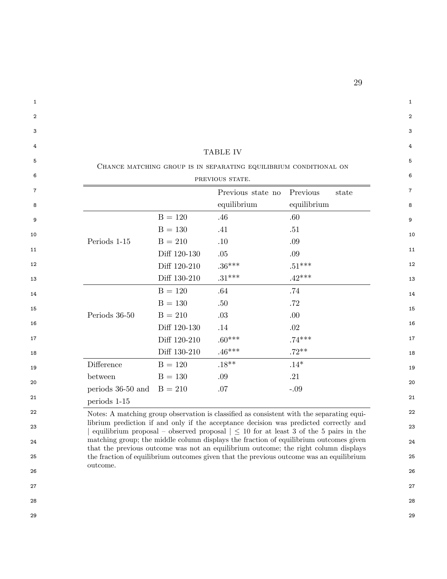| CHANCE MATCHING GROUP IS IN SEPARATING EQUILIBRIUM CONDITIONAL ON<br>PREVIOUS STATE.<br>Previous<br>Previous state no<br>state<br>equilibrium<br>equilibrium<br>$B = 120$<br>.46<br>.60<br>$B = 130$<br>.41<br>.51<br>$B = 210$<br>Periods 1-15<br>.10<br>.09<br>Diff 120-130<br>.05<br>.09<br>Diff 120-210<br>$.36***$<br>$.51***$<br>$.31***$<br>$.42***$<br>Diff 130-210<br>$B = 120$<br>.64<br>.74<br>$B = 130$<br>.72<br>.50<br>Periods 36-50<br>$B = 210$<br>.03<br>.00<br>Diff 120-130<br>.02<br>.14<br>$.60***$<br>Diff 120-210<br>$.74***$<br>$.72**$<br>Diff 130-210<br>$.46***$<br>Difference<br>$.18**$<br>$.14*$<br>$B = 120$<br>$B = 130$<br>.09<br>.21<br>between<br>$B = 210$<br>.07<br>$-.09$<br>periods 36-50 and<br>periods 1-15<br>Notes: A matching group observation is classified as consistent with the separating equi-<br>librium prediction if and only if the acceptance decision was predicted correctly and<br>equilibrium proposal – observed proposal $\vert \leq 10$ for at least 3 of the 5 pairs in the<br>matching group; the middle column displays the fraction of equilibrium outcomes given<br>that the previous outcome was not an equilibrium outcome; the right column displays |  | TABLE IV |  |
|----------------------------------------------------------------------------------------------------------------------------------------------------------------------------------------------------------------------------------------------------------------------------------------------------------------------------------------------------------------------------------------------------------------------------------------------------------------------------------------------------------------------------------------------------------------------------------------------------------------------------------------------------------------------------------------------------------------------------------------------------------------------------------------------------------------------------------------------------------------------------------------------------------------------------------------------------------------------------------------------------------------------------------------------------------------------------------------------------------------------------------------------------------------------------------------------------------------------------|--|----------|--|
|                                                                                                                                                                                                                                                                                                                                                                                                                                                                                                                                                                                                                                                                                                                                                                                                                                                                                                                                                                                                                                                                                                                                                                                                                            |  |          |  |
|                                                                                                                                                                                                                                                                                                                                                                                                                                                                                                                                                                                                                                                                                                                                                                                                                                                                                                                                                                                                                                                                                                                                                                                                                            |  |          |  |
|                                                                                                                                                                                                                                                                                                                                                                                                                                                                                                                                                                                                                                                                                                                                                                                                                                                                                                                                                                                                                                                                                                                                                                                                                            |  |          |  |
|                                                                                                                                                                                                                                                                                                                                                                                                                                                                                                                                                                                                                                                                                                                                                                                                                                                                                                                                                                                                                                                                                                                                                                                                                            |  |          |  |
|                                                                                                                                                                                                                                                                                                                                                                                                                                                                                                                                                                                                                                                                                                                                                                                                                                                                                                                                                                                                                                                                                                                                                                                                                            |  |          |  |
|                                                                                                                                                                                                                                                                                                                                                                                                                                                                                                                                                                                                                                                                                                                                                                                                                                                                                                                                                                                                                                                                                                                                                                                                                            |  |          |  |
|                                                                                                                                                                                                                                                                                                                                                                                                                                                                                                                                                                                                                                                                                                                                                                                                                                                                                                                                                                                                                                                                                                                                                                                                                            |  |          |  |
|                                                                                                                                                                                                                                                                                                                                                                                                                                                                                                                                                                                                                                                                                                                                                                                                                                                                                                                                                                                                                                                                                                                                                                                                                            |  |          |  |
|                                                                                                                                                                                                                                                                                                                                                                                                                                                                                                                                                                                                                                                                                                                                                                                                                                                                                                                                                                                                                                                                                                                                                                                                                            |  |          |  |
|                                                                                                                                                                                                                                                                                                                                                                                                                                                                                                                                                                                                                                                                                                                                                                                                                                                                                                                                                                                                                                                                                                                                                                                                                            |  |          |  |
|                                                                                                                                                                                                                                                                                                                                                                                                                                                                                                                                                                                                                                                                                                                                                                                                                                                                                                                                                                                                                                                                                                                                                                                                                            |  |          |  |
|                                                                                                                                                                                                                                                                                                                                                                                                                                                                                                                                                                                                                                                                                                                                                                                                                                                                                                                                                                                                                                                                                                                                                                                                                            |  |          |  |
|                                                                                                                                                                                                                                                                                                                                                                                                                                                                                                                                                                                                                                                                                                                                                                                                                                                                                                                                                                                                                                                                                                                                                                                                                            |  |          |  |
|                                                                                                                                                                                                                                                                                                                                                                                                                                                                                                                                                                                                                                                                                                                                                                                                                                                                                                                                                                                                                                                                                                                                                                                                                            |  |          |  |
|                                                                                                                                                                                                                                                                                                                                                                                                                                                                                                                                                                                                                                                                                                                                                                                                                                                                                                                                                                                                                                                                                                                                                                                                                            |  |          |  |
|                                                                                                                                                                                                                                                                                                                                                                                                                                                                                                                                                                                                                                                                                                                                                                                                                                                                                                                                                                                                                                                                                                                                                                                                                            |  |          |  |
|                                                                                                                                                                                                                                                                                                                                                                                                                                                                                                                                                                                                                                                                                                                                                                                                                                                                                                                                                                                                                                                                                                                                                                                                                            |  |          |  |
|                                                                                                                                                                                                                                                                                                                                                                                                                                                                                                                                                                                                                                                                                                                                                                                                                                                                                                                                                                                                                                                                                                                                                                                                                            |  |          |  |
|                                                                                                                                                                                                                                                                                                                                                                                                                                                                                                                                                                                                                                                                                                                                                                                                                                                                                                                                                                                                                                                                                                                                                                                                                            |  |          |  |
|                                                                                                                                                                                                                                                                                                                                                                                                                                                                                                                                                                                                                                                                                                                                                                                                                                                                                                                                                                                                                                                                                                                                                                                                                            |  |          |  |
|                                                                                                                                                                                                                                                                                                                                                                                                                                                                                                                                                                                                                                                                                                                                                                                                                                                                                                                                                                                                                                                                                                                                                                                                                            |  |          |  |
|                                                                                                                                                                                                                                                                                                                                                                                                                                                                                                                                                                                                                                                                                                                                                                                                                                                                                                                                                                                                                                                                                                                                                                                                                            |  |          |  |
|                                                                                                                                                                                                                                                                                                                                                                                                                                                                                                                                                                                                                                                                                                                                                                                                                                                                                                                                                                                                                                                                                                                                                                                                                            |  |          |  |
| the fraction of equilibrium outcomes given that the previous outcome was an equilibrium                                                                                                                                                                                                                                                                                                                                                                                                                                                                                                                                                                                                                                                                                                                                                                                                                                                                                                                                                                                                                                                                                                                                    |  |          |  |
|                                                                                                                                                                                                                                                                                                                                                                                                                                                                                                                                                                                                                                                                                                                                                                                                                                                                                                                                                                                                                                                                                                                                                                                                                            |  |          |  |

- 
- 28 28
- 
- 29 29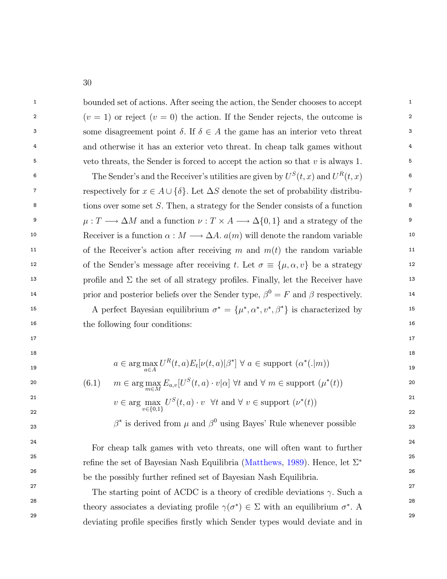<sup>1</sup> 1 bounded set of actions. After seeing the action, the Sender chooses to accept 2  $(v = 1)$  or reject  $(v = 0)$  the action. If the Sender rejects, the outcome is 2 some disagreement point  $\delta$ . If  $\delta \in A$  the game has an interior veto threat  $\delta$ <sup>4</sup> and otherwise it has an exterior veto threat. In cheap talk games without <sup>4</sup>  $5\,$  veto threats, the Sender is forced to accept the action so that v is always 1.  $5\,$ 

<sup>6</sup> 6 6 6 The Sender's and the Receiver's utilities are given by  $U^S(t, x)$  and  $U^R(t, x)$ respectively for  $x \in A \cup \{\delta\}$ . Let  $\Delta S$  denote the set of probability distribu-<sup>8</sup> tions over some set S. Then, a strategy for the Sender consists of a function <sup>8</sup> <sup>9</sup>  $\mu: T \longrightarrow \Delta M$  and a function  $\nu: T \times A \longrightarrow \Delta \{0, 1\}$  and a strategy of the 10 Receiver is a function  $\alpha : M \longrightarrow \Delta A$ .  $a(m)$  will denote the random variable 10 <sup>11</sup> of the Receiver's action after receiving m and  $m(t)$  the random variable <sup>11</sup> 12 of the Sender's message after receiving t. Let  $\sigma \equiv {\mu, \alpha, v}$  be a strategy 12 <sup>13</sup> 13 profile and  $\Sigma$  the set of all strategy profiles. Finally, let the Receiver have <sup>14</sup> prior and posterior beliefs over the Sender type,  $\beta^0 = F$  and  $\beta$  respectively.

15 A perfect Bayesian equilibrium  $\sigma^* = {\mu^*, \alpha^*, \nu^*, \beta^*}$  is characterized by 16 16 the following four conditions:

 $17$  and  $17$  and  $17$  and  $17$  and  $17$  and  $17$  and  $17$  and  $17$  and  $17$  and  $17$  and  $17$  and  $17$  and  $17$  and  $17$  and  $17$  and  $17$  and  $17$  and  $17$  and  $17$  and  $17$  and  $17$  and  $17$  and  $17$  and  $17$  and  $17$ 

18  
19  

$$
a \in \arg\max_{a \in A} U^{R}(t, a) E_{t}[\nu(t, a)|\beta^{*}] \ \forall \ a \in \text{support } (\alpha^{*}(.|m))
$$

20 
$$
(6.1) \quad m \in \arg\max_{m \in M} E_{a,v}[U^S(t,a) \cdot v|\alpha] \,\forall t \text{ and } \forall m \in \text{support } (\mu^*(t))
$$

<sup>21</sup>  

$$
v \in \arg \max_{v \in \{0,1\}} U^S(t, a) \cdot v \quad \forall t \text{ and } \forall v \in \text{support } (\nu^*(t))
$$

23  $\beta^*$  is derived from  $\mu$  and  $\beta^0$  using Bayes' Rule whenever possible 23

24 24 For cheap talk games with veto threats, one will often want to further <sup>25</sup> 25 25 refine the set of Bayesian Nash Equilibria [\(Matthews,](#page-44-2) [1989\)](#page-44-2). Hence, let  $\Sigma^*$ 26 26 be the possibly further rened set of Bayesian Nash Equilibria.

<sup>27</sup> 27 The starting point of ACDC is a theory of credible deviations  $\gamma$ . Such a <sup>28</sup><br>theory associates a deviating profile  $\gamma(\sigma^*) \in \Sigma$  with an equilibrium  $\sigma^*$ . A <sup>29</sup> deviating profile specifies firstly which Sender types would deviate and in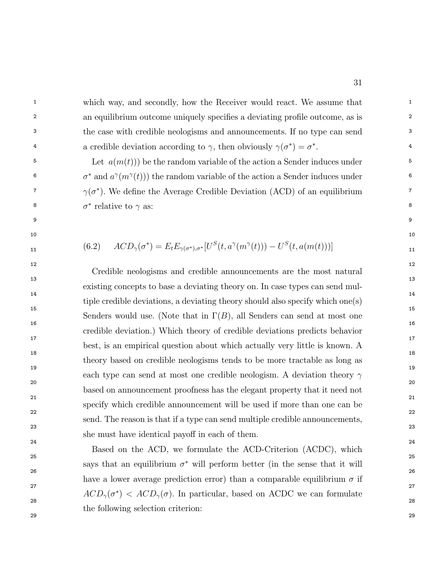<sup>1</sup> 1 which way, and secondly, how the Receiver would react. We assume that <sup>1</sup> <sup>2</sup> an equilibrium outcome uniquely specifies a deviating profile outcome, as is 3 3 the case with credible neologisms and announcements. If no type can send 4 a credible deviation according to  $\gamma$ , then obviously  $\gamma(\sigma^*) = \sigma^*$ .

<sup>5</sup> Let  $a(m(t))$  be the random variable of the action a Sender induces under  $5$ <sup>6</sup>  $\sigma^*$  and  $a^{\gamma}(m^{\gamma}(t))$  the random variable of the action a Sender induces under <sup>7</sup>  $\gamma(\sigma^*)$ . We define the Average Credible Deviation (ACD) of an equilibrium <sup>7</sup> <sup>8</sup>  $\sigma^*$  relative to  $\gamma$  as:

9 9

 $10$ 

 $12$  and  $12$ 

$$
ACD_{\gamma}(\sigma^*) = E_t E_{\gamma(\sigma^*)}, \quad \left[U^S(t, a^{\gamma}(m^{\gamma}(t))) - U^S(t, a(m(t)))\right]
$$

 $13$ 14 14  $15$  15  $16$  $17$  and  $17$  and  $17$  and  $17$  and  $17$  and  $17$  and  $17$  and  $17$  and  $17$  and  $17$  and  $17$  and  $17$  and  $17$  and  $17$  and  $17$  and  $17$  and  $17$  and  $17$  and  $17$  and  $17$  and  $17$  and  $17$  and  $17$  and  $17$  and  $17$   $18$  $19$  $20$  $21$  21  $22$ 23 23 Credible neologisms and credible announcements are the most natural existing concepts to base a deviating theory on. In case types can send multiple credible deviations, a deviating theory should also specify which one(s) Senders would use. (Note that in  $\Gamma(B)$ , all Senders can send at most one credible deviation.) Which theory of credible deviations predicts behavior best, is an empirical question about which actually very little is known. A theory based on credible neologisms tends to be more tractable as long as each type can send at most one credible neologism. A deviation theory  $\gamma$ based on announcement proofness has the elegant property that it need not specify which credible announcement will be used if more than one can be send. The reason is that if a type can send multiple credible announcements, she must have identical payoff in each of them.

24 24  $25$  25  $26$ 27 декември 1922 **година и 1922 година и 1923 година и 1923** година и 1922 година и 1922 година и 1922 година и<br>Според 1922 година и 1922 година и 1922 година и 1922 година и 1922 година и 1922 година и 1922 година и 1922 28 28 29 29 Based on the ACD, we formulate the ACD-Criterion (ACDC), which says that an equilibrium  $\sigma^*$  will perform better (in the sense that it will have a lower average prediction error) than a comparable equilibrium  $\sigma$  if  $ACD_{\gamma}(\sigma^*)$  <  $ACD_{\gamma}(\sigma)$ . In particular, based on ACDC we can formulate the following selection criterion: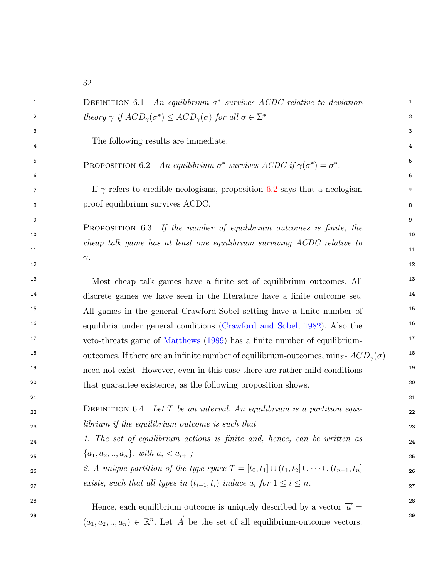<span id="page-32-0"></span>

| 1  | <b>DEFINITION</b> 6.1 An equilibrium $\sigma^*$ survives ACDC relative to deviation                            | $\mathbf{1}$   |
|----|----------------------------------------------------------------------------------------------------------------|----------------|
| 2  | theory $\gamma$ if $ACD_{\gamma}(\sigma^*) \leq ACD_{\gamma}(\sigma)$ for all $\sigma \in \Sigma^*$            | $\overline{2}$ |
| 3  |                                                                                                                | 3              |
| 4  | The following results are immediate.                                                                           | 4              |
| 5  | PROPOSITION 6.2 An equilibrium $\sigma^*$ survives ACDC if $\gamma(\sigma^*) = \sigma^*$ .                     | 5              |
| 6  |                                                                                                                | 6              |
| 7  | If $\gamma$ refers to credible neologisms, proposition 6.2 says that a neologism                               | $\overline{7}$ |
| 8  | proof equilibrium survives ACDC.                                                                               | 8              |
| 9  |                                                                                                                | 9              |
| 10 | <b>PROPOSITION</b> 6.3 If the number of equilibrium outcomes is finite, the                                    | 10             |
| 11 | cheap talk game has at least one equilibrium surviving ACDC relative to                                        | 11             |
| 12 | $\gamma$ .                                                                                                     | 12             |
| 13 | Most cheap talk games have a finite set of equilibrium outcomes. All                                           | 13             |
| 14 | discrete games we have seen in the literature have a finite outcome set.                                       | 14             |
| 15 | All games in the general Crawford-Sobel setting have a finite number of                                        | 15             |
| 16 | equilibria under general conditions (Crawford and Sobel, 1982). Also the                                       | 16             |
| 17 | veto-threats game of Matthews (1989) has a finite number of equilibrium-                                       | 17             |
| 18 | outcomes. If there are an infinite number of equilibrium-outcomes, $\min_{\Sigma^*} ACD_{\gamma}(\sigma)$      | 18             |
| 19 | need not exist However, even in this case there are rather mild conditions                                     | 19             |
| 20 | that guarantee existence, as the following proposition shows.                                                  | 20             |
| 21 |                                                                                                                | 21             |
| 22 | DEFINITION 6.4 Let $T$ be an interval. An equilibrium is a partition equi-                                     | 22             |
| 23 | librium if the equilibrium outcome is such that                                                                | 23             |
| 24 | 1. The set of equilibrium actions is finite and, hence, can be written as                                      | 24             |
| 25 | ${a_1, a_2, , a_n}, with \t a_i < a_{i+1};$                                                                    | 25             |
| 26 | 2. A unique partition of the type space $T = [t_0, t_1] \cup (t_1, t_2] \cup \cdots \cup (t_{n-1}, t_n]$       | 26             |
| 27 | exists, such that all types in $(t_{i-1}, t_i)$ induce $a_i$ for $1 \le i \le n$ .                             | 27             |
| 28 | Hence, each equilibrium outcome is uniquely described by a vector $\vec{a}$ =                                  | 28             |
| 29 | $(a_1, a_2, , a_n) \in \mathbb{R}^n$ . Let $\overrightarrow{A}$ be the set of all equilibrium-outcome vectors. | 29             |
|    |                                                                                                                |                |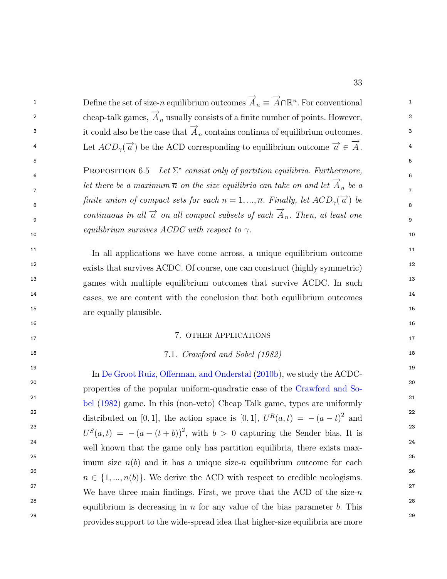| 1  | Define the set of size-n equilibrium outcomes $\overrightarrow{A}_n \equiv \overrightarrow{A} \cap \mathbb{R}^n$ . For conventional | $\mathbf{1}$   |
|----|-------------------------------------------------------------------------------------------------------------------------------------|----------------|
| 2  | cheap-talk games, $\overrightarrow{A}_n$ usually consists of a finite number of points. However,                                    | $\overline{2}$ |
| 3  | it could also be the case that $\overrightarrow{A}_n$ contains continua of equilibrium outcomes.                                    | 3              |
| 4  | Let $ACD_{\gamma}(\vec{a})$ be the ACD corresponding to equilibrium outcome $\vec{a} \in \vec{A}$ .                                 | 4              |
| 5  |                                                                                                                                     | 5              |
| 6  | <b>PROPOSITION 6.5</b> Let $\Sigma^*$ consist only of partition equilibria. Furthermore,                                            | 6              |
| 7  | let there be a maximum $\overline{n}$ on the size equilibria can take on and let $\overrightarrow{A}_n$ be a                        | $\overline{7}$ |
| 8  | finite union of compact sets for each $n = 1, , \overline{n}$ . Finally, let $ACD_{\gamma}(\overrightarrow{a})$ be                  | 8              |
| 9  | continuous in all $\overrightarrow{a}$ on all compact subsets of each $\overrightarrow{A}_n$ . Then, at least one                   | 9              |
| 10 | equilibrium survives ACDC with respect to $\gamma$ .                                                                                | 10             |
| 11 | In all applications we have come across, a unique equilibrium outcome                                                               | 11             |
| 12 | exists that survives ACDC. Of course, one can construct (highly symmetric)                                                          | 12             |
| 13 | games with multiple equilibrium outcomes that survive ACDC. In such                                                                 | 13             |
| 14 | cases, we are content with the conclusion that both equilibrium outcomes                                                            | 14             |
| 15 | are equally plausible.                                                                                                              | 15             |
| 16 |                                                                                                                                     | 16             |
| 17 | 7. OTHER APPLICATIONS                                                                                                               | 17             |
| 18 | 7.1. Crawford and Sobel (1982)                                                                                                      | 18             |
| 19 | In De Groot Ruiz, Offerman, and Onderstal (2010b), we study the ACDC-                                                               | 19             |
| 20 | properties of the popular uniform-quadratic case of the Crawford and So-                                                            | 20             |
| 21 | bel (1982) game. In this (non-veto) Cheap Talk game, types are uniformly                                                            | 21             |
| 22 | distributed on [0,1], the action space is [0,1], $U^R(a,t) = -(a-t)^2$ and                                                          | 22             |
| 23 | $U^{S}(a,t) = -(a-(t+b))^{2}$ , with $b > 0$ capturing the Sender bias. It is                                                       | 23             |
| 24 | well known that the game only has partition equilibria, there exists max-                                                           | 24             |
| 25 | imum size $n(b)$ and it has a unique size-n equilibrium outcome for each                                                            | 25             |
| 26 | $n \in \{1, , n(b)\}.$ We derive the ACD with respect to credible neologisms.                                                       | 26             |
| 27 | We have three main findings. First, we prove that the ACD of the size- $n$                                                          | 27             |
| 28 | equilibrium is decreasing in $n$ for any value of the bias parameter $b$ . This                                                     | 28             |
| 29 | provides support to the wide-spread idea that higher-size equilibria are more                                                       | 29             |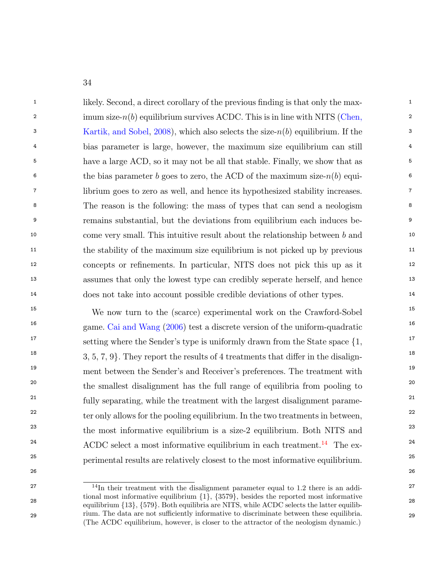<sup>1</sup> 1 likely. Second, a direct corollary of the previous finding is that only the max- $\sum_{i=1}^{\infty}$  imum size-n(b) equilibrium survives ACDC. This is in line with NITS [\(Chen,](#page-43-14) 3 3 [Kartik, and Sobel,](#page-43-14) [2008\)](#page-43-14), which also selects the size-n(b) equilibrium. If the 4 4 bias parameter is large, however, the maximum size equilibrium can still <sup>5</sup> have a large ACD, so it may not be all that stable. Finally, we show that as <sup>5</sup> <sup>6</sup> the bias parameter b goes to zero, the ACD of the maximum size- $n(b)$  equi-7 7 librium goes to zero as well, and hence its hypothesized stability increases. 8 8 The reason is the following: the mass of types that can send a neologism 9 9 remains substantial, but the deviations from equilibrium each induces be-<sup>10</sup> 10 come very small. This intuitive result about the relationship between b and <sup>10</sup> <sup>11</sup> the stability of the maximum size equilibrium is not picked up by previous<sup>11</sup> 12 12 concepts or renements. In particular, NITS does not pick this up as it 13 13 assumes that only the lowest type can credibly seperate herself, and hence 14 14 does not take into account possible credible deviations of other types.

<sup>15</sup> 15 We now turn to the (scarce) experimental work on the Crawford-Sobel<sup>15</sup> <sup>16</sup> 16 game. [Cai and Wang](#page-43-3) [\(2006\)](#page-43-3) test a discrete version of the uniform-quadratic <sup>16</sup> 17 17 setting where the Sender's type is uniformly drawn from the State space f1, <sup>18</sup> 18, 5, 7, 9. They report the results of 4 treatments that differ in the disalign-<sup>19</sup> 19 ment between the Sender's and Receiver's preferences. The treatment with <sup>19</sup> <sup>20</sup> the smallest disalignment has the full range of equilibria from pooling to <sup>20</sup> <sup>21</sup> fully separating, while the treatment with the largest disalignment parame-<sup>22</sup> ter only allows for the pooling equilibrium. In the two treatments in between,<sup>22</sup> <sup>23</sup> the most informative equilibrium is a size-2 equilibrium. Both NITS and <sup>23</sup>  $ACDC$  select a most informative equilibrium in each treatment.<sup>[14](#page-34-0)</sup> The ex-<sup>25</sup> perimental results are relatively closest to the most informative equilibrium.<sup>25</sup>

<span id="page-34-0"></span> $^{27}$   $^{14}$ In their treatment with the disalignment parameter equal to 1.2 there is an addi- $28$  equilibrium  $\{13\}$ ,  $\{579\}$ . Both equilibria are NITS, while ACDC selects the latter equilib-29 rium. The data are not sufficiently informative to discriminate between these equilibria. 29 tional most informative equilibrium  $\{1\}$ ,  $\{3579\}$ , besides the reported most informative (The ACDC equilibrium, however, is closer to the attractor of the neologism dynamic.)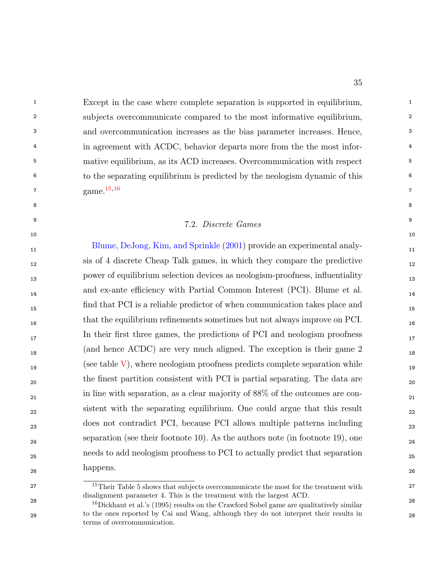<sup>1</sup> Except in the case where complete separation is supported in equilibrium, 2 2 subjects overcommunicate compared to the most informative equilibrium, 3 3 and overcommunication increases as the bias parameter increases. Hence, <sup>4</sup> in agreement with ACDC, behavior departs more from the the most infor-<sup>5</sup> 5 mative equilibrium, as its ACD increases. Overcommunication with respect <sup>5</sup> 6 6 to the separating equilibrium is predicted by the neologism dynamic of this  $\text{game.}^{15,10}$  7 game. [15](#page-35-0);[16](#page-35-1)

## <sup>9</sup> 9 7.2. Discrete Games

8 8

[Blume, DeJong, Kim, and Sprinkle](#page-43-4) [\(2001\)](#page-43-4) provide an experimental analy- 12 sis of 4 discrete Cheap Talk games, in which they compare the predictive 13 power of equilibrium selection devices as neologism-proofness, in
uentiality 14 and ex-ante eciency with Partial Common Interest (PCI). Blume et al. 15 nd that PCI is a reliable predictor of when communication takes place and that the equilibrium refinements sometimes but not always improve on PCI. 17 In their first three games, the predictions of PCI and neologism proofness 17 18 (and hence ACDC) are very much aligned. The exception is their game 2  $($ see table  $\bar{V}$ ), where neologism proofness predicts complete separation while <sub>20</sub> the finest partition consistent with PCI is partial separating. The data are <sub>20</sub> 21 in line with separation, as a clear majority of 88% of the outcomes are con- 22 sistent with the separating equilibrium. One could argue that this result 23 does not contradict PCI, because PCI allows multiple patterns including <sup>24</sup> <sup>24</sup> <sup>24</sup> <sup>24</sup> <sup>24</sup> <sup>24</sup> <sup>24</sup> 25 needs to add neologism proofness to PCI to actually predict that separation 26  $10^{\circ}$ P happens.

<span id="page-35-0"></span><sup>&</sup>lt;sup>15</sup>Their Table 5 shows that subjects overcommunicate the most for the treatment with <sup>27</sup> disalignment parameter 4. This is the treatment with the largest ACD.

<span id="page-35-1"></span><sup>&</sup>lt;sup>28</sup> <sup>16</sup>Dickhaut et al.'s (1995) results on the Crawford Sobel game are qualitatively similar<sup>28</sup> 29 29 to the ones reported by Cai and Wang, although they do not interpret their results in terms of overcommunication.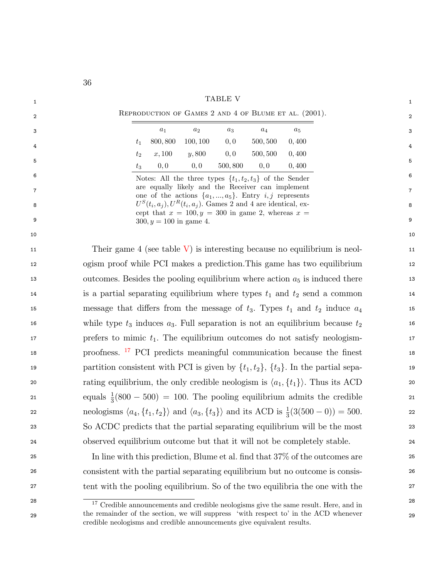<span id="page-36-0"></span>

|    | 36                                                                                                                                     |                |  |  |
|----|----------------------------------------------------------------------------------------------------------------------------------------|----------------|--|--|
| 1  | TABLE V                                                                                                                                | 1              |  |  |
| 2  | REPRODUCTION OF GAMES 2 AND 4 OF BLUME ET AL. (2001).                                                                                  | 2              |  |  |
| 3  | $\boldsymbol{a}_1$<br>$a_2$<br>$\boldsymbol{a_5}$<br>$a_3$<br>$a_4$                                                                    | 3              |  |  |
| 4  | 800,800<br>100, 100<br>0, 0<br>500, 500<br>0,400<br>$t_1$                                                                              | 4              |  |  |
| 5  | 0, 0<br>x,100<br>y, 800<br>500, 500<br>0,400<br>$t_2$                                                                                  | 5              |  |  |
| 6  | 0,0<br>0,0<br>500,800<br>0,400<br>0,0<br>$t_3$                                                                                         | 6              |  |  |
| 7  | Notes: All the three types $\{t_1, t_2, t_3\}$ of the Sender<br>are equally likely and the Receiver can implement                      | $\overline{7}$ |  |  |
| 8  | one of the actions $\{a_1, , a_5\}$ . Entry <i>i, j</i> represents                                                                     |                |  |  |
|    | $U^{S}(t_i, a_j)$ , $U^{R}(t_i, a_j)$ . Games 2 and 4 are identical, ex-<br>8<br>cept that $x = 100, y = 300$ in game 2, whereas $x =$ |                |  |  |
| 9  | $300, y = 100$ in game 4.                                                                                                              | 9              |  |  |
| 10 |                                                                                                                                        | 10             |  |  |
| 11 | Their game 4 (see table $V$ ) is interesting because no equilibrium is neol-                                                           | 11             |  |  |
| 12 | ogism proof while PCI makes a prediction. This game has two equilibrium                                                                | 12             |  |  |
| 13 | outcomes. Besides the pooling equilibrium where action $a_5$ is induced there                                                          | 13             |  |  |
| 14 | is a partial separating equilibrium where types $t_1$ and $t_2$ send a common                                                          | 14             |  |  |
| 15 | message that differs from the message of $t_3$ . Types $t_1$ and $t_2$ induce $a_4$                                                    | 15             |  |  |
| 16 | while type $t_3$ induces $a_3$ . Full separation is not an equilibrium because $t_2$                                                   | 16             |  |  |
| 17 | prefers to mimic $t_1$ . The equilibrium outcomes do not satisfy neologism-<br>17                                                      |                |  |  |
| 18 | proofness. <sup>17</sup> PCI predicts meaningful communication because the finest<br>18                                                |                |  |  |
| 19 | partition consistent with PCI is given by $\{t_1, t_2\}$ , $\{t_3\}$ . In the partial sepa-                                            | 19             |  |  |
| 20 | rating equilibrium, the only credible neologism is $\langle a_1, \{t_1\} \rangle$ . Thus its ACD                                       | 20             |  |  |
| 21 | equals $\frac{1}{3}(800 - 500) = 100$ . The pooling equilibrium admits the credible                                                    | 21             |  |  |
| 22 | neologisms $\langle a_4, \{t_1, t_2\} \rangle$ and $\langle a_3, \{t_3\} \rangle$ and its ACD is $\frac{1}{3}(3(500-0)) = 500$ .       | 22             |  |  |
| 23 | So ACDC predicts that the partial separating equilibrium will be the most                                                              | 23             |  |  |
| 24 | observed equilibrium outcome but that it will not be completely stable.                                                                | 24             |  |  |
| 25 | In line with this prediction, Blume et al. find that 37% of the outcomes are                                                           | 25             |  |  |
| 26 | consistent with the partial separating equilibrium but no outcome is consis-                                                           | 26             |  |  |
| 27 | tent with the pooling equilibrium. So of the two equilibria the one with the                                                           | 27             |  |  |
| 28 | $17$ Credible announcements and credible neologisms give the same result. Here, and in                                                 | 28             |  |  |

<span id="page-36-1"></span><sup>29</sup> the remainder of the section, we will suppress with respect to in the ACD whenever  $_{29}$ the remainder of the section, we will suppress `with respect to' in the ACD whenever credible neologisms and credible announcements give equivalent results.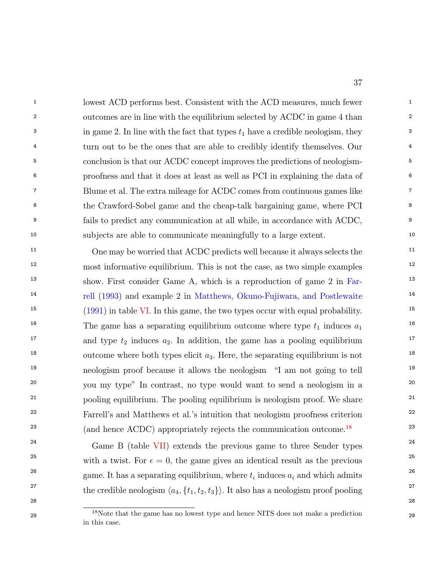<sup>1</sup> lowest ACD performs best. Consistent with the ACD measures, much fewer 2 outcomes are in line with the equilibrium selected by ACDC in game 4 than <sup>3</sup> in game 2. In line with the fact that types  $t_1$  have a credible neologism, they <sup>3</sup> <sup>4</sup> <sup>4</sup> turn out to be the ones that are able to credibly identify themselves. Our <sup>4</sup> 5 conclusion is that our ACDC concept improves the predictions of neologism- 6 proofness and that it does at least as well as PCI in explaining the data of 7 Blume et al. The extra mileage for ACDC comes from continuous games like 8 the Crawford-Sobel game and the cheap-talk bargaining game, where PCI 9 fails to predict any communication at all while, in accordance with ACDC, 10 subjects are able to communicate meaningfully to a large extent.

<sup>11</sup> One may be worried that ACDC predicts well because it always selects the <sup>11</sup> <sup>12</sup> 12 most informative equilibrium. This is not the case, as two simple examples <sup>12</sup> <sup>13</sup> show. First consider Game A, which is a reproduction of game 2 in [Far](#page-44-0)<sup>14</sup> [rell](#page-44-0) [\(1993\)](#page-44-0) and example 2 in [Matthews, Okuno-Fujiwara, and Postlewaite](#page-44-1)<sup>14</sup> <sup>15</sup>  $(1991)$  in table [VI.](#page-38-0) In this game, the two types occur with equal probability. <sup>16</sup> 16 The game has a separating equilibrium outcome where type  $t_1$  induces  $a_1$ <sup>16</sup> <sup>17</sup> and type  $t_2$  induces  $a_2$ . In addition, the game has a pooling equilibrium <sup>18</sup> outcome where both types elicit  $a_3$ . Here, the separating equilibrium is not <sup>19</sup> 19 19 neologism proof because it allows the neologism  $\lq$  am not going to tell <sup>20</sup> you my type" In contrast, no type would want to send a neologism in a <sup>20</sup> <sup>21</sup> pooling equilibrium. The pooling equilibrium is neologism proof. We share <sup>21</sup> <sup>22</sup> Farrell's and Matthews et al.'s intuition that neologism proofness criterion<sup>22</sup> <sup>23</sup> (and hence ACDC) appropriately rejects the communication outcome.<sup>[18](#page-37-0)</sup> <sup>23</sup>

<sup>24</sup> <sup>24</sup> Game B (table [VII\)](#page-38-1) extends the previous game to three Sender types<sup>24</sup> <sup>25</sup> 25 with a twist. For  $\epsilon = 0$ , the game gives an identical result as the previous <sup>26</sup> 26 game. It has a separating equilibrium, where  $t_i$  induces  $a_i$  and which admits <sup>27</sup> the credible neologism  $\langle a_4, \{t_1, t_2, t_3\} \rangle$ . It also has a neologism proof pooling <sup>27</sup>

<span id="page-37-0"></span>28 28

<sup>&</sup>lt;sup>18</sup>Note that the game has no lowest type and hence NITS does not make a prediction <sup>29</sup> in this case.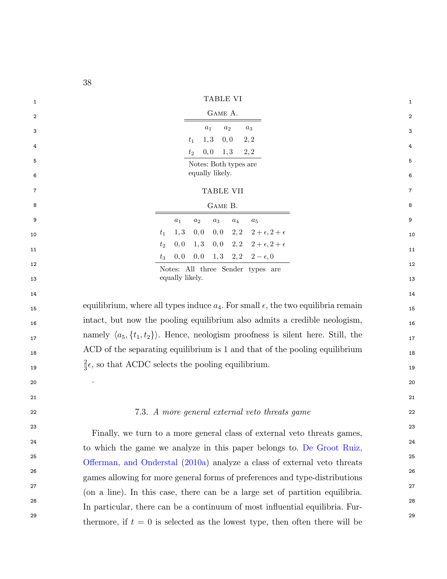<span id="page-38-1"></span><span id="page-38-0"></span>

|    | οo                                                                                                 |                |
|----|----------------------------------------------------------------------------------------------------|----------------|
| 1  | TABLE VI                                                                                           | $\mathbf{1}$   |
| 2  | GAME A.                                                                                            | 2              |
| 3  | $a_2$<br>$a_1$<br>$a_3$                                                                            | 3              |
| 4  | 1, 3<br>0,0<br>2, 2<br>$t_1$                                                                       | 4              |
| 5  | 0, 0<br>2, 2<br>1, 3<br>$t_2$                                                                      | 5              |
| 6  | Notes: Both types are<br>equally likely.                                                           | 6              |
| 7  | TABLE VII                                                                                          | $\overline{7}$ |
| 8  | GAME B.                                                                                            | 8              |
| 9  | $a_3$<br>$a_1$<br>$a_2$<br>$a_4$<br>$a_5$                                                          | 9              |
| 10 | 2,2<br>$2+\epsilon$ , $2+\epsilon$<br>1, 3<br>0,0<br>0,0<br>$t_1$                                  | 10             |
|    | $2 + \epsilon$ , $2 + \epsilon$<br>1, 3<br>0,0<br>2, 2<br>0,0<br>$t_2$                             |                |
| 11 | 0,0<br>1, 3 2, 2 $2 - \epsilon$ , 0<br>0,0<br>$t_3$                                                | 11             |
| 12 | Notes: All three Sender types are<br>equally likely.                                               | 12             |
| 13 |                                                                                                    | 13             |
| 14 | equilibrium, where all types induce $a_4$ . For small $\epsilon$ , the two equilibria remain       | 14             |
| 15 | intact, but now the pooling equilibrium also admits a credible neologism,                          | 15             |
| 16 | namely $\langle a_5, \{t_1, t_2\} \rangle$ . Hence, neologism proofness is silent here. Still, the | 16             |
| 17 | ACD of the separating equilibrium is 1 and that of the pooling equilibrium                         | 17             |
| 18 | $\frac{2}{3}\epsilon$ , so that ACDC selects the pooling equilibrium.                              | 18             |
| 19 |                                                                                                    | 19             |
| 20 |                                                                                                    | 20             |
| 21 |                                                                                                    | 21             |
| 22 | 7.3. A more general external veto threats game                                                     | 22             |
| 23 | Finally, we turn to a more general class of external veto threats games,                           | 23             |
| 24 | to which the game we analyze in this paper belongs to. De Groot Ruiz,                              | 24             |
| 25 | Offerman, and Onderstal (2010a) analyze a class of external veto threats                           | 25             |
| 26 | games allowing for more general forms of preferences and type-distributions                        | 26             |
| 27 | (on a line). In this case, there can be a large set of partition equilibria.                       | 27             |

<sup>28</sup> In particular, there can be a continuum of most influential equilibria. Fur-

<sup>29</sup> thermore, if  $t = 0$  is selected as the lowest type, then often there will be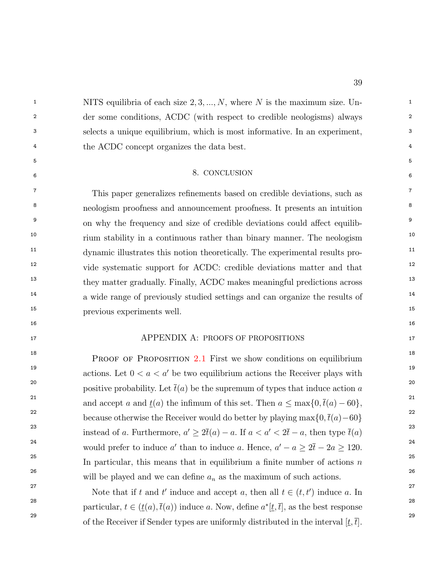<sup>1</sup> 1 NITS equilibria of each size  $2, 3, ..., N$ , where N is the maximum size. Un-2 2 der some conditions, ACDC (with respect to credible neologisms) always 3 3 selects a unique equilibrium, which is most informative. In an experiment, <sup>4</sup> the ACDC concept organizes the data best.

#### $5$  $\sim$  CONCLUSION 6 8. CONCLUSION

<sup>7</sup> This paper generalizes refinements based on credible deviations, such as <sup>7</sup> <sup>8</sup> neologism proofness and announcement proofness. It presents an intuition <sup>8</sup> <sup>9</sup> on why the frequency and size of credible deviations could affect equilib-<sup>10</sup> 10 10 10 10 rium stability in a continuous rather than binary manner. The neologism <sup>11</sup> dynamic illustrates this notion theoretically. The experimental results pro-<sup>12</sup> vide systematic support for ACDC: credible deviations matter and that <sup>12</sup> <sup>13</sup> they matter gradually. Finally, ACDC makes meaningful predictions across <sup>13</sup> <sup>14</sup> 14 a wide range of previously studied settings and can organize the results of 15 15 previous experiments well.

## $16$ 17 17 APPENDIX A: PROOFS OF PROPOSITIONS

<sup>18</sup><br>PROOF OF PROPOSITION [2.1](#page-7-0) First we show conditions on equilibrium <sup>19</sup> 19 19 19 19 actions. Let  $0 < a < a'$  be two equilibrium actions the Receiver plays with <sup>20</sup> 20 positive probability. Let  $\bar{t}(a)$  be the supremum of types that induce action a<sup>20</sup> and accept a and  $\underline{t}(a)$  the infimum of this set. Then  $a \leq \max\{0, \overline{t}(a) - 60\},\$ <sup>22</sup> because otherwise the Receiver would do better by playing max $\{0, \bar{t}(a) - 60\}$ <sup>22</sup> <sup>23</sup> instead of a. Furthermore,  $a' \geq 2\bar{t}(a) - a$ . If  $a < a' < 2\bar{t} - a$ , then type  $\bar{t}(a)$ <sup>23</sup> <sup>24</sup> would prefer to induce a' than to induce a. Hence,  $a' - a \geq 2\bar{t} - 2a \geq 120$ . <sup>25</sup> In particular, this means that in equilibrium a finite number of actions  $n^{25}$ 26 26 will be played and we can dene a<sup>n</sup> as the maximum of such actions.

<sup>27</sup> 27 Note that if t and t' induce and accept a, then all  $t \in (t, t')$  induce a. In <sup>28</sup> particular,  $t \in (\underline{t}(a), \overline{t}(a))$  induce a. Now, define  $a^*[t, \overline{t}]$ , as the best response <sup>29</sup> of the Receiver if Sender types are uniformly distributed in the interval  $[\underline{t}, \overline{t}]$ .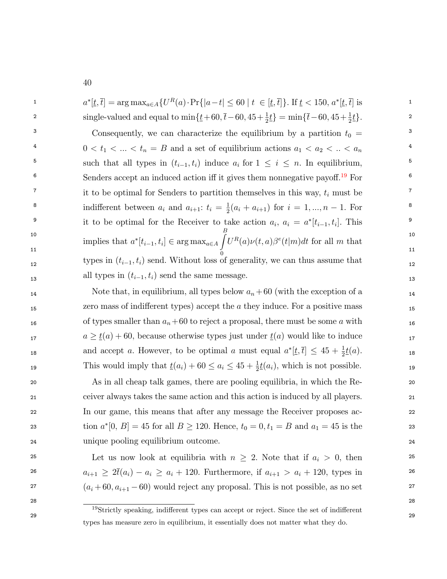| $\mathbf{1}$   | $a^*[t, \bar{t}] = \arg \max_{a \in A} \{ U^R(a) \cdot \Pr\{ a - t  \leq 60 \mid t \in [\underline{t}, \bar{t}]\}.$ If $\underline{t} < 150, a^*[\underline{t}, \bar{t}]$ is | $\mathbf{1}$   |
|----------------|------------------------------------------------------------------------------------------------------------------------------------------------------------------------------|----------------|
| $\overline{2}$ | single-valued and equal to $\min{\{\overline{t}+60,\overline{t}-60,45+\frac{1}{2}\underline{t}\}} = \min{\{\overline{t}-60,45+\frac{1}{2}\underline{t}\}}$ .                 | $\overline{2}$ |
| 3              | Consequently, we can characterize the equilibrium by a partition $t_0 =$                                                                                                     | 3              |
| $\overline{4}$ | $0 < t_1 <  < t_n = B$ and a set of equilibrium actions $a_1 < a_2 <  < a_n$                                                                                                 | 4              |
| 5              | such that all types in $(t_{i-1}, t_i)$ induce $a_i$ for $1 \leq i \leq n$ . In equilibrium,                                                                                 | 5              |
| 6              | Senders accept an induced action iff it gives them nonnegative payoff. <sup>19</sup> For                                                                                     | 6              |
| $\overline{7}$ | it to be optimal for Senders to partition themselves in this way, $t_i$ must be                                                                                              | $7^{\circ}$    |
| 8              | indifferent between $a_i$ and $a_{i+1}$ : $t_i = \frac{1}{2}(a_i + a_{i+1})$ for $i = 1, , n-1$ . For                                                                        | 8              |
| 9              | it to be optimal for the Receiver to take action $a_i$ , $a_i = a^*[t_{i-1}, t_i]$ . This                                                                                    | 9              |
| 10             | implies that $a^*[t_{i-1},t_i] \in \arg\max_{a \in A} \int\! U^R(a) \nu(t,a) \beta^e(t m) dt$ for all $m$ that                                                               | 10             |
| 11             |                                                                                                                                                                              | 11             |
| 12             | types in $(t_{i-1}, t_i)$ send. Without loss of generality, we can thus assume that                                                                                          | 12             |
| 13             | all types in $(t_{i-1}, t_i)$ send the same message.                                                                                                                         | 13             |

14 14 14 14 14 Note that, in equilibrium, all types below  $a_n + 60$  (with the exception of a <sub>15</sub> 15 15 15 15 15 15 2010 accept the a they induce. For a positive mass 15 16 16 16 16 of types smaller than  $a_n+60$  to reject a proposal, there must be some a with 16 17  $a \ge \underline{t}(a) + 60$ , because otherwise types just under  $\underline{t}(a)$  would like to induce 18 and accept a. However, to be optimal a must equal  $a^*[t,\bar{t}] \leq 45 + \frac{1}{2}t(a)$ . 19 This would imply that  $\underline{t}(a_i) + 60 \le a_i \le 45 + \frac{1}{2}\underline{t}(a_i)$ , which is not possible.

 20 As in all cheap talk games, there are pooling equilibria, in which the Re- 21 ceiver always takes the same action and this action is induced by all players. 22 In our game, this means that after any message the Receiver proposes ac-23 tion  $a^*[0, B] = 45$  for all  $B \ge 120$ . Hence,  $t_0 = 0, t_1 = B$  and  $a_1 = 45$  is the 23 24 unique pooling equilibrium outcome.

25 25 Let us now look at equilibria with n 2. Note that if a<sup>i</sup> > 0, then 26  $a_{i+1} \geq 2\bar{t}(a_i) - a_i \geq a_i + 120$ . Furthermore, if  $a_{i+1} > a_i + 120$ , types in <sup>27</sup>  $(a_i + 60, a_{i+1} - 60)$  would reject any proposal. This is not possible, as no set <sup>27</sup>

<span id="page-40-0"></span>28 28

40

<sup>29</sup> 29 <sup>19</sup>Strictly speaking, indifferent types can accept or reject. Since the set of indifferent types has measure zero in equilibrium, it essentially does not matter what they do.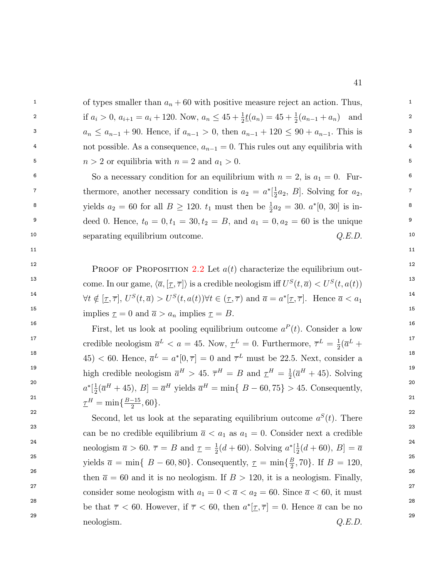| $\mathbf{1}$   | of types smaller than $a_n + 60$ with positive measure reject an action. Thus,                                      | $\mathbf{1}$    |
|----------------|---------------------------------------------------------------------------------------------------------------------|-----------------|
| $\overline{2}$ | if $a_i > 0$ , $a_{i+1} = a_i + 120$ . Now, $a_n \leq 45 + \frac{1}{2}t(a_n) = 45 + \frac{1}{2}(a_{n-1} + a_n)$ and | $\overline{2}$  |
| $\mathbf{3}$   | $a_n \le a_{n-1}$ + 90. Hence, if $a_{n-1} > 0$ , then $a_{n-1}$ + 120 $\le 90 + a_{n-1}$ . This is                 | 3               |
| $\overline{4}$ | not possible. As a consequence, $a_{n-1} = 0$ . This rules out any equilibria with                                  | $4\overline{ }$ |
| 5              | $n > 2$ or equilibria with $n = 2$ and $a_1 > 0$ .                                                                  | 5               |
| 6              | So a necessary condition for an equilibrium with $n = 2$ , is $a_1 = 0$ . Fur-                                      | 6               |
| $\overline{7}$ | thermore, another necessary condition is $a_2 = a^*[\frac{1}{2}a_2, B]$ . Solving for $a_2$ ,                       | $7\overline{ }$ |
| 8              | yields $a_2 = 60$ for all $B \ge 120$ . $t_1$ must then be $\frac{1}{2}a_2 = 30$ . $a^*[0, 30]$ is in-              | 8               |
| 9              | deed 0. Hence, $t_0 = 0, t_1 = 30, t_2 = B$ , and $a_1 = 0, a_2 = 60$ is the unique                                 | 9               |
| 10             | Q.E.D.<br>separating equilibrium outcome.                                                                           | 10              |
| 11             |                                                                                                                     | 11              |
|                |                                                                                                                     |                 |

<sup>12</sup> PROOF OF PROPOSITION [2.2](#page-9-0) Let  $a(t)$  characterize the equilibrium out-13 come. In our game,  $\langle \overline{a}, [\underline{\tau}, \overline{\tau}] \rangle$  is a credible neologism iff  $U^S(t, \overline{a}) < U^S(t, a(t))$  13 <sup>14</sup>  $\forall t \notin [\underline{\tau}, \overline{\tau}], U^S(t, \overline{a}) > U^S(t, a(t)) \forall t \in (\underline{\tau}, \overline{\tau}) \text{ and } \overline{a} = a^*[\underline{\tau}, \overline{\tau}].$  Hence  $\overline{a} < a_1$ <sup>14</sup> <sup>15</sup> implies  $\underline{\tau} = 0$  and  $\overline{a} > a_n$  implies  $\underline{\tau} = B$ .

<sup>16</sup> 16 First, let us look at pooling equilibrium outcome  $a<sup>P</sup>(t)$ . Consider a low <sup>17</sup> credible neologism  $\overline{a}^L < a = 45$ . Now,  $\underline{\tau}^L = 0$ . Furthermore,  $\overline{\tau}^L = \frac{1}{2}(\overline{a}^L +$ <sup>18</sup>  $(45) < 60$ . Hence,  $\overline{a}^L = a^* [0, \overline{\tau}] = 0$  and  $\overline{\tau}^L$  must be 22.5. Next, consider a <sup>19</sup> high credible neologism  $\overline{a}^H > 45$ .  $\overline{\tau}^H = B$  and  $\underline{\tau}^H = \frac{1}{2}(\overline{a}^H + 45)$ . Solving <sup>20</sup>  $a^*[\frac{1}{2}(\overline{a}^H + 45), B] = \overline{a}^H$  yields  $\overline{a}^H = \min\{B - 60, 75\} > 45$ . Consequently,  $\underline{\tau}^H = \min\{\frac{B-15}{2}, 60\}.$  $\frac{1}{2}(\overline{a}^L +$  $\frac{1}{2}(\overline{a}^H + 45)$ . Solving  $\frac{1}{2}(\overline{a}^H + 45), B] = \overline{a}^H$  yields  $\overline{a}^H = \min\{B - 60, 75\} > 45$ . Consequently,

<sup>22</sup> Second, let us look at the separating equilibrium outcome  $a^{S}(t)$ . There <sup>23</sup> can be no credible equilibrium  $\overline{a} < a_1$  as  $a_1 = 0$ . Consider next a credible <sup>23</sup> <sup>24</sup> neologism  $\bar{a} > 60$ .  $\bar{\tau} = B$  and  $\underline{\tau} = \frac{1}{2}(d+60)$ . Solving  $a^*[\frac{1}{2}(d+60), B] = \bar{a}$ <sup>24</sup> <sup>25</sup> yields  $\bar{a} = \min\{B - 60, 80\}$ . Consequently,  $\underline{\tau} = \min\{\frac{B}{2}, 70\}$ . If  $B = 120$ , <sup>26</sup> then  $\bar{a} = 60$  and it is no neologism. If  $B > 120$ , it is a neologism. Finally, <sup>27</sup> consider some neologism with  $a_1 = 0 < \overline{a} < a_2 = 60$ . Since  $\overline{a} < 60$ , it must <sup>27</sup> <sup>28</sup> be that  $\overline{\tau}$  < 60. However, if  $\overline{\tau}$  < 60, then  $a^*[\underline{\tau}, \overline{\tau}] = 0$ . Hence  $\overline{a}$  can be no  $29$  and  $29$  and  $29$  and  $29$  and  $29$  and  $29$  and  $29$  $\frac{1}{2}(d+60)$ . Solving  $a^*[\frac{1}{2}]$  $\frac{1}{2}(d+60), B] = \overline{a}$  $\frac{B}{2}$ , 70}. If  $B = 120$ , neologism.  $Q.E.D.$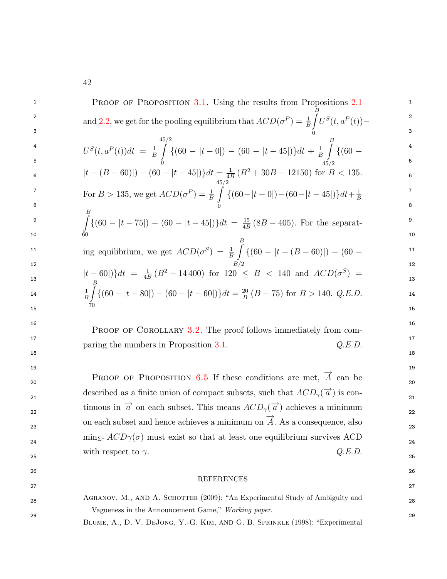| 1  | <b>PROOF OF PROPOSITION 3.1.</b> Using the results from Propositions 2.1                                                                                                                            | 1              |
|----|-----------------------------------------------------------------------------------------------------------------------------------------------------------------------------------------------------|----------------|
| 2  | and 2.2, we get for the pooling equilibrium that $ACD(\sigma^P) = \frac{1}{B} \int_C U^S(t, \overline{a}^P(t))$                                                                                     | 2              |
| 3  |                                                                                                                                                                                                     | 3              |
| 4  | $U^{S}(t, a^{P}(t))dt = \frac{1}{B}\int_{0}^{2\pi} \{(60 -  t - 0 ) - (60 -  t - 45 )\}dt + \frac{1}{B}\int_{45/2}^{2} \{(60 -  t - 0 ) - (60 -  t - 45 )\}dt$                                      | 4              |
| 5  |                                                                                                                                                                                                     | 5              |
| 6  | $ t-(B-60) -(60- t-45 )$ $dt = \frac{1}{4B}(B^2+30B-12150)$ for $B < 135$ .                                                                                                                         | 6              |
| 7  | For $B > 135$ , we get $ACD(\sigma^P) = \frac{1}{B} \int_{0}^{2\pi} \{(60 -  t - 0 ) - (60 -  t - 45 )\} dt + \frac{1}{B}$                                                                          | $\overline{7}$ |
| 8  |                                                                                                                                                                                                     | 8              |
| 9  | $\int_{0}^{B} \{(60 -  t - 75 ) - (60 -  t - 45 )\} dt = \frac{15}{4B} (8B - 405)$ . For the separat-                                                                                               | 9              |
| 10 |                                                                                                                                                                                                     | 10             |
| 11 | ing equilibrium, we get $ACD(\sigma^S) = \frac{1}{B} \int_{0}^{B} \{(60 -  t - (B - 60) ) - (60 -$                                                                                                  | 11             |
| 12 |                                                                                                                                                                                                     | 12             |
| 13 |                                                                                                                                                                                                     | 13             |
| 14 | $ t-60 $ } $dt = \frac{1}{4B}(B^2 - 14400)$ for $120 \le B < 140$ and $ACD(\sigma^S) = \frac{1}{B} \int_{B} \{(60 -  t - 80 ) - (60 -  t - 60 )\} dt = \frac{20}{B}(B - 75)$ for $B > 140$ . Q.E.D. | 14             |
| 15 |                                                                                                                                                                                                     | 15             |
| 16 | <b>PROOF OF COROLLARY 3.2.</b> The proof follows immediately from com-                                                                                                                              | 16             |
| 17 | paring the numbers in Proposition 3.1.<br>Q.E.D.                                                                                                                                                    | 17             |
| 18 |                                                                                                                                                                                                     | 18             |
| 19 |                                                                                                                                                                                                     | 19             |
| 20 | <b>PROOF OF PROPOSITION 6.5 If these conditions are met,</b> $\overrightarrow{A}$ can be                                                                                                            | 20             |
| 21 | described as a finite union of compact subsets, such that $ACD_{\gamma}(\vec{a})$ is con-                                                                                                           | 21             |
| 22 | tinuous in $\vec{a}$ on each subset. This means $ACD_{\gamma}(\vec{a})$ achieves a minimum                                                                                                          | 22             |
| 23 | on each subset and hence achieves a minimum on $\overrightarrow{A}$ . As a consequence, also                                                                                                        | 23             |
| 24 | $\min_{\Sigma^*} ACD\gamma(\sigma)$ must exist so that at least one equilibrium survives ACD                                                                                                        | 24             |
| 25 | Q.E.D.<br>with respect to $\gamma$ .                                                                                                                                                                | 25             |
| 26 |                                                                                                                                                                                                     | 26             |
| 27 | <b>REFERENCES</b>                                                                                                                                                                                   | 27             |
| 28 | AGRANOV, M., AND A. SCHOTTER (2009): "An Experimental Study of Ambiguity and                                                                                                                        | 28             |
| 29 | Vagueness in the Announcement Game," Working paper.                                                                                                                                                 | 29             |
|    | BLUME, A., D. V. DEJONG, Y.-G. KIM, AND G. B. SPRINKLE (1998): "Experimental                                                                                                                        |                |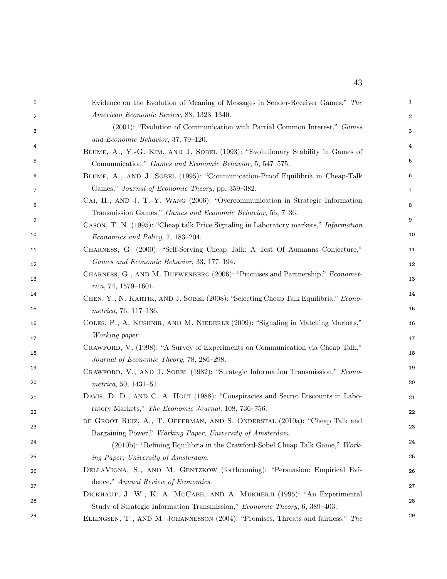<span id="page-43-0"></span>

| 1  | Evidence on the Evolution of Meaning of Messages in Sender-Receiver Games," The                                                                       | 1              |
|----|-------------------------------------------------------------------------------------------------------------------------------------------------------|----------------|
| 2  | American Economic Review, 88, 1323-1340.                                                                                                              | 2              |
| 3  | (2001): "Evolution of Communication with Partial Common Interest," Games                                                                              | 3              |
| 4  | and Economic Behavior, 37, 79-120.                                                                                                                    | 4              |
| 5  | BLUME, A., Y.-G. KIM, AND J. SOBEL (1993): "Evolutionary Stability in Games of                                                                        | 5              |
|    | Communication," Games and Economic Behavior, 5, 547-575.                                                                                              |                |
| 6  | BLUME, A., AND J. SOBEL (1995): "Communication-Proof Equilibria in Cheap-Talk                                                                         | 6              |
| 7  | Games," Journal of Economic Theory, pp. 359–382.                                                                                                      | $\overline{7}$ |
| 8  | CAI, H., AND J. T.-Y. WANG (2006): "Overcommunication in Strategic Information<br>Transmission Games," Games and Economic Behavior, 56, 7-36.         | 8              |
| 9  | CASON, T. N. (1995): "Cheap talk Price Signaling in Laboratory markets," Information                                                                  | 9              |
| 10 | Economics and Policy, 7, 183-204.                                                                                                                     | 10             |
| 11 | CHARNESS, G. (2000): "Self-Serving Cheap Talk: A Test Of Aumanns Conjecture,"                                                                         | 11             |
| 12 | Games and Economic Behavior, 33, 177-194.                                                                                                             | 12             |
|    | CHARNESS, G., AND M. DUFWENBERG (2006): "Promises and Partnership," Economet-                                                                         |                |
| 13 | $rica, 74, 1579-1601.$                                                                                                                                | 13             |
| 14 | CHEN, Y., N. KARTIK, AND J. SOBEL (2008): "Selecting Cheap Talk Equilibria," Econo-                                                                   | 14             |
| 15 | $metrica, 76, 117-136.$                                                                                                                               | 15             |
| 16 | COLES, P., A. KUSHNIR, AND M. NIEDERLE (2009): "Signaling in Matching Markets,"                                                                       | 16             |
| 17 | Working paper.                                                                                                                                        | 17             |
| 18 | CRAWFORD, V. (1998): "A Survey of Experiments on Communication via Cheap Talk,"                                                                       | 18             |
|    | Journal of Economic Theory, 78, 286-298.                                                                                                              | 19             |
| 19 | CRAWFORD, V., AND J. SOBEL (1982): "Strategic Information Transmission," Econo-                                                                       |                |
| 20 | $metrica, 50, 1431-51.$                                                                                                                               | 20             |
| 21 | DAVIS, D. D., AND C. A. HOLT (1988): "Conspiracies and Secret Discounts in Labo-                                                                      | 21             |
| 22 | ratory Markets," The Economic Journal, 108, 736-756.                                                                                                  | 22             |
| 23 | DE GROOT RUIZ, A., T. OFFERMAN, AND S. ONDERSTAL (2010a): "Cheap Talk and                                                                             | 23             |
| 24 | Bargaining Power," Working Paper, University of Amsterdam.                                                                                            | 24             |
| 25 | - (2010b): "Refining Equilibria in the Crawford-Sobel Cheap Talk Game," Work-                                                                         | 25             |
|    | ing Paper, University of Amsterdam.                                                                                                                   |                |
| 26 | DELLAVIGNA, S., AND M. GENTZKOW (forthcoming): "Persuasion: Empirical Evi-<br>dence," Annual Review of Economics.                                     | 26             |
| 27 |                                                                                                                                                       | 27             |
| 28 | DICKHAUT, J. W., K. A. McCABE, AND A. MUKHERJI (1995): "An Experimental<br>Study of Strategic Information Transmission," Economic Theory, 6, 389-403. | 28             |
| 29 | ELLINGSEN, T., AND M. JOHANNESSON (2004): "Promises, Threats and fairness," The                                                                       | 29             |
|    |                                                                                                                                                       |                |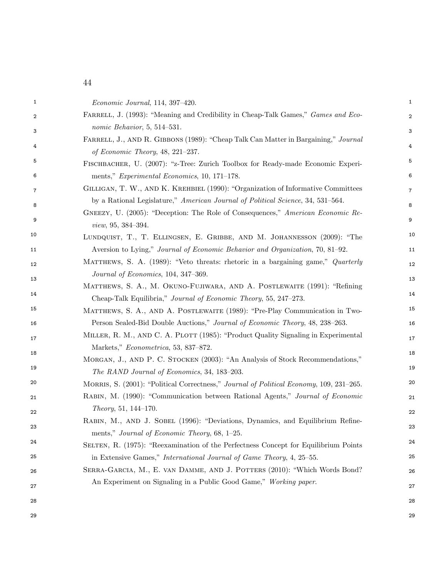44

<span id="page-44-1"></span><span id="page-44-0"></span>

| 1  | Economic Journal, 114, 397-420.                                                                                              | $\mathbf{1}$   |
|----|------------------------------------------------------------------------------------------------------------------------------|----------------|
| 2  | FARRELL, J. (1993): "Meaning and Credibility in Cheap-Talk Games," Games and Eco-                                            | 2              |
| 3  | nomic Behavior, $5, 514-531$ .                                                                                               | 3              |
| 4  | FARRELL, J., AND R. GIBBONS (1989): "Cheap Talk Can Matter in Bargaining," Journal                                           | 4              |
|    | of Economic Theory, $48, 221-237$ .                                                                                          |                |
| 5  | FISCHBACHER, U. (2007): "z-Tree: Zurich Toolbox for Ready-made Economic Experi-                                              | 5              |
| 6  | ments," Experimental Economics, 10, 171-178.                                                                                 | 6              |
| 7  | GILLIGAN, T. W., AND K. KREHBIEL (1990): "Organization of Informative Committees                                             | $\overline{7}$ |
| 8  | by a Rational Legislature," American Journal of Political Science, 34, 531–564.                                              | 8              |
| 9  | GNEEZY, U. (2005): "Deception: The Role of Consequences," American Economic Re-<br>view, 95, 384-394.                        | 9              |
| 10 | LUNDQUIST, T., T. ELLINGSEN, E. GRIBBE, AND M. JOHANNESSON (2009): "The                                                      | 10             |
| 11 | Aversion to Lying," Journal of Economic Behavior and Organization, 70, 81–92.                                                | 11             |
| 12 | MATTHEWS, S. A. (1989): "Veto threats: rhetoric in a bargaining game," Quarterly                                             | 12             |
| 13 | Journal of Economics, 104, 347-369.                                                                                          | 13             |
|    | MATTHEWS, S. A., M. OKUNO-FUJIWARA, AND A. POSTLEWAITE (1991): "Refining                                                     |                |
| 14 | Cheap-Talk Equilibria," Journal of Economic Theory, 55, 247-273.                                                             | 14             |
| 15 | MATTHEWS, S. A., AND A. POSTLEWAITE (1989): "Pre-Play Communication in Two-                                                  | 15             |
| 16 | Person Sealed-Bid Double Auctions," Journal of Economic Theory, 48, 238–263.                                                 | 16             |
| 17 | MILLER, R. M., AND C. A. PLOTT (1985): "Product Quality Signaling in Experimental                                            | 17             |
| 18 | Markets," Econometrica, 53, 837-872.                                                                                         | 18             |
| 19 | MORGAN, J., AND P. C. STOCKEN (2003): "An Analysis of Stock Recommendations,"<br>The RAND Journal of Economics, 34, 183-203. | 19             |
| 20 | MORRIS, S. (2001): "Political Correctness," Journal of Political Economy, 109, 231–265.                                      | 20             |
| 21 | RABIN, M. (1990): "Communication between Rational Agents," Journal of Economic                                               | 21             |
| 22 | Theory, 51, 144-170.                                                                                                         | 22             |
|    | RABIN, M., AND J. SOBEL (1996): "Deviations, Dynamics, and Equilibrium Refine-                                               |                |
| 23 | ments," Journal of Economic Theory, 68, 1-25.                                                                                | 23             |
| 24 | SELTEN, R. (1975): "Reexamination of the Perfectness Concept for Equilibrium Points                                          | 24             |
| 25 | in Extensive Games," International Journal of Game Theory, 4, 25–55.                                                         | 25             |
| 26 | SERRA-GARCIA, M., E. VAN DAMME, AND J. POTTERS (2010): "Which Words Bond?                                                    | 26             |
| 27 | An Experiment on Signaling in a Public Good Game," Working paper.                                                            | 27             |
| 28 |                                                                                                                              | 28             |
| 29 |                                                                                                                              | 29             |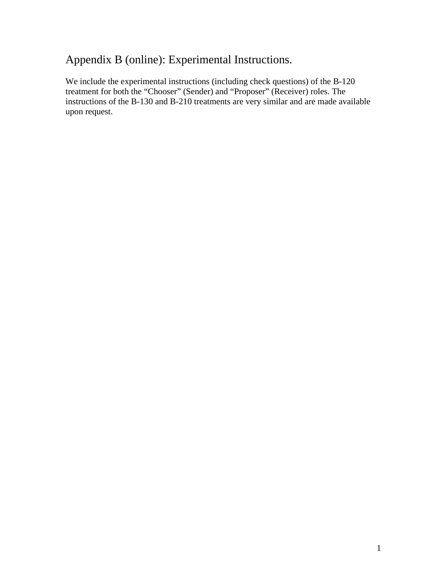## Appendix B (online): Experimental Instructions.

We include the experimental instructions (including check questions) of the B-120 treatment for both the "Chooser" (Sender) and "Proposer" (Receiver) roles. The instructions of the B-130 and B-210 treatments are very similar and are made available upon request.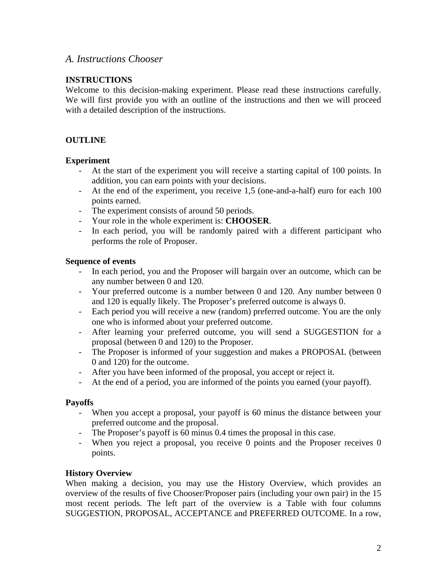## *A. Instructions Chooser*

#### **INSTRUCTIONS**

Welcome to this decision-making experiment. Please read these instructions carefully. We will first provide you with an outline of the instructions and then we will proceed with a detailed description of the instructions.

#### **OUTLINE**

#### **Experiment**

- At the start of the experiment you will receive a starting capital of 100 points. In addition, you can earn points with your decisions.
- At the end of the experiment, you receive 1,5 (one-and-a-half) euro for each 100 points earned.
- The experiment consists of around 50 periods.
- Your role in the whole experiment is: **CHOOSER**.
- In each period, you will be randomly paired with a different participant who performs the role of Proposer.

#### **Sequence of events**

- In each period, you and the Proposer will bargain over an outcome, which can be any number between 0 and 120.
- Your preferred outcome is a number between 0 and 120. Any number between 0 and 120 is equally likely. The Proposer's preferred outcome is always 0.
- Each period you will receive a new (random) preferred outcome. You are the only one who is informed about your preferred outcome.
- After learning your preferred outcome, you will send a SUGGESTION for a proposal (between 0 and 120) to the Proposer.
- The Proposer is informed of your suggestion and makes a PROPOSAL (between 0 and 120) for the outcome.
- After you have been informed of the proposal, you accept or reject it.
- At the end of a period, you are informed of the points you earned (your payoff).

#### **Payoffs**

- When you accept a proposal, your payoff is 60 minus the distance between your preferred outcome and the proposal.
- The Proposer's payoff is 60 minus 0.4 times the proposal in this case.
- When you reject a proposal, you receive 0 points and the Proposer receives 0 points.

#### **History Overview**

When making a decision, you may use the History Overview, which provides an overview of the results of five Chooser/Proposer pairs (including your own pair) in the 15 most recent periods. The left part of the overview is a Table with four columns SUGGESTION, PROPOSAL, ACCEPTANCE and PREFERRED OUTCOME. In a row,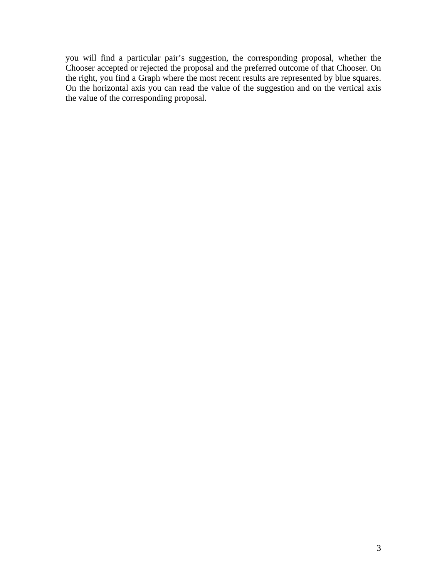you will find a particular pair's suggestion, the corresponding proposal, whether the Chooser accepted or rejected the proposal and the preferred outcome of that Chooser. On the right, you find a Graph where the most recent results are represented by blue squares. On the horizontal axis you can read the value of the suggestion and on the vertical axis the value of the corresponding proposal.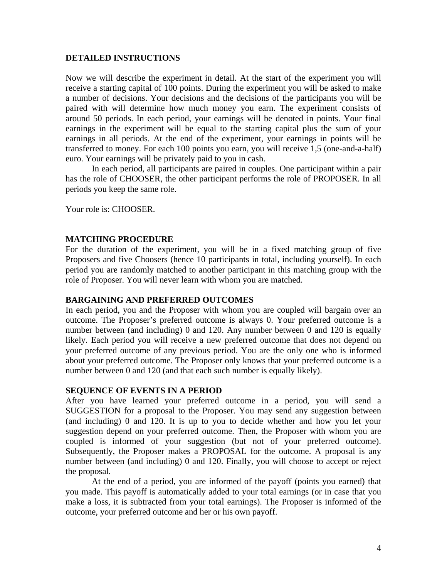#### **DETAILED INSTRUCTIONS**

Now we will describe the experiment in detail. At the start of the experiment you will receive a starting capital of 100 points. During the experiment you will be asked to make a number of decisions. Your decisions and the decisions of the participants you will be paired with will determine how much money you earn. The experiment consists of around 50 periods. In each period, your earnings will be denoted in points. Your final earnings in the experiment will be equal to the starting capital plus the sum of your earnings in all periods. At the end of the experiment, your earnings in points will be transferred to money. For each 100 points you earn, you will receive 1,5 (one-and-a-half) euro. Your earnings will be privately paid to you in cash.

In each period, all participants are paired in couples. One participant within a pair has the role of CHOOSER, the other participant performs the role of PROPOSER. In all periods you keep the same role.

Your role is: CHOOSER.

#### **MATCHING PROCEDURE**

For the duration of the experiment, you will be in a fixed matching group of five Proposers and five Choosers (hence 10 participants in total, including yourself). In each period you are randomly matched to another participant in this matching group with the role of Proposer. You will never learn with whom you are matched.

#### **BARGAINING AND PREFERRED OUTCOMES**

In each period, you and the Proposer with whom you are coupled will bargain over an outcome. The Proposer's preferred outcome is always 0. Your preferred outcome is a number between (and including) 0 and 120. Any number between 0 and 120 is equally likely. Each period you will receive a new preferred outcome that does not depend on your preferred outcome of any previous period. You are the only one who is informed about your preferred outcome. The Proposer only knows that your preferred outcome is a number between 0 and 120 (and that each such number is equally likely).

#### **SEQUENCE OF EVENTS IN A PERIOD**

After you have learned your preferred outcome in a period, you will send a SUGGESTION for a proposal to the Proposer. You may send any suggestion between (and including) 0 and 120. It is up to you to decide whether and how you let your suggestion depend on your preferred outcome. Then, the Proposer with whom you are coupled is informed of your suggestion (but not of your preferred outcome). Subsequently, the Proposer makes a PROPOSAL for the outcome. A proposal is any number between (and including) 0 and 120. Finally, you will choose to accept or reject the proposal.

At the end of a period, you are informed of the payoff (points you earned) that you made. This payoff is automatically added to your total earnings (or in case that you make a loss, it is subtracted from your total earnings). The Proposer is informed of the outcome, your preferred outcome and her or his own payoff.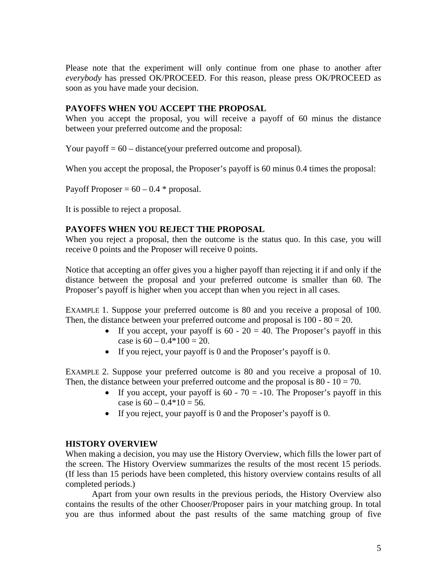Please note that the experiment will only continue from one phase to another after *everybody* has pressed OK/PROCEED. For this reason, please press OK/PROCEED as soon as you have made your decision.

#### **PAYOFFS WHEN YOU ACCEPT THE PROPOSAL**

When you accept the proposal, you will receive a payoff of 60 minus the distance between your preferred outcome and the proposal:

Your payoff  $= 60$  – distance(your preferred outcome and proposal).

When you accept the proposal, the Proposer's payoff is 60 minus 0.4 times the proposal:

Payoff Proposer =  $60 - 0.4$  \* proposal.

It is possible to reject a proposal.

#### **PAYOFFS WHEN YOU REJECT THE PROPOSAL**

When you reject a proposal, then the outcome is the status quo. In this case, you will receive 0 points and the Proposer will receive 0 points.

Notice that accepting an offer gives you a higher payoff than rejecting it if and only if the distance between the proposal and your preferred outcome is smaller than 60. The Proposer's payoff is higher when you accept than when you reject in all cases.

EXAMPLE 1. Suppose your preferred outcome is 80 and you receive a proposal of 100. Then, the distance between your preferred outcome and proposal is  $100 - 80 = 20$ .

- If you accept, your payoff is  $60 20 = 40$ . The Proposer's payoff in this case is  $60 - 0.4 \times 100 = 20$ .
- If you reject, your payoff is 0 and the Proposer's payoff is 0.

EXAMPLE 2. Suppose your preferred outcome is 80 and you receive a proposal of 10. Then, the distance between your preferred outcome and the proposal is  $80 - 10 = 70$ .

- If you accept, your payoff is  $60 70 = -10$ . The Proposer's payoff in this case is  $60 - 0.4 \times 10 = 56$ .
- If you reject, your payoff is 0 and the Proposer's payoff is 0.

#### **HISTORY OVERVIEW**

When making a decision, you may use the History Overview, which fills the lower part of the screen. The History Overview summarizes the results of the most recent 15 periods. (If less than 15 periods have been completed, this history overview contains results of all completed periods.)

Apart from your own results in the previous periods, the History Overview also contains the results of the other Chooser/Proposer pairs in your matching group. In total you are thus informed about the past results of the same matching group of five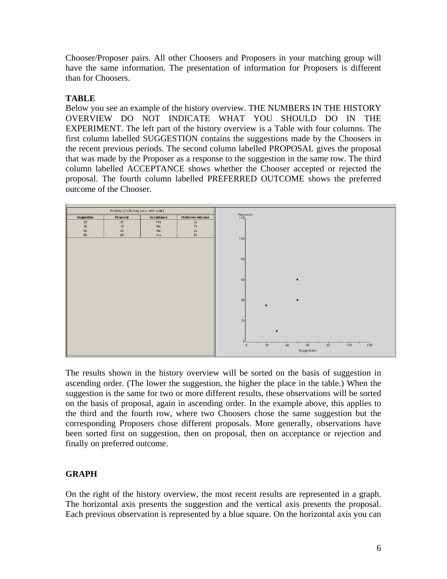Chooser/Proposer pairs. All other Choosers and Proposers in your matching group will have the same information. The presentation of information for Proposers is different than for Choosers.

## **TABLE**

Below you see an example of the history overview. THE NUMBERS IN THE HISTORY OVERVIEW DO NOT INDICATE WHAT YOU SHOULD DO IN THE EXPERIMENT. The left part of the history overview is a Table with four columns. The first column labelled SUGGESTION contains the suggestions made by the Choosers in the recent previous periods. The second column labelled PROPOSAL gives the proposal that was made by the Proposer as a response to the suggestion in the same row. The third column labelled ACCEPTANCE shows whether the Chooser accepted or rejected the proposal. The fourth column labelled PREFERRED OUTCOME shows the preferred outcome of the Chooser.



The results shown in the history overview will be sorted on the basis of suggestion in ascending order. (The lower the suggestion, the higher the place in the table.) When the suggestion is the same for two or more different results, these observations will be sorted on the basis of proposal, again in ascending order. In the example above, this applies to the third and the fourth row, where two Choosers chose the same suggestion but the corresponding Proposers chose different proposals. More generally, observations have been sorted first on suggestion, then on proposal, then on acceptance or rejection and finally on preferred outcome.

### **GRAPH**

On the right of the history overview, the most recent results are represented in a graph. The horizontal axis presents the suggestion and the vertical axis presents the proposal. Each previous observation is represented by a blue square. On the horizontal axis you can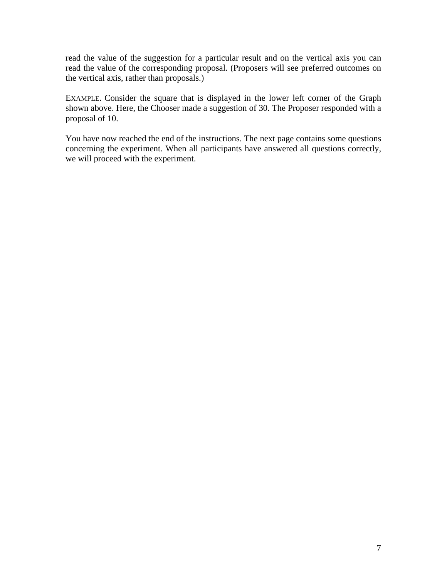read the value of the suggestion for a particular result and on the vertical axis you can read the value of the corresponding proposal. (Proposers will see preferred outcomes on the vertical axis, rather than proposals.)

EXAMPLE. Consider the square that is displayed in the lower left corner of the Graph shown above. Here, the Chooser made a suggestion of 30. The Proposer responded with a proposal of 10.

You have now reached the end of the instructions. The next page contains some questions concerning the experiment. When all participants have answered all questions correctly, we will proceed with the experiment.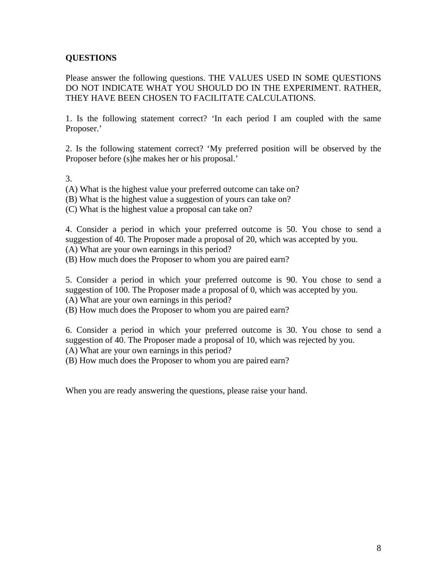## **QUESTIONS**

Please answer the following questions. THE VALUES USED IN SOME QUESTIONS DO NOT INDICATE WHAT YOU SHOULD DO IN THE EXPERIMENT. RATHER, THEY HAVE BEEN CHOSEN TO FACILITATE CALCULATIONS.

1. Is the following statement correct? 'In each period I am coupled with the same Proposer.'

2. Is the following statement correct? 'My preferred position will be observed by the Proposer before (s)he makes her or his proposal.'

3.

(A) What is the highest value your preferred outcome can take on?

(B) What is the highest value a suggestion of yours can take on?

(C) What is the highest value a proposal can take on?

4. Consider a period in which your preferred outcome is 50. You chose to send a suggestion of 40. The Proposer made a proposal of 20, which was accepted by you.

(A) What are your own earnings in this period?

(B) How much does the Proposer to whom you are paired earn?

5. Consider a period in which your preferred outcome is 90. You chose to send a suggestion of 100. The Proposer made a proposal of 0, which was accepted by you. (A) What are your own earnings in this period?

(B) How much does the Proposer to whom you are paired earn?

6. Consider a period in which your preferred outcome is 30. You chose to send a suggestion of 40. The Proposer made a proposal of 10, which was rejected by you.

(A) What are your own earnings in this period?

(B) How much does the Proposer to whom you are paired earn?

When you are ready answering the questions, please raise your hand.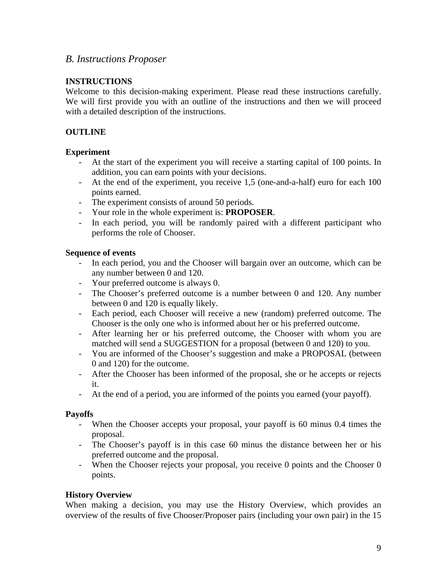## *B. Instructions Proposer*

#### **INSTRUCTIONS**

Welcome to this decision-making experiment. Please read these instructions carefully. We will first provide you with an outline of the instructions and then we will proceed with a detailed description of the instructions.

### **OUTLINE**

#### **Experiment**

- At the start of the experiment you will receive a starting capital of 100 points. In addition, you can earn points with your decisions.
- At the end of the experiment, you receive 1,5 (one-and-a-half) euro for each 100 points earned.
- The experiment consists of around 50 periods.
- Your role in the whole experiment is: **PROPOSER**.
- In each period, you will be randomly paired with a different participant who performs the role of Chooser.

#### **Sequence of events**

- In each period, you and the Chooser will bargain over an outcome, which can be any number between 0 and 120.
- Your preferred outcome is always 0.
- The Chooser's preferred outcome is a number between 0 and 120. Any number between 0 and 120 is equally likely.
- Each period, each Chooser will receive a new (random) preferred outcome. The Chooser is the only one who is informed about her or his preferred outcome.
- After learning her or his preferred outcome, the Chooser with whom you are matched will send a SUGGESTION for a proposal (between 0 and 120) to you.
- You are informed of the Chooser's suggestion and make a PROPOSAL (between 0 and 120) for the outcome.
- After the Chooser has been informed of the proposal, she or he accepts or rejects it.
- At the end of a period, you are informed of the points you earned (your payoff).

#### **Payoffs**

- When the Chooser accepts your proposal, your payoff is 60 minus 0.4 times the proposal.
- The Chooser's payoff is in this case 60 minus the distance between her or his preferred outcome and the proposal.
- When the Chooser rejects your proposal, you receive 0 points and the Chooser 0 points.

#### **History Overview**

When making a decision, you may use the History Overview, which provides an overview of the results of five Chooser/Proposer pairs (including your own pair) in the 15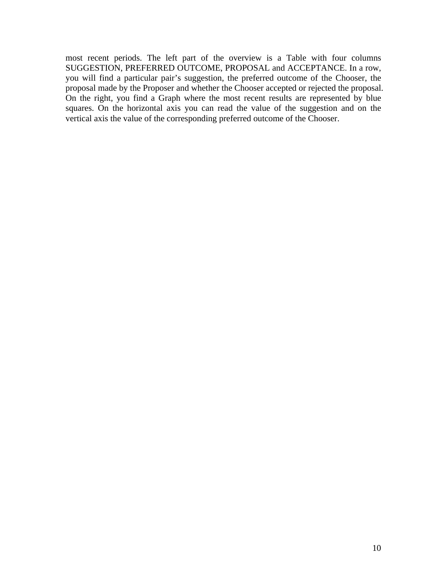most recent periods. The left part of the overview is a Table with four columns SUGGESTION, PREFERRED OUTCOME, PROPOSAL and ACCEPTANCE. In a row, you will find a particular pair's suggestion, the preferred outcome of the Chooser, the proposal made by the Proposer and whether the Chooser accepted or rejected the proposal. On the right, you find a Graph where the most recent results are represented by blue squares. On the horizontal axis you can read the value of the suggestion and on the vertical axis the value of the corresponding preferred outcome of the Chooser.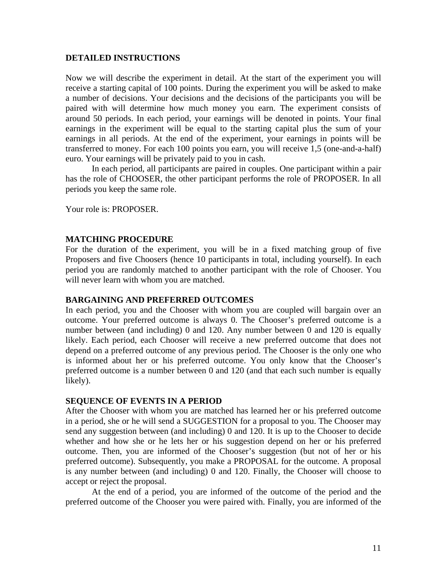#### **DETAILED INSTRUCTIONS**

Now we will describe the experiment in detail. At the start of the experiment you will receive a starting capital of 100 points. During the experiment you will be asked to make a number of decisions. Your decisions and the decisions of the participants you will be paired with will determine how much money you earn. The experiment consists of around 50 periods. In each period, your earnings will be denoted in points. Your final earnings in the experiment will be equal to the starting capital plus the sum of your earnings in all periods. At the end of the experiment, your earnings in points will be transferred to money. For each 100 points you earn, you will receive 1,5 (one-and-a-half) euro. Your earnings will be privately paid to you in cash.

In each period, all participants are paired in couples. One participant within a pair has the role of CHOOSER, the other participant performs the role of PROPOSER. In all periods you keep the same role.

Your role is: PROPOSER.

#### **MATCHING PROCEDURE**

For the duration of the experiment, you will be in a fixed matching group of five Proposers and five Choosers (hence 10 participants in total, including yourself). In each period you are randomly matched to another participant with the role of Chooser. You will never learn with whom you are matched.

#### **BARGAINING AND PREFERRED OUTCOMES**

In each period, you and the Chooser with whom you are coupled will bargain over an outcome. Your preferred outcome is always 0. The Chooser's preferred outcome is a number between (and including) 0 and 120. Any number between 0 and 120 is equally likely. Each period, each Chooser will receive a new preferred outcome that does not depend on a preferred outcome of any previous period. The Chooser is the only one who is informed about her or his preferred outcome. You only know that the Chooser's preferred outcome is a number between 0 and 120 (and that each such number is equally likely).

#### **SEQUENCE OF EVENTS IN A PERIOD**

After the Chooser with whom you are matched has learned her or his preferred outcome in a period, she or he will send a SUGGESTION for a proposal to you. The Chooser may send any suggestion between (and including) 0 and 120. It is up to the Chooser to decide whether and how she or he lets her or his suggestion depend on her or his preferred outcome. Then, you are informed of the Chooser's suggestion (but not of her or his preferred outcome). Subsequently, you make a PROPOSAL for the outcome. A proposal is any number between (and including) 0 and 120. Finally, the Chooser will choose to accept or reject the proposal.

At the end of a period, you are informed of the outcome of the period and the preferred outcome of the Chooser you were paired with. Finally, you are informed of the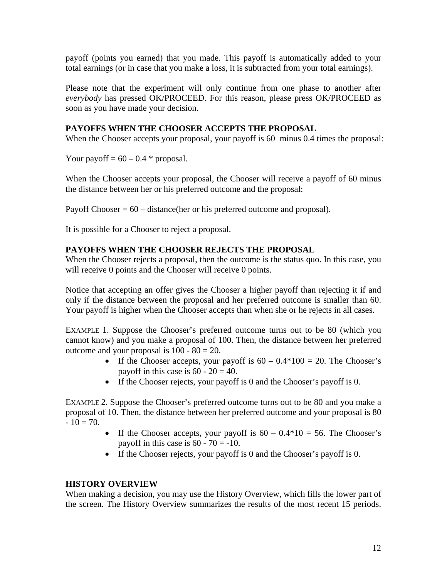payoff (points you earned) that you made. This payoff is automatically added to your total earnings (or in case that you make a loss, it is subtracted from your total earnings).

Please note that the experiment will only continue from one phase to another after *everybody* has pressed OK/PROCEED. For this reason, please press OK/PROCEED as soon as you have made your decision.

#### **PAYOFFS WHEN THE CHOOSER ACCEPTS THE PROPOSAL**

When the Chooser accepts your proposal, your payoff is 60 minus 0.4 times the proposal:

Your payoff =  $60 - 0.4$  \* proposal.

When the Chooser accepts your proposal, the Chooser will receive a payoff of 60 minus the distance between her or his preferred outcome and the proposal:

Payoff Chooser  $= 60$  – distance (her or his preferred outcome and proposal).

It is possible for a Chooser to reject a proposal.

#### **PAYOFFS WHEN THE CHOOSER REJECTS THE PROPOSAL**

When the Chooser rejects a proposal, then the outcome is the status quo. In this case, you will receive 0 points and the Chooser will receive 0 points.

Notice that accepting an offer gives the Chooser a higher payoff than rejecting it if and only if the distance between the proposal and her preferred outcome is smaller than 60. Your payoff is higher when the Chooser accepts than when she or he rejects in all cases.

EXAMPLE 1. Suppose the Chooser's preferred outcome turns out to be 80 (which you cannot know) and you make a proposal of 100. Then, the distance between her preferred outcome and your proposal is  $100 - 80 = 20$ .

- If the Chooser accepts, your payoff is  $60 0.4*100 = 20$ . The Chooser's payoff in this case is  $60 - 20 = 40$ .
- If the Chooser rejects, your payoff is 0 and the Chooser's payoff is 0.

EXAMPLE 2. Suppose the Chooser's preferred outcome turns out to be 80 and you make a proposal of 10. Then, the distance between her preferred outcome and your proposal is 80  $-10 = 70.$ 

- If the Chooser accepts, your payoff is  $60 0.4*10 = 56$ . The Chooser's payoff in this case is  $60 - 70 = -10$ .
- If the Chooser rejects, your payoff is 0 and the Chooser's payoff is 0.

#### **HISTORY OVERVIEW**

When making a decision, you may use the History Overview, which fills the lower part of the screen. The History Overview summarizes the results of the most recent 15 periods.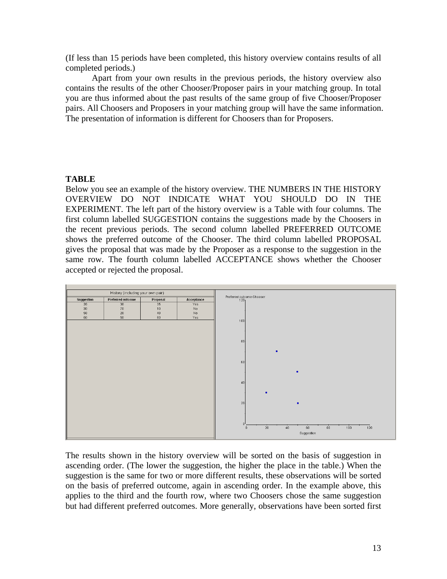(If less than 15 periods have been completed, this history overview contains results of all completed periods.)

Apart from your own results in the previous periods, the history overview also contains the results of the other Chooser/Proposer pairs in your matching group. In total you are thus informed about the past results of the same group of five Chooser/Proposer pairs. All Choosers and Proposers in your matching group will have the same information. The presentation of information is different for Choosers than for Proposers.

#### **TABLE**

Below you see an example of the history overview. THE NUMBERS IN THE HISTORY OVERVIEW DO NOT INDICATE WHAT YOU SHOULD DO IN THE EXPERIMENT. The left part of the history overview is a Table with four columns. The first column labelled SUGGESTION contains the suggestions made by the Choosers in the recent previous periods. The second column labelled PREFERRED OUTCOME shows the preferred outcome of the Chooser. The third column labelled PROPOSAL gives the proposal that was made by the Proposer as a response to the suggestion in the same row. The fourth column labelled ACCEPTANCE shows whether the Chooser accepted or rejected the proposal.



The results shown in the history overview will be sorted on the basis of suggestion in ascending order. (The lower the suggestion, the higher the place in the table.) When the suggestion is the same for two or more different results, these observations will be sorted on the basis of preferred outcome, again in ascending order. In the example above, this applies to the third and the fourth row, where two Choosers chose the same suggestion but had different preferred outcomes. More generally, observations have been sorted first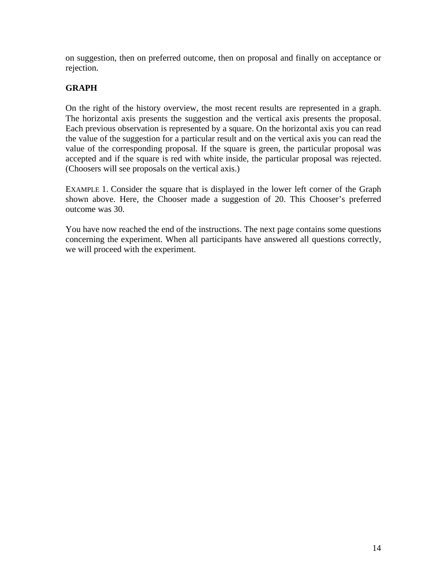on suggestion, then on preferred outcome, then on proposal and finally on acceptance or rejection.

### **GRAPH**

On the right of the history overview, the most recent results are represented in a graph. The horizontal axis presents the suggestion and the vertical axis presents the proposal. Each previous observation is represented by a square. On the horizontal axis you can read the value of the suggestion for a particular result and on the vertical axis you can read the value of the corresponding proposal. If the square is green, the particular proposal was accepted and if the square is red with white inside, the particular proposal was rejected. (Choosers will see proposals on the vertical axis.)

EXAMPLE 1. Consider the square that is displayed in the lower left corner of the Graph shown above. Here, the Chooser made a suggestion of 20. This Chooser's preferred outcome was 30.

You have now reached the end of the instructions. The next page contains some questions concerning the experiment. When all participants have answered all questions correctly, we will proceed with the experiment.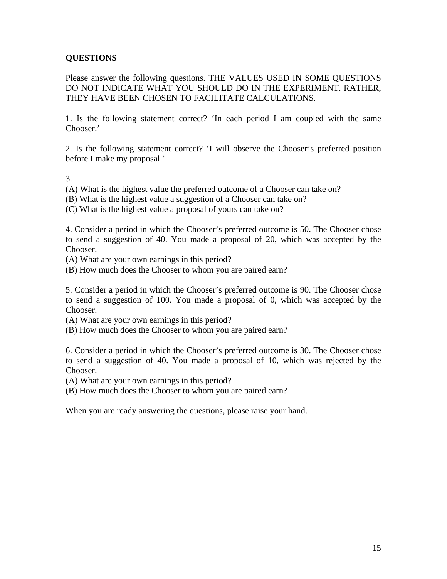## **QUESTIONS**

Please answer the following questions. THE VALUES USED IN SOME QUESTIONS DO NOT INDICATE WHAT YOU SHOULD DO IN THE EXPERIMENT. RATHER, THEY HAVE BEEN CHOSEN TO FACILITATE CALCULATIONS.

1. Is the following statement correct? 'In each period I am coupled with the same Chooser.'

2. Is the following statement correct? 'I will observe the Chooser's preferred position before I make my proposal.'

3.

- (A) What is the highest value the preferred outcome of a Chooser can take on?
- (B) What is the highest value a suggestion of a Chooser can take on?

(C) What is the highest value a proposal of yours can take on?

4. Consider a period in which the Chooser's preferred outcome is 50. The Chooser chose to send a suggestion of 40. You made a proposal of 20, which was accepted by the Chooser.

- (A) What are your own earnings in this period?
- (B) How much does the Chooser to whom you are paired earn?

5. Consider a period in which the Chooser's preferred outcome is 90. The Chooser chose to send a suggestion of 100. You made a proposal of 0, which was accepted by the Chooser.

- (A) What are your own earnings in this period?
- (B) How much does the Chooser to whom you are paired earn?

6. Consider a period in which the Chooser's preferred outcome is 30. The Chooser chose to send a suggestion of 40. You made a proposal of 10, which was rejected by the Chooser.

(A) What are your own earnings in this period?

(B) How much does the Chooser to whom you are paired earn?

When you are ready answering the questions, please raise your hand.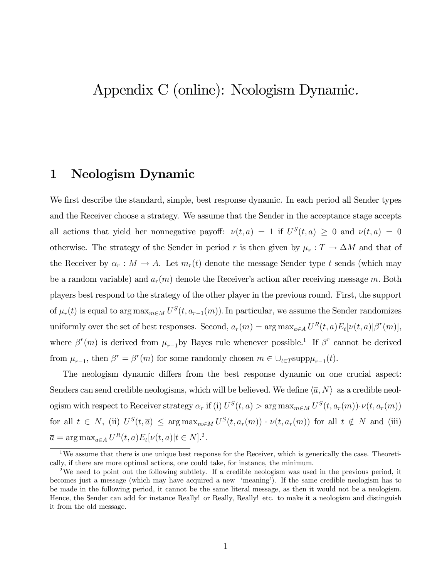# Appendix C (online): Neologism Dynamic.

## 1 Neologism Dynamic

We first describe the standard, simple, best response dynamic. In each period all Sender types and the Receiver choose a strategy. We assume that the Sender in the acceptance stage accepts all actions that yield her nonnegative payoff:  $\nu(t, a) = 1$  if  $U^{S}(t, a) \geq 0$  and  $\nu(t, a) = 0$ otherwise. The strategy of the Sender in period r is then given by  $\mu_r : T \to \Delta M$  and that of the Receiver by  $\alpha_r : M \to A$ . Let  $m_r(t)$  denote the message Sender type t sends (which may be a random variable) and  $a_r(m)$  denote the Receiver's action after receiving message m. Both players best respond to the strategy of the other player in the previous round. First, the support of  $\mu_r(t)$  is equal to  $\arg \max_{m \in M} U^S(t, a_{r-1}(m))$ . In particular, we assume the Sender randomizes uniformly over the set of best responses. Second,  $a_r(m) = \arg \max_{a \in A} U^R(t, a) E_t[\nu(t, a)|\beta^r(m)],$ where  $\beta^{r}(m)$  is derived from  $\mu_{r-1}$  by Bayes rule whenever possible.<sup>1</sup> If  $\beta^{r}$  cannot be derived from  $\mu_{r-1}$ , then  $\beta^r = \beta^r(m)$  for some randomly chosen  $m \in \bigcup_{t \in T} \text{supp}\mu_{r-1}(t)$ .

The neologism dynamic differs from the best response dynamic on one crucial aspect: Senders can send credible neologisms, which will be believed. We define  $\langle \overline{a}, N \rangle$  as a credible neologism with respect to Receiver strategy  $\alpha_r$  if (i)  $U^S(t, \overline{a}) > \arg \max_{m \in M} U^S(t, a_r(m)) \cdot \nu(t, a_r(m))$ for all  $t \in N$ , (ii)  $U^S(t, \overline{a}) \leq \arg \max_{m \in M} U^S(t, a_r(m)) \cdot \nu(t, a_r(m))$  for all  $t \notin N$  and (iii)  $\overline{a} = \arg \max_{a \in A} U^R(t, a) E_t[\nu(t, a)] t \in N]$ .<sup>2</sup>.

<sup>&</sup>lt;sup>1</sup>We assume that there is one unique best response for the Receiver, which is generically the case. Theoretically, if there are more optimal actions, one could take, for instance, the minimum.

<sup>&</sup>lt;sup>2</sup>We need to point out the following subtlety. If a credible neologism was used in the previous period, it becomes just a message (which may have acquired a new 'meaning'). If the same credible neologism has to be made in the following period, it cannot be the same literal message, as then it would not be a neologism. Hence, the Sender can add for instance Really! or Really, Really! etc. to make it a neologism and distinguish it from the old message.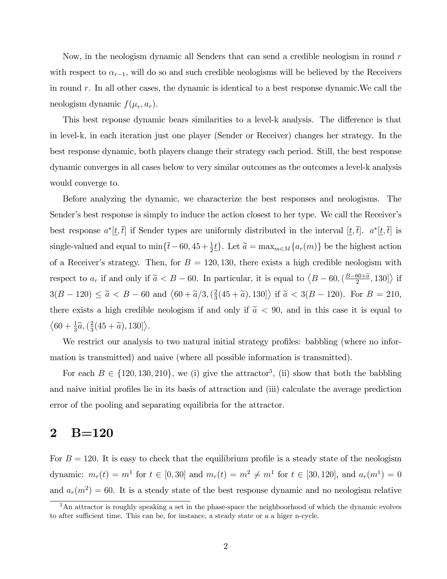Now, in the neologism dynamic all Senders that can send a credible neologism in round  $r$ with respect to  $\alpha_{r-1}$ , will do so and such credible neologisms will be believed by the Receivers in round r. In all other cases, the dynamic is identical to a best response dynamic.We call the neologism dynamic  $f(\mu_r, a_r)$ .

This best reponse dynamic bears similarities to a level-k analysis. The difference is that in level-k, in each iteration just one player (Sender or Receiver) changes her strategy. In the best response dynamic, both players change their strategy each period. Still, the best response dynamic converges in all cases below to very similar outcomes as the outcomes a level-k analysis would converge to.

Before analyzing the dynamic, we characterize the best responses and neologisms. The Sender's best response is simply to induce the action closest to her type. We call the Receiver's best response  $a^*[t, \bar{t}]$  if Sender types are uniformly distributed in the interval  $[t, \bar{t}]$ .  $a^*[t, \bar{t}]$  is single-valued and equal to  $\min\{\bar{t}-60, 45 + \frac{1}{2}\underline{t}\}\.$  Let  $\tilde{a} = \max_{m \in M}\{a_r(m)\}\.$  be the highest action of a Receiver's strategy. Then, for  $B = 120, 130$ , there exists a high credible neologism with respect to  $a_r$  if and only if  $\tilde{a} < B - 60$ . In particular, it is equal to  $\langle B - 60, \left(\frac{B - 60 + \tilde{a}}{2}, 130\right] \rangle$  if  $3(B - 120) \le \tilde{a} < B - 60$  and  $(60 + \tilde{a}/3, (\frac{2}{3})$  $\left\{ \frac{2}{3}(45+\widetilde{a}), 130 \right\}$  if  $\widetilde{a} < 3(B-120)$ . For  $B = 210$ , there exists a high credible neologism if and only if  $\tilde{a} < 90$ , and in this case it is equal to  $\left\langle 60 + \frac{1}{3}\widetilde{a}, \left(\frac{2}{3}\right)\right\rangle$  $\frac{2}{3}(45+\widetilde{a}), 130]\big\rangle.$ 

We restrict our analysis to two natural initial strategy profiles: babbling (where no information is transmitted) and naive (where all possible information is transmitted).

For each  $B \in \{120, 130, 210\}$ , we (i) give the attractor<sup>3</sup>, (ii) show that both the babbling and naive initial profiles lie in its basis of attraction and (iii) calculate the average prediction error of the pooling and separating equilibria for the attractor.

## 2 B=120

For  $B = 120$ . It is easy to check that the equilibrium profile is a steady state of the neologism dynamic:  $m_r(t) = m^1$  for  $t \in [0, 30]$  and  $m_r(t) = m^2 \neq m^1$  for  $t \in [30, 120]$ , and  $a_r(m^1) = 0$ and  $a_r(m^2) = 60$ . It is a steady state of the best response dynamic and no neologism relative

<sup>&</sup>lt;sup>3</sup>An attractor is roughly speaking a set in the phase-space the neighboorhood of which the dynamic evolves to after sufficient time. This can be, for instance, a steady state or a a higer n-cycle.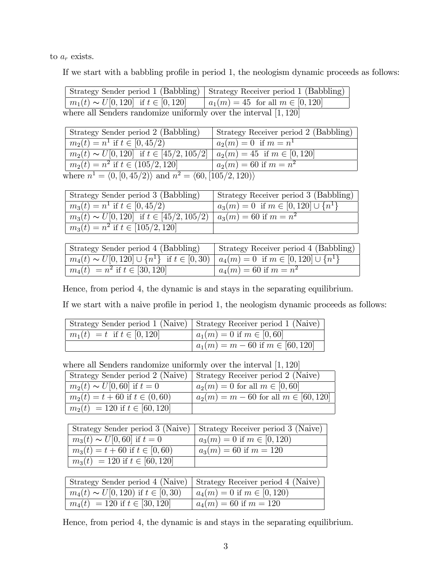to  $a_r$  exists.

If we start with a babbling profile in period 1, the neologism dynamic proceeds as follows:

|                                                                    | Strategy Sender period 1 (Babbling) Strategy Receiver period 1 (Babbling) |
|--------------------------------------------------------------------|---------------------------------------------------------------------------|
| $m_1(t) \sim U[0, 120]$ if $t \in [0, 120]$                        | $  a_1(m) = 45$ for all $m \in [0, 120]$                                  |
| where all Senders randomize uniformly over the interval $[1, 120]$ |                                                                           |

| Strategy Sender period 2 (Babbling)                                                     | Strategy Receiver period 2 (Babbling) |
|-----------------------------------------------------------------------------------------|---------------------------------------|
| $m_2(t) = n^1$ if $t \in [0, 45/2)$                                                     | $a_2(m) = 0$ if $m = n^1$             |
| $m_2(t) \sim U[0, 120]$ if $t \in [45/2, 105/2]$                                        | $a_2(m) = 45$ if $m \in [0, 120]$     |
| $m_2(t) = n^2$ if $t \in (105/2, 120]$                                                  | $a_2(m) = 60$ if $m = n^2$            |
| where $n^1 = \langle 0, [0, 45/2) \rangle$ and $n^2 = \langle 60, [105/2, 120) \rangle$ |                                       |

| Strategy Sender period 3 (Babbling)                                         | Strategy Receiver period 3 (Babbling)         |
|-----------------------------------------------------------------------------|-----------------------------------------------|
| $\overline{m_3(t)} = n^1$ if $t \in [0, 45/2)$                              | $a_3(m) = 0$ if $m \in [0, 120] \cup \{n^1\}$ |
| $m_3(t) \sim U[0, 120]$ if $t \in [45/2, 105/2]$ $a_3(m) = 60$ if $m = n^2$ |                                               |
| $\overline{m_3(t)} = n^2$ if $t \in [105/2, 120]$                           |                                               |

| Strategy Sender period 4 (Babbling)                                                                     | Strategy Receiver period 4 (Babbling) |
|---------------------------------------------------------------------------------------------------------|---------------------------------------|
| $m_4(t) \sim U[0, 120] \cup \{n^1\}$ if $t \in [0, 30)$ $  a_4(m) = 0$ if $m \in [0, 120] \cup \{n^1\}$ |                                       |
| $m_4(t) = n^2$ if $t \in [30, 120]$                                                                     | $a_4(m) = 60$ if $m = n^2$            |

Hence, from period 4, the dynamic is and stays in the separating equilibrium.

If we start with a naive profile in period 1, the neologism dynamic proceeds as follows:

|                                  | Strategy Sender period 1 (Naive)   Strategy Receiver period 1 (Naive) |
|----------------------------------|-----------------------------------------------------------------------|
| $m_1(t) = t$ if $t \in [0, 120]$ | $a_1(m) = 0$ if $m \in [0, 60]$                                       |
|                                  | $a_1(m) = m - 60$ if $m \in [60, 120]$                                |

where all Senders randomize uniformly over the interval  $[1, 120]$ 

|                                      | Strategy Sender period 2 (Naive)   Strategy Receiver period 2 (Naive) |
|--------------------------------------|-----------------------------------------------------------------------|
| $m_2(t) \sim U[0, 60]$ if $t = 0$    | $a_2(m) = 0$ for all $m \in [0, 60]$                                  |
| $m_2(t) = t + 60$ if $t \in (0, 60)$ | $a_2(m) = m - 60$ for all $m \in [60, 120]$                           |
| $m_2(t) = 120$ if $t \in [60, 120]$  |                                                                       |

|                                      | Strategy Sender period 3 (Naive)   Strategy Receiver period 3 (Naive) |
|--------------------------------------|-----------------------------------------------------------------------|
| $m_3(t) \sim U[0, 60]$ if $t = 0$    | $a_3(m) = 0$ if $m \in [0, 120)$                                      |
| $m_3(t) = t + 60$ if $t \in [0, 60)$ | $a_3(m) = 60$ if $m = 120$                                            |
| $m_3(t) = 120$ if $t \in [60, 120]$  |                                                                       |

|                                            | Strategy Sender period 4 (Naive)   Strategy Receiver period 4 (Naive) |
|--------------------------------------------|-----------------------------------------------------------------------|
| $m_4(t) \sim U[0, 120)$ if $t \in [0, 30)$ | $a_4(m) = 0$ if $m \in [0, 120)$                                      |
| $m_4(t) = 120$ if $t \in [30, 120]$        | $a_4(m) = 60$ if $m = 120$                                            |

Hence, from period 4, the dynamic is and stays in the separating equilibrium.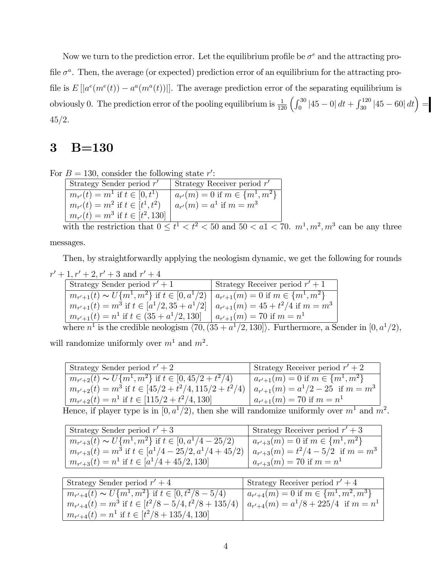Now we turn to the prediction error. Let the equilibrium profile be  $\sigma^e$  and the attracting profile  $\sigma^a$ . Then, the average (or expected) prediction error of an equilibrium for the attracting profile is  $E[|a^e(m^e(t)) - a^a(m^a(t))|]$ . The average prediction error of the separating equilibrium is obviously 0. The prediction error of the pooling equilibrium is  $\frac{1}{120} \left( \int_0^{30} |45-0| dt + \int_{30}^{120} |45-60| dt \right) =$  $45/2.$ 

## 3 B=130

|  |  |  |  |  | For $B = 130$ , consider the following state r': |  |
|--|--|--|--|--|--------------------------------------------------|--|
|--|--|--|--|--|--------------------------------------------------|--|

| Strategy Sender period $r'$             | Strategy Receiver period $r'$           |
|-----------------------------------------|-----------------------------------------|
| $m_{r'}(t) = m^1$ if $t \in [0, t^1)$   | $a_{r'}(m) = 0$ if $m \in \{m^1, m^2\}$ |
| $m_{r'}(t) = m^2$ if $t \in [t^1, t^2)$ | $a_{r'}(m) = a^1$ if $m = m^3$          |
| $m_{r'}(t) = m^3$ if $t \in [t^2, 130]$ |                                         |

with the restriction that  $0 \le t^1 < t^2 < 50$  and  $50 < a<sub>1</sub> < 70$ .  $m<sup>1</sup>, m<sup>2</sup>, m<sup>3</sup>$  can be any three messages.

Then, by straightforwardly applying the neologism dynamic, we get the following for rounds

 $r' + 1, r' + 2, r' + 3$  and  $r' + 4$ 

| Strategy Sender period $r' + 1$                                                                | Strategy Receiver period $r' + 1$ |
|------------------------------------------------------------------------------------------------|-----------------------------------|
| $m_{r'+1}(t) \sim U{m^1, m^2}$ if $t \in [0, a^1/2)   a_{r'+1}(m) = 0$ if $m \in \{m^1, m^2\}$ |                                   |
| $m_{r'+1}(t) = m^3$ if $t \in [a^1/2, 35 + a^1/2] \mid a_{r'+1}(m) = 45 + t^2/4$ if $m = m^3$  |                                   |
| $m_{r'+1}(t) = n^1$ if $t \in (35 + a^1/2, 130]$                                               | $a_{r'+1}(m) = 70$ if $m = n^1$   |

where  $n^1$  is the credible neologism  $\langle 70, (35 + a^1/2, 130] \rangle$ . Furthermore, a Sender in  $[0, a^1/2)$ , will randomize uniformly over  $m<sup>1</sup>$  and  $m<sup>2</sup>$ .

| Strategy Sender period $r' + 2$                                                                                                                                                                                                                                                                                                     | Strategy Receiver period $r' + 2$         |
|-------------------------------------------------------------------------------------------------------------------------------------------------------------------------------------------------------------------------------------------------------------------------------------------------------------------------------------|-------------------------------------------|
| $m_{r'+2}(t) \sim U{m^1, m^2}$ if $t \in [0, 45/2 + t^2/4)$                                                                                                                                                                                                                                                                         | $a_{r'+1}(m) = 0$ if $m \in \{m^1, m^2\}$ |
| $m_{r'+2}(t) = m^3$ if $t \in [45/2 + t^2/4, 115/2 + t^2/4]$                                                                                                                                                                                                                                                                        | $a_{r'+1}(m) = a^1/2 - 25$ if $m = m^3$   |
| $m_{r'+2}(t) = n^1$ if $t \in [115/2 + t^2/4, 130]$                                                                                                                                                                                                                                                                                 | $a_{r'+1}(m) = 70$ if $m = n^1$           |
| $\mathbf{T}$ $\mathbf{C}$ $\mathbf{C}$ $\mathbf{C}$ $\mathbf{C}$ $\mathbf{C}$ $\mathbf{C}$ $\mathbf{C}$ $\mathbf{C}$ $\mathbf{C}$ $\mathbf{C}$ $\mathbf{C}$ $\mathbf{C}$ $\mathbf{C}$ $\mathbf{C}$ $\mathbf{C}$ $\mathbf{C}$ $\mathbf{C}$ $\mathbf{C}$ $\mathbf{C}$ $\mathbf{C}$ $\mathbf{C}$ $\mathbf{C}$ $\mathbf{C}$ $\mathbf{C$ |                                           |

Hence, if player type is in  $[0, a^1/2)$ , then she will randomize uniformly over  $m^1$  and  $m^2$ .

| Strategy Sender period $r' + 3$                             | Strategy Receiver period $r' + 3$         |
|-------------------------------------------------------------|-------------------------------------------|
| $m_{r'+3}(t) \sim U{m^1, m^2}$ if $t \in [0, a^1/4 - 25/2)$ | $a_{r'+3}(m) = 0$ if $m \in \{m^1, m^2\}$ |
| $m_{r'+3}(t) = m^3$ if $t \in [a^1/4 - 25/2, a^1/4 + 45/2)$ | $a_{r'+3}(m) = t^2/4 - 5/2$ if $m = m^3$  |
| $m_{r'+3}(t) = n^1$ if $t \in [a^1/4 + 45/2, 130]$          | $a_{r'+3}(m) = 70$ if $m = n^1$           |

| Strategy Sender period $r' + 4$                              | Strategy Receiver period $r' + 4$              |
|--------------------------------------------------------------|------------------------------------------------|
| $m_{r'+4}(t) \sim U\{m^1, m^2\}$ if $t \in [0, t^2/8 - 5/4)$ | $a_{r'+4}(m) = 0$ if $m \in \{m^1, m^2, m^3\}$ |
| $m_{r'+4}(t) = m^3$ if $t \in [t^2/8 - 5/4, t^2/8 + 135/4)$  | $a_{r'+4}(m) = a^1/8 + 225/4$ if $m = n^1$     |
| $m_{r'+4}(t) = n^1$ if $t \in [t^2/8 + 135/4, 130]$          |                                                |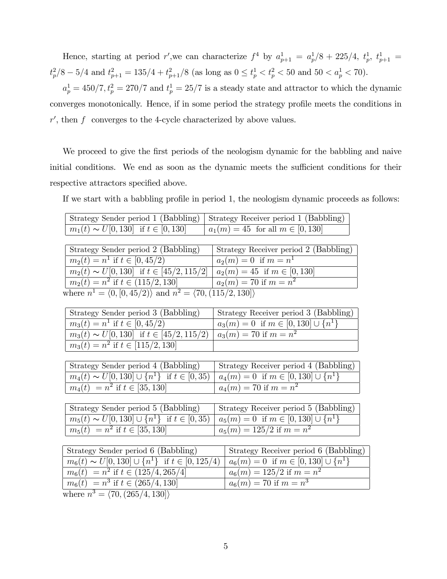Hence, starting at period r', we can characterize  $f^4$  by  $a_{p+1}^1 = a_p^1/8 + 225/4$ ,  $t_p^1$ ,  $t_{p+1}^1 =$  $t_p^2/8 - 5/4$  and  $t_{p+1}^2 = 135/4 + t_{p+1}^2/8$  (as long as  $0 \le t_p^1 < t_p^2 < 50$  and  $50 < a_p^1 < 70$ ).

 $a_p^1 = 450/7, t_p^2 = 270/7$  and  $t_p^1 = 25/7$  is a steady state and attractor to which the dynamic converges monotonically. Hence, if in some period the strategy profile meets the conditions in  $r'$ , then f converges to the 4-cycle characterized by above values.

We proceed to give the first periods of the neologism dynamic for the babbling and naive initial conditions. We end as soon as the dynamic meets the sufficient conditions for their respective attractors specified above.

If we start with a babbling profile in period 1, the neologism dynamic proceeds as follows:

|                                             | Strategy Sender period 1 (Babbling)   Strategy Receiver period 1 (Babbling) |
|---------------------------------------------|-----------------------------------------------------------------------------|
| $m_1(t) \sim U[0, 130]$ if $t \in [0, 130]$ | $  a_1(m) = 45$ for all $m \in [0, 130]$                                    |

| Strategy Sender period 2 (Babbling)                                                     | Strategy Receiver period 2 (Babbling) |  |
|-----------------------------------------------------------------------------------------|---------------------------------------|--|
| $m_2(t) = n^1$ if $t \in [0, 45/2)$                                                     | $a_2(m) = 0$ if $m = n^1$             |  |
| $m_2(t) \sim U[0, 130]$ if $t \in [45/2, 115/2]$                                        | $a_2(m) = 45$ if $m \in [0, 130]$     |  |
| $m_2(t) = n^2$ if $t \in (115/2, 130]$                                                  | $a_2(m) = 70$ if $m = n^2$            |  |
| where $n^1 = \langle 0, [0, 45/2) \rangle$ and $n^2 = \langle 70, (115/2, 130) \rangle$ |                                       |  |

| Strategy Sender period 3 (Babbling)              | Strategy Receiver period 3 (Babbling)         |
|--------------------------------------------------|-----------------------------------------------|
| $m_3(t) = n^1$ if $t \in [0, 45/2)$              | $a_3(m) = 0$ if $m \in [0, 130] \cup \{n^1\}$ |
| $m_3(t) \sim U[0, 130]$ if $t \in [45/2, 115/2]$ | $a_3(m) = 70$ if $m = n^2$                    |
| $m_3(t) = n^2$ if $t \in [115/2, 130]$           |                                               |

| Strategy Sender period 4 (Babbling)                                                                   | Strategy Receiver period 4 (Babbling) |
|-------------------------------------------------------------------------------------------------------|---------------------------------------|
| $m_4(t) \sim U[0, 130] \cup \{n^1\}$ if $t \in [0, 35)   a_4(m) = 0$ if $m \in [0, 130] \cup \{n^1\}$ |                                       |
| $m_4(t) = n^2$ if $t \in [35, 130]$                                                                   | $a_4(m) = 70$ if $m = n^2$            |

| Strategy Sender period 5 (Babbling)                                                                                | Strategy Receiver period 5 (Babbling) |
|--------------------------------------------------------------------------------------------------------------------|---------------------------------------|
| $\boxed{m_5(t) \sim U[0, 130]} \cup \{n^1\}$ if $t \in [0, 35)$ $\mid a_5(m) = 0$ if $m \in [0, 130] \cup \{n^1\}$ |                                       |
| $m_5(t) = n^2$ if $t \in [35, 130]$                                                                                | $a_5(m) = 125/2$ if $m = n^2$         |

| Strategy Sender period 6 (Babbling)                        | Strategy Receiver period 6 (Babbling)         |
|------------------------------------------------------------|-----------------------------------------------|
| $m_6(t) \sim U[0, 130] \cup \{n^1\}$ if $t \in [0, 125/4)$ | $a_6(m) = 0$ if $m \in [0, 130] \cup \{n^1\}$ |
| $m_6(t) = n^2$ if $t \in (125/4, 265/4]$                   | $a_6(m) = 125/2$ if $m = n^2$                 |
| $m_6(t) = n^3$ if $t \in (265/4, 130]$                     | $a_6(m) = 70$ if $m = n^3$                    |
| $1 \t3 \t/70 \t(905/11190)$                                |                                               |

where  $n^3 = \langle 70, (265/4, 130] \rangle$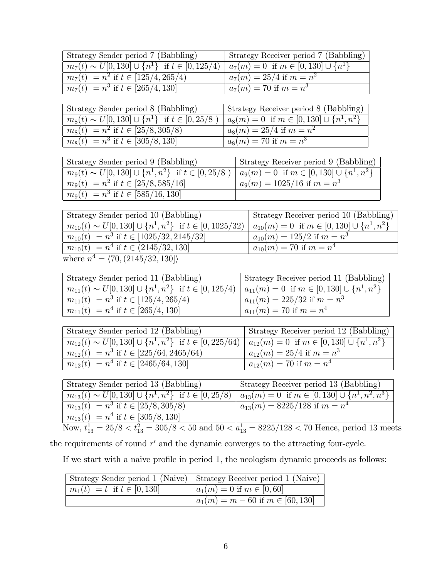| <sup>†</sup> Strategy Sender period 7 (Babbling)                                                            | Strategy Receiver period 7 (Babbling) |
|-------------------------------------------------------------------------------------------------------------|---------------------------------------|
| $m_7(t) \sim U[0, 130] \cup \{n^1\}$ if $t \in [0, 125/4] \mid a_7(m) = 0$ if $m \in [0, 130] \cup \{n^1\}$ |                                       |
| $m_7(t) = n^2$ if $t \in [125/4, 265/4)$                                                                    | $a_7(m) = 25/4$ if $m = n^2$          |
| $m_7(t) = n^3$ if $t \in [265/4, 130]$                                                                      | $a_7(m) = 70$ if $m = n^3$            |

| Strategy Sender period 8 (Babbling)                       | Strategy Receiver period 8 (Babbling)              |
|-----------------------------------------------------------|----------------------------------------------------|
| $m_8(t) \sim U[0, 130] \cup \{n^1\}$ if $t \in [0, 25/8]$ | $a_8(m) = 0$ if $m \in [0, 130] \cup \{n^1, n^2\}$ |
| $m_8(t) = n^2$ if $t \in [25/8, 305/8)$                   | $a_8(m) = 25/4$ if $m = n^2$                       |
| $m_8(t) = n^3$ if $t \in [305/8, 130]$                    | $a_8(m) = 70$ if $m = n^3$                         |

| Strategy Sender period 9 (Babbling)                            | Strategy Receiver period 9 (Babbling)              |
|----------------------------------------------------------------|----------------------------------------------------|
| $m_9(t) \sim U[0, 130] \cup \{n^1, n^2\}$ if $t \in [0, 25/8]$ | $a_9(m) = 0$ if $m \in [0, 130] \cup \{n^1, n^2\}$ |
| $m_9(t) = n^2$ if $t \in [25/8, 585/16]$                       | $a_9(m) = 1025/16$ if $m = n^3$                    |
| $m_9(t) = n^3$ if $t \in [585/16, 130]$                        |                                                    |

| Strategy Sender period 10 (Babbling)                                 | Strategy Receiver period 10 (Babbling)                |
|----------------------------------------------------------------------|-------------------------------------------------------|
| $m_{10}(t) \sim U[0, 130] \cup \{n^1, n^2\}$ if $t \in [0, 1025/32)$ | $a_{10}(m) = 0$ if $m \in [0, 130] \cup \{n^1, n^2\}$ |
| $m_{10}(t) = n^3$ if $t \in [1025/32, 2145/32]$                      | $a_{10}(m) = 125/2$ if $m = n^3$                      |
| $m_{10}(t) = n^4$ if $t \in (2145/32, 130]$                          | $a_{10}(m) = 70$ if $m = n^4$                         |
| where $n^4 = \langle 70, (2145/32, 130) \rangle$                     |                                                       |

| Strategy Sender period 11 (Babbling)                               | Strategy Receiver period 11 (Babbling)                |
|--------------------------------------------------------------------|-------------------------------------------------------|
| $m_{11}(t) \sim U[0, 130] \cup \{n^1, n^2\}$ if $t \in [0, 125/4)$ | $a_{11}(m) = 0$ if $m \in [0, 130] \cup \{n^1, n^2\}$ |
| $m_{11}(t) = n^3$ if $t \in [125/4, 265/4)$                        | $a_{11}(m) = 225/32$ if $m = n^3$                     |
| $m_{11}(t) = n^4$ if $t \in [265/4, 130]$                          | $a_{11}(m) = 70$ if $m = n^4$                         |

| Strategy Sender period 12 (Babbling)                                | Strategy Receiver period 12 (Babbling)                |
|---------------------------------------------------------------------|-------------------------------------------------------|
| $m_{12}(t) \sim U[0, 130] \cup \{n^1, n^2\}$ if $t \in [0, 225/64)$ | $a_{12}(m) = 0$ if $m \in [0, 130] \cup \{n^1, n^2\}$ |
| $m_{12}(t) = n^3$ if $t \in [225/64, 2465/64)$                      | $a_{12}(m) = 25/4$ if $m = n^3$                       |
| $m_{12}(t) = n^4$ if $t \in [2465/64, 130]$                         | $a_{12}(m) = 70$ if $m = n^4$                         |

| Strategy Sender period 13 (Babbling)                                                      | <sup>†</sup> Strategy Receiver period 13 (Babbling)        |
|-------------------------------------------------------------------------------------------|------------------------------------------------------------|
| $m_{13}(t) \sim U[0, 130] \cup \{\overline{n^1}, \overline{n^2}\}\;$ if $t \in [0, 25/8)$ | $a_{13}(m) = 0$ if $m \in [0, 130] \cup \{n^1, n^2, n^3\}$ |
| $m_{13}(t) = n^3$ if $t \in [25/8, 305/8)$                                                | $a_{13}(m) = 8225/128$ if $m = n^4$                        |
| $m_{13}(t) = n^4$ if $t \in [305/8, 130]$                                                 |                                                            |

Now,  $t_{13}^1 = 25/8 < t_{13}^2 = 305/8 < 50$  and  $50 < a_{13}^1 = 8225/128 < 70$  Hence, period 13 meets

the requirements of round  $r'$  and the dynamic converges to the attracting four-cycle.

If we start with a naive profile in period 1, the neologism dynamic proceeds as follows:

|                                  | Strategy Sender period 1 (Naive)   Strategy Receiver period 1 (Naive) |
|----------------------------------|-----------------------------------------------------------------------|
| $m_1(t) = t$ if $t \in [0, 130]$ | $a_1(m) = 0$ if $m \in [0, 60]$                                       |
|                                  | $a_1(m) = m - 60$ if $m \in [60, 130]$                                |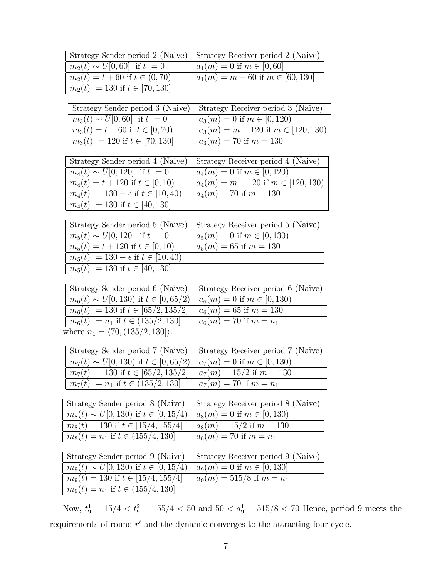| Strategy Sender period 2 (Naive)                                                  | Strategy Receiver period 2 (Naive)       |
|-----------------------------------------------------------------------------------|------------------------------------------|
| $m_2(t) \sim U[0, 60]$ if $t = 0$                                                 | $a_1(m) = 0$ if $m \in [0, 60]$          |
| $\overline{m_2(t)} = t + 60$ if $t \in (0, 70)$                                   | $a_1(m) = m - 60$ if $m \in [60, 130]$   |
| $m_2(t) = 130$ if $t \in [70, 130]$                                               |                                          |
|                                                                                   |                                          |
| Strategy Sender period 3 (Naive)                                                  | Strategy Receiver period 3 (Naive)       |
| $m_3(t) \sim U[0, 60]$ if $t = 0$                                                 | $a_3(m) = 0$ if $m \in [0, 120)$         |
| $m_3(t) = t + 60$ if $t \in [0, 70)$                                              | $a_3(m) = m - 120$ if $m \in [120, 130)$ |
| $m_3(t) = 120$ if $t \in [70, 130]$                                               | $a_3(m) = 70$ if $m = 130$               |
|                                                                                   |                                          |
| Strategy Sender period 4 (Naive)                                                  | Strategy Receiver period 4 (Naive)       |
| $m_4(t) \sim U[0, 120]$ if $t = 0$                                                | $a_4(m) = 0$ if $m \in [0, 120)$         |
| $m_4(t) = t + 120$ if $t \in [0, 10)$                                             | $a_4(m) = m - 120$ if $m \in [120, 130)$ |
| $m_4(t) = 130 - \epsilon$ if $t \in [10, 40)$                                     | $a_4(m) = 70$ if $m = 130$               |
| $m_4(t) = 130$ if $t \in [40, 130]$                                               |                                          |
| Strategy Sender period 5 (Naive)                                                  | Strategy Receiver period 5 (Naive)       |
| $m_5(t) \sim U[0, 120]$ if $t = 0$                                                | $a_5(m) = 0$ if $m \in [0, 130)$         |
| $m_5(t) = t + 120$ if $t \in [0, 10)$                                             | $a_5(m) = 65$ if $m = 130$               |
| $m_5(t) = 130 - \epsilon$ if $t \in [10, 40)$                                     |                                          |
| $m_5(t) = 130$ if $t \in [40, 130]$                                               |                                          |
|                                                                                   |                                          |
| Strategy Sender period 6 (Naive)                                                  | Strategy Receiver period 6 (Naive)       |
| $m_6(t) \sim U[0, 130)$ if $t \in [0, 65/2)$                                      | $a_6(m) = 0$ if $m \in [0, 130)$         |
| $m_6(t) = 130$ if $t \in [65/2, 135/2]$                                           | $a_6(m) = 65$ if $m = 130$               |
| $m_6(t) = n_1$ if $t \in (135/2, 130]$                                            | $a_6(m) = 70$ if $m = n_1$               |
| where $n_1 = \langle 70, (135/2, 130) \rangle$ .                                  |                                          |
|                                                                                   |                                          |
| Strategy Sender period 7 (Naive)                                                  | Strategy Receiver period 7 (Naive)       |
| $m_7(t) \sim U[0, 130)$ if $t \in [0, 65/2)$                                      | $a_7(m) = 0$ if $m \in [0, 130)$         |
| $m_7(t) = 130$ if $t \in [65/2, 135/2]$<br>$m_7(t) = n_1$ if $t \in (135/2, 130]$ | $a_7(m) = 15/2$ if $m = 130$             |
|                                                                                   | $a_7(m) = 70$ if $m = n_1$               |
| Strategy Sender period 8 (Naive)                                                  | Strategy Receiver period 8 (Naive)       |
| $m_8(t) \sim U[0, 130)$ if $t \in [0, 15/4)$                                      | $a_8(m) = 0$ if $m \in [0, 130)$         |
| $m_8(t) = 130$ if $t \in [15/4, 155/4]$                                           | $a_8(m) = 15/2$ if $m = 130$             |
| $m_8(t) = n_1$ if $t \in (155/4, 130]$                                            | $a_8(m) = 70$ if $m = n_1$               |
|                                                                                   |                                          |
| Strategy Sender period 9 (Naive)                                                  | Strategy Receiver period 9 (Naive)       |
| $m_9(t) \sim U[0, 130)$ if $t \in [0, 15/4)$                                      | $a_9(m) = 0$ if $m \in [0, 130]$         |
| $m_9(t) = 130$ if $t \in [15/4, 155/4]$                                           | $a_9(m) = 515/8$ if $m = n_1$            |
| $m_9(t) = n_1$ if $t \in (155/4, 130]$                                            |                                          |
|                                                                                   |                                          |

Now,  $t_9^1 = 15/4 < t_9^2 = 155/4 < 50$  and  $50 < a_9^1 = 515/8 < 70$  Hence, period 9 meets the requirements of round  $r'$  and the dynamic converges to the attracting four-cycle.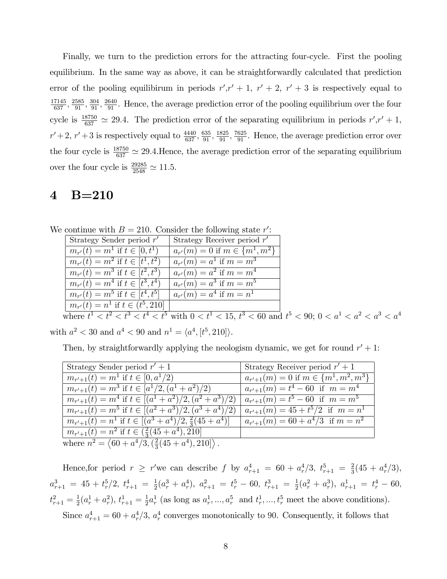Finally, we turn to the prediction errors for the attracting four-cycle. First the pooling equilibrium. In the same way as above, it can be straightforwardly calculated that prediction error of the pooling equilibirum in periods  $r'$ ,  $r' + 1$ ,  $r' + 2$ ,  $r' + 3$  is respectively equal to  $\frac{17145}{637}, \frac{2585}{91}, \frac{304}{91}, \frac{2640}{91}$ . Hence, the average prediction error of the pooling equilibrium over the four cycle is  $\frac{18750}{637} \approx 29.4$ . The prediction error of the separating equilibrium in periods  $r', r' + 1$ ,  $r'+2$ ,  $r'+3$  is respectively equal to  $\frac{4440}{637}, \frac{635}{91}, \frac{1825}{91}, \frac{7625}{91}$ . Hence, the average prediction error over the four cycle is  $\frac{18750}{637} \approx 29.4$ . Hence, the average prediction error of the separating equilibrium over the four cycle is  $\frac{29285}{2548} \simeq 11.5$ .

## 4 B=210

We continue with  $B = 210$ . Consider the following state r':

| Strategy Sender period $r'$             | Strategy Receiver period $r'$           |
|-----------------------------------------|-----------------------------------------|
| $m_{r'}(t) = m^1$ if $t \in [0, t^1)$   | $a_{r'}(m) = 0$ if $m \in \{m^1, m^2\}$ |
| $m_{r'}(t) = m^2$ if $t \in [t^1, t^2)$ | $a_{r'}(m) = a^1$ if $m = m^3$          |
| $m_{r'}(t) = m^3$ if $t \in [t^2, t^3)$ | $a_{r'}(m) = a^2$ if $m = m^4$          |
| $m_{r'}(t) = m^4$ if $t \in [t^3, t^4)$ | $a_{r'}(m) = a^3$ if $m = m^5$          |
| $m_{r'}(t) = m^5$ if $t \in [t^4, t^5]$ | $a_{r'}(m) = a^4$ if $m = n^1$          |
| $m_{r'}(t) = n^1$ if $t \in (t^5, 210]$ |                                         |
|                                         |                                         |

where  $t^1 < t^2 < t^3 < t^4 < t^5$  with  $0 < t^1 < 15$ ,  $t^3 < 60$  and  $t^5 < 90$ ;  $0 < a^1 < a^2 < a^3 < a^4$ with  $a^2 < 30$  and  $a^4 < 90$  and  $n^1 = \langle a^4, [t^5, 210] \rangle$ .

Then, by straightforwardly applying the neologism dynamic, we get for round  $r' + 1$ :

| Strategy Sender period $r' + 1$                                          | Strategy Receiver period $r' + 1$              |
|--------------------------------------------------------------------------|------------------------------------------------|
| $m_{r'+1}(t) = m^1$ if $t \in [0, a^1/2)$                                | $a_{r'+1}(m) = 0$ if $m \in \{m^1, m^2, m^3\}$ |
| $m_{r'+1}(t) = m^3$ if $t \in [a^1/2, (a^1 + a^2)/2)$                    | $a_{r'+1}(m) = t^4 - 60$ if $m = m^4$          |
| $m_{r'+1}(t) = m^4$ if $t \in [(a^1 + a^2)/2, (a^2 + a^3)/2)$            | $a_{r'+1}(m) = t^5 - 60$ if $m = m^5$          |
| $m_{r'+1}(t) = m^5$ if $t \in [(a^2 + a^3)/2, (a^3 + a^4)/2)$            | $a_{r'+1}(m) = 45 + t^5/2$ if $m = n^1$        |
| $m_{r'+1}(t) = n^1$ if $t \in [(a^3 + a^4)/2, \frac{2}{3}(45 + a^4)]$    | $a_{r'+1}(m) = 60 + a^4/3$ if $m = n^2$        |
| $m_{r'+1}(t) = n^2$ if $t \in (\frac{2}{3}(45 + a^4), 210]$              |                                                |
| where $n^2 = \langle 60 + a^4/3, (\frac{2}{3}(45 + a^4), 210] \rangle$ . |                                                |

Hence, for period  $r \ge r'$  we can describe f by  $a_{r+1}^4 = 60 + a_r^4/3$ ,  $t_{r+1}^5 = \frac{2}{3}$  $\frac{2}{3}(45 + a_r^4/3),$  $a_{r+1}^3 = 45 + t_r^5/2, t_{r+1}^4 = \frac{1}{2}$  $\frac{1}{2}(a_r^3 + a_r^4), a_{r+1}^2 = t_r^5 - 60, t_{r+1}^3 = \frac{1}{2}$  $\frac{1}{2}(a_r^2 + a_r^3), a_{r+1}^1 = t_r^4 - 60,$  $t_{r+1}^2 = \frac{1}{2}$  $\frac{1}{2}(a_r^1 + a_r^2), t_{r+1}^1 = \frac{1}{2}$  $\frac{1}{2}a_r^1$  (as long as  $a_r^1, ..., a_r^5$  and  $t_r^1, ..., t_r^5$  meet the above conditions). Since  $a_{r+1}^4 = 60 + a_r^4/3$ ,  $a_r^4$  converges monotonically to 90. Consequently, it follows that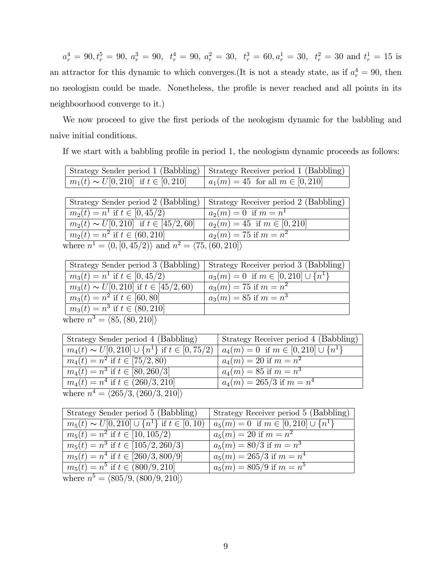$a_r^4 = 90, t_r^5 = 90, a_r^3 = 90, t_r^4 = 90, a_r^2 = 30, t_r^3 = 60, a_r^1 = 30, t_r^2 = 30 \text{ and } t_r^1 = 15 \text{ is}$ an attractor for this dynamic to which converges. (It is not a steady state, as if  $a_r^4 = 90$ , then no neologism could be made. Nonetheless, the profile is never reached and all points in its neighboorhood converge to it.)

We now proceed to give the first periods of the neologism dynamic for the babbling and naive initial conditions.

If we start with a babbling profile in period 1, the neologism dynamic proceeds as follows:

|                                             | Strategy Sender period 1 (Babbling)   Strategy Receiver period 1 (Babbling) |
|---------------------------------------------|-----------------------------------------------------------------------------|
| $m_1(t) \sim U[0, 210]$ if $t \in [0, 210]$ | $  a_1(m) = 45$ for all $m \in [0, 210]$                                    |

| Strategy Sender period 2 (Babbling)                                                  | Strategy Receiver period 2 (Babbling) |
|--------------------------------------------------------------------------------------|---------------------------------------|
| $m_2(t) = n^1$ if $t \in [0, 45/2)$                                                  | $a_2(m) = 0$ if $m = n^1$             |
| $m_2(t) \sim U[0, 210]$ if $t \in [45/2, 60]$                                        | $a_2(m) = 45$ if $m \in [0, 210]$     |
| $m_2(t) = n^2$ if $t \in (60, 210]$                                                  | $a_2(m) = 75$ if $m = n^2$            |
| where $n^1 = \langle 0, [0, 45/2) \rangle$ and $n^2 = \langle 75, (60, 210) \rangle$ |                                       |

| Strategy Sender period 3 (Babbling)           | Strategy Receiver period 3 (Babbling)         |
|-----------------------------------------------|-----------------------------------------------|
| $m_3(t) = n^1$ if $t \in [0, 45/2)$           | $a_3(m) = 0$ if $m \in [0, 210] \cup \{n^1\}$ |
| $m_3(t) \sim U[0, 210]$ if $t \in [45/2, 60)$ | $a_3(m) = 75$ if $m = n^2$                    |
| $m_3(t) = n^2$ if $t \in [60, 80]$            | $a_3(m) = 85$ if $m = n^3$                    |
| $m_3(t) = n^3$ if $t \in (80, 210]$           |                                               |
| where $n^3 = \langle 85, (80, 210) \rangle$   |                                               |

| Strategy Sender period 4 (Babbling)                       | Strategy Receiver period 4 (Babbling)           |
|-----------------------------------------------------------|-------------------------------------------------|
| $m_4(t) \sim U[0, 210] \cup \{n^1\}$ if $t \in [0, 75/2)$ | $  a_4(m) = 0$ if $m \in [0, 210] \cup \{n^1\}$ |
| $m_4(t) = n^2$ if $t \in [75/2, 80)$                      | $a_4(m) = 20$ if $m = n^2$                      |
| $m_4(t) = n^3$ if $t \in [80, 260/3]$                     | $a_4(m) = 85$ if $m = n^3$                      |
| $m_4(t) = n^4$ if $t \in (260/3, 210]$                    | $a_4(m) = 265/3$ if $m = n^4$                   |
| where $n^4 = \langle 265/3, (260/3, 210) \rangle$         |                                                 |

| Strategy Sender period 5 (Babbling)                     | Strategy Receiver period 5 (Babbling)         |
|---------------------------------------------------------|-----------------------------------------------|
| $m_5(t) \sim U[0, 210] \cup \{n^1\}$ if $t \in [0, 10)$ | $a_5(m) = 0$ if $m \in [0, 210] \cup \{n^1\}$ |
| $m_5(t) = n^2$ if $t \in [10, 105/2)$                   | $a_5(m) = 20$ if $m = n^2$                    |
| $m_5(t) = n^3$ if $t \in [105/2, 260/3]$                | $a_5(m) = 80/3$ if $m = n^3$                  |
| $m_5(t) = n^4$ if $t \in [260/3, 800/9]$                | $a_5(m) = 265/3$ if $m = n^4$                 |
| $m_5(t) = n^5$ if $t \in (800/9, 210]$                  | $a_5(m) = 805/9$ if $m = n^5$                 |
| where $n^5 = \langle 805/9, (800/9, 210) \rangle$       |                                               |

where  $n$  $\langle 009/3, \langle 000/3, 210] \rangle$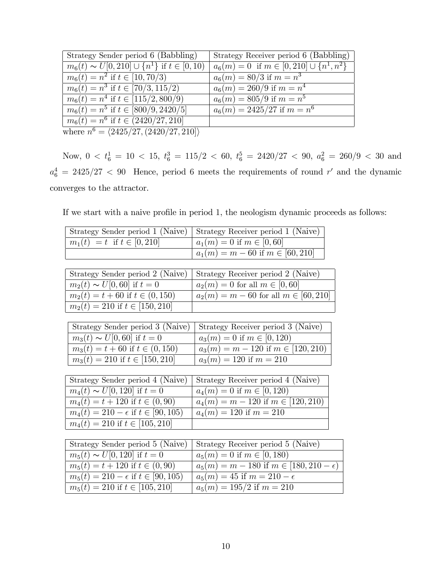| Strategy Sender period 6 (Babbling)                     | Strategy Receiver period 6 (Babbling)              |
|---------------------------------------------------------|----------------------------------------------------|
| $m_6(t) \sim U[0, 210] \cup \{n^1\}$ if $t \in [0, 10)$ | $a_6(m) = 0$ if $m \in [0, 210] \cup \{n^1, n^2\}$ |
| $m_6(t) = n^2$ if $\overline{t \in [10, 70/3]}$         | $a_6(m) = 80/3$ if $m = n^3$                       |
| $m_6(t) = n^3$ if $t \in [70/3, 115/2]$                 | $a_6(m) = 260/9$ if $m = n^4$                      |
| $m_6(t) = n^4$ if $t \in [115/2, 800/9]$                | $a_6(m) = 805/9$ if $m = n^5$                      |
| $m_6(t) = n^5$ if $t \in [800/9, 2420/5]$               | $a_6(m) = 2425/27$ if $m = n^6$                    |
| $m_6(t) = n^6$ if $t \in (2420/27, 210]$                |                                                    |
| where $n^6 = \langle 2425/27, (2420/27, 210) \rangle$   |                                                    |
|                                                         |                                                    |

Now,  $0 < t_6^1 = 10 < 15$ ,  $t_6^3 = 115/2 < 60$ ,  $t_6^5 = 2420/27 < 90$ ,  $a_6^2 = 260/9 < 30$  and  $a_6^4 = 2425/27 < 90$  Hence, period 6 meets the requirements of round r' and the dynamic converges to the attractor.

If we start with a naive profile in period 1, the neologism dynamic proceeds as follows:

| Strategy Receiver period 1 (Naive)                  |
|-----------------------------------------------------|
| $a_1(m) = 0$ if $m \in [0, 60]$                     |
| $a_1(m) = m - 60$ if $m \in [60, 210]$              |
|                                                     |
| Strategy Receiver period 2 (Naive)                  |
| $a_2(m) = 0$ for all $m \in [0, 60]$                |
| $a_2(m) = m - 60$ for all $m \in [60, 210]$         |
|                                                     |
|                                                     |
| Strategy Receiver period 3 (Naive)                  |
| $a_3(m) = 0$ if $m \in [0, 120)$                    |
| $a_3(m) = m - 120$ if $m \in [120, 210)$            |
| $a_3(m) = 120$ if $m = 210$                         |
|                                                     |
| Strategy Receiver period 4 (Naive)                  |
| $a_4(m) = 0$ if $m \in [0, 120)$                    |
| $a_4(m) = m - 120$ if $m \in [120, 210)$            |
| $a_4(m) = 120$ if $m = 210$                         |
|                                                     |
|                                                     |
| Strategy Receiver period 5 (Naive)                  |
| $a_5(m) = 0$ if $m \in [0, 180)$                    |
| $a_5(m) = m - 180$ if $m \in [180, 210 - \epsilon)$ |
| $a_5(m) = 45$ if $m = 210 - \epsilon$               |
| $a_5(m) = 195/2$ if $m = 210$                       |
|                                                     |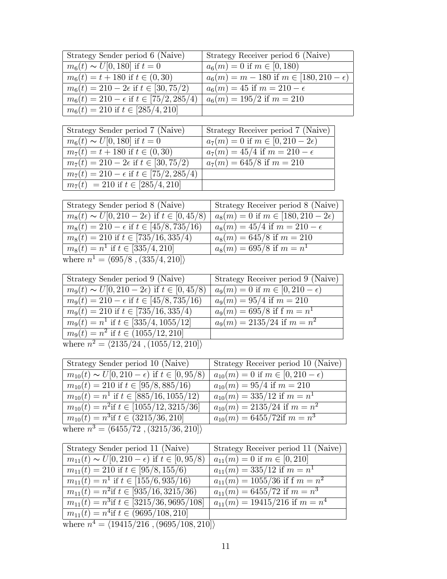| Strategy Sender period 6 (Naive)                   | Strategy Receiver period 6 (Naive)                  |
|----------------------------------------------------|-----------------------------------------------------|
| $m_6(t) \sim U[0, 180]$ if $t = 0$                 | $a_6(m) = 0$ if $m \in [0, 180)$                    |
| $m_6(t) = t + 180$ if $t \in (0, 30)$              | $a_6(m) = m - 180$ if $m \in [180, 210 - \epsilon)$ |
| $m_6(t) = 210 - 2\epsilon$ if $t \in [30, 75/2)$   | $a_6(m) = 45$ if $m = 210 - \epsilon$               |
| $m_6(t) = 210 - \epsilon$ if $t \in [75/2, 285/4)$ | $a_6(m) = 195/2$ if $m = 210$                       |
| $m_6(t) = 210$ if $t \in [285/4, 210]$             |                                                     |

| Strategy Sender period 7 (Naive)                   | Strategy Receiver period 7 (Naive)           |
|----------------------------------------------------|----------------------------------------------|
| $m_6(t) \sim U[0, 180]$ if $t = 0$                 | $a_7(m) = 0$ if $m \in [0, 210 - 2\epsilon)$ |
| $m_7(t) = t + 180$ if $t \in (0, 30)$              | $a_7(m) = 45/4$ if $m = 210 - \epsilon$      |
| $m_7(t) = 210 - 2\epsilon$ if $t \in [30, 75/2)$   | $a_7(m) = 645/8$ if $m = 210$                |
| $m_7(t) = 210 - \epsilon$ if $t \in [75/2, 285/4)$ |                                              |
| $m_7(t) = 210$ if $t \in [285/4, 210]$             |                                              |

| Strategy Sender period 8 (Naive)                         | Strategy Receiver period 8 (Naive)             |
|----------------------------------------------------------|------------------------------------------------|
| $m_8(t) \sim U[0, 210 - 2\epsilon)$ if $t \in [0, 45/8)$ | $a_8(m) = 0$ if $m \in [180, 210 - 2\epsilon)$ |
| $m_8(t) = 210 - \epsilon$ if $t \in [45/8, 735/16)$      | $a_8(m) = 45/4$ if $m = 210 - \epsilon$        |
| $m_8(t) = 210$ if $t \in [735/16, 335/4)$                | $a_8(m) = 645/8$ if $m = 210$                  |
| $m_8(t) = n^1$ if $t \in [335/4, 210]$                   | $a_8(m) = 695/8$ if $m = n^1$                  |
| where $n^1 = \langle 695/8, (335/4, 210) \rangle$        |                                                |

| Strategy Sender period 9 (Naive)                         | Strategy Receiver period 9 (Naive)          |
|----------------------------------------------------------|---------------------------------------------|
| $m_9(t) \sim U[0, 210 - 2\epsilon)$ if $t \in [0, 45/8)$ | $a_9(m) = 0$ if $m \in [0, 210 - \epsilon)$ |
| $m_9(t) = 210 - \epsilon$ if $t \in [45/8, 735/16)$      | $a_9(m) = 95/4$ if $m = 210$                |
| $m_9(t) = 210$ if $t \in [735/16, 335/4]$                | $a_9(m) = 695/8$ if f $m = n^1$             |
| $m_9(t) = n^1$ if $t \in [335/4, \overline{1055/12]}$    | $a_9(m) = 2135/24$ if $m = n^2$             |
| $m_9(t) = n^2$ if $t \in (1055/12, 210]$                 |                                             |
| where $n^2 = \langle 2135/24, (1055/12, 210) \rangle$    |                                             |

| Strategy Sender period 10 (Naive)                          | Strategy Receiver period 10 (Naive)            |
|------------------------------------------------------------|------------------------------------------------|
| $m_{10}(t) \sim U[0, 210 - \epsilon)$ if $t \in [0, 95/8)$ | $a_{10}(m) = 0$ if $m \in [0, 210 - \epsilon)$ |
| $m_{10}(t) = 210$ if $t \in [95/8, 885/16)$                | $a_{10}(m) = 95/4$ if $m = 210$                |
| $m_{10}(t) = n^1$ if $t \in [885/16, 1055/12)$             | $a_{10}(m) = 335/12$ if $m = n^1$              |
| $m_{10}(t) = n^2$ if $t \in [1055/12, 3215/36]$            | $a_{10}(m) = 2135/24$ if $m = n^2$             |
| $m_{10}(t) = n^3$ if $t \in (3215/36, 210]$                | $a_{10}(m) = 6455/72$ if $m = n^3$             |
| where $n^3 = \langle 6455/72, (3215/36, 210) \rangle$      |                                                |

| Strategy Sender period 11 (Naive)                          | Strategy Receiver period 11 (Naive)  |
|------------------------------------------------------------|--------------------------------------|
| $m_{11}(t) \sim U[0, 210 - \epsilon)$ if $t \in [0, 95/8)$ | $a_{11}(m) = 0$ if $m \in [0, 210]$  |
| $m_{11}(t) = 210$ if $t \in [95/8, 155/6)$                 | $a_{11}(m) = 335/12$ if $m = n^1$    |
| $m_{11}(t) = n^1$ if $t \in [155/6, 935/16)$               | $a_{11}(m) = 1055/36$ if f $m = n^2$ |
| $m_{11}(t) = n^2$ if $t \in [935/16, 3215/36)$             | $a_{11}(m) = 6455/72$ if $m = n^3$   |
| $m_{11}(t) = n^3$ if $t \in [3215/36, 9695/108]$           | $a_{11}(m) = 19415/216$ if $m = n^4$ |
| $m_{11}(t) = n^4$ if $t \in (9695/108, 210]$               |                                      |
| where $n^4 = \langle 19415/216, (9695/108, 210] \rangle$   |                                      |
|                                                            |                                      |